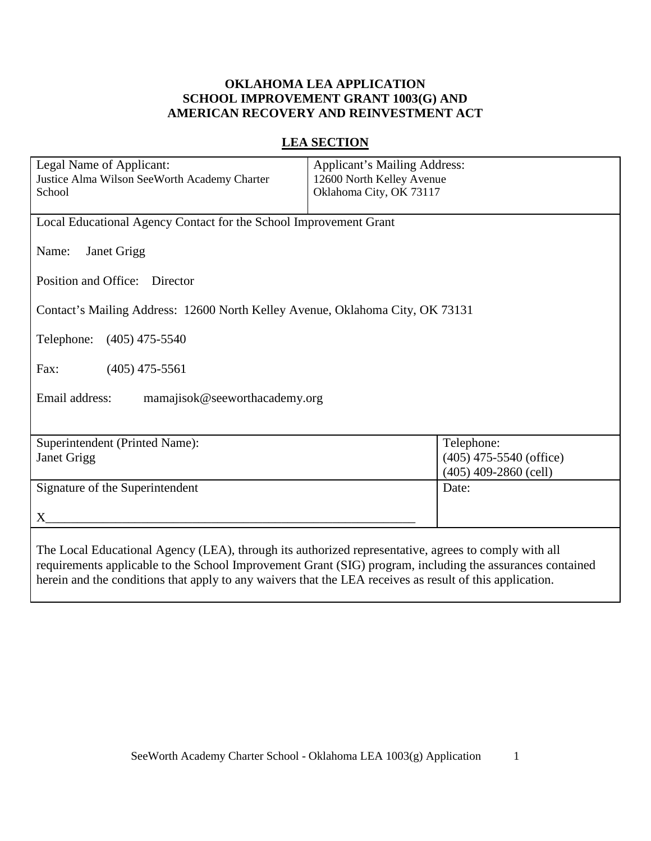# **OKLAHOMA LEA APPLICATION SCHOOL IMPROVEMENT GRANT 1003(G) AND AMERICAN RECOVERY AND REINVESTMENT ACT**

# **LEA SECTION**

| Legal Name of Applicant:<br>Justice Alma Wilson SeeWorth Academy Charter<br>School                                                                                                                               | <b>Applicant's Mailing Address:</b><br>12600 North Kelley Avenue<br>Oklahoma City, OK 73117               |  |  |
|------------------------------------------------------------------------------------------------------------------------------------------------------------------------------------------------------------------|-----------------------------------------------------------------------------------------------------------|--|--|
| Local Educational Agency Contact for the School Improvement Grant                                                                                                                                                |                                                                                                           |  |  |
| Janet Grigg<br>Name:                                                                                                                                                                                             |                                                                                                           |  |  |
| Position and Office: Director                                                                                                                                                                                    |                                                                                                           |  |  |
| Contact's Mailing Address: 12600 North Kelley Avenue, Oklahoma City, OK 73131                                                                                                                                    |                                                                                                           |  |  |
| Telephone:<br>$(405)$ 475-5540                                                                                                                                                                                   |                                                                                                           |  |  |
| Fax:<br>$(405)$ 475-5561                                                                                                                                                                                         |                                                                                                           |  |  |
| Email address:<br>mamajisok@seeworthacademy.org                                                                                                                                                                  |                                                                                                           |  |  |
|                                                                                                                                                                                                                  |                                                                                                           |  |  |
| Superintendent (Printed Name):<br>Janet Grigg                                                                                                                                                                    | Telephone:<br>$(405)$ 475-5540 (office)<br>$(405)$ 409-2860 (cell)                                        |  |  |
| Signature of the Superintendent                                                                                                                                                                                  | Date:                                                                                                     |  |  |
| X                                                                                                                                                                                                                |                                                                                                           |  |  |
| The Local Educational Agency (LEA), through its authorized representative, agrees to comply with all<br>herein and the conditions that apply to any waivers that the LEA receives as result of this application. | requirements applicable to the School Improvement Grant (SIG) program, including the assurances contained |  |  |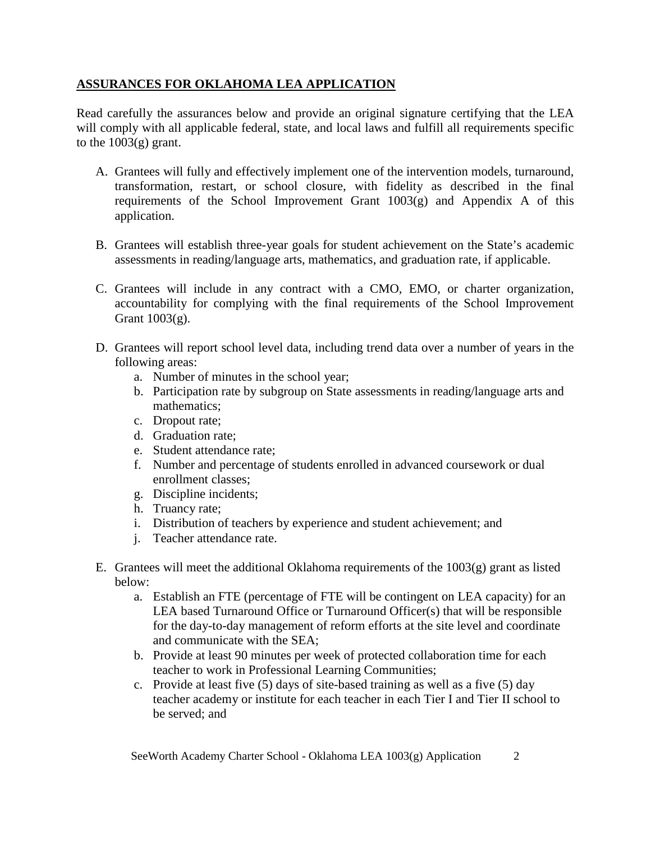# **ASSURANCES FOR OKLAHOMA LEA APPLICATION**

Read carefully the assurances below and provide an original signature certifying that the LEA will comply with all applicable federal, state, and local laws and fulfill all requirements specific to the  $1003(g)$  grant.

- A. Grantees will fully and effectively implement one of the intervention models, turnaround, transformation, restart, or school closure, with fidelity as described in the final requirements of the School Improvement Grant  $1003(g)$  and Appendix A of this application.
- B. Grantees will establish three-year goals for student achievement on the State's academic assessments in reading/language arts, mathematics, and graduation rate, if applicable.
- C. Grantees will include in any contract with a CMO, EMO, or charter organization, accountability for complying with the final requirements of the School Improvement Grant 1003(g).
- D. Grantees will report school level data, including trend data over a number of years in the following areas:
	- a. Number of minutes in the school year;
	- b. Participation rate by subgroup on State assessments in reading/language arts and mathematics;
	- c. Dropout rate;
	- d. Graduation rate;
	- e. Student attendance rate;
	- f. Number and percentage of students enrolled in advanced coursework or dual enrollment classes;
	- g. Discipline incidents;
	- h. Truancy rate;
	- i. Distribution of teachers by experience and student achievement; and
	- j. Teacher attendance rate.
- E. Grantees will meet the additional Oklahoma requirements of the 1003(g) grant as listed below:
	- a. Establish an FTE (percentage of FTE will be contingent on LEA capacity) for an LEA based Turnaround Office or Turnaround Officer(s) that will be responsible for the day-to-day management of reform efforts at the site level and coordinate and communicate with the SEA;
	- b. Provide at least 90 minutes per week of protected collaboration time for each teacher to work in Professional Learning Communities;
	- c. Provide at least five (5) days of site-based training as well as a five (5) day teacher academy or institute for each teacher in each Tier I and Tier II school to be served; and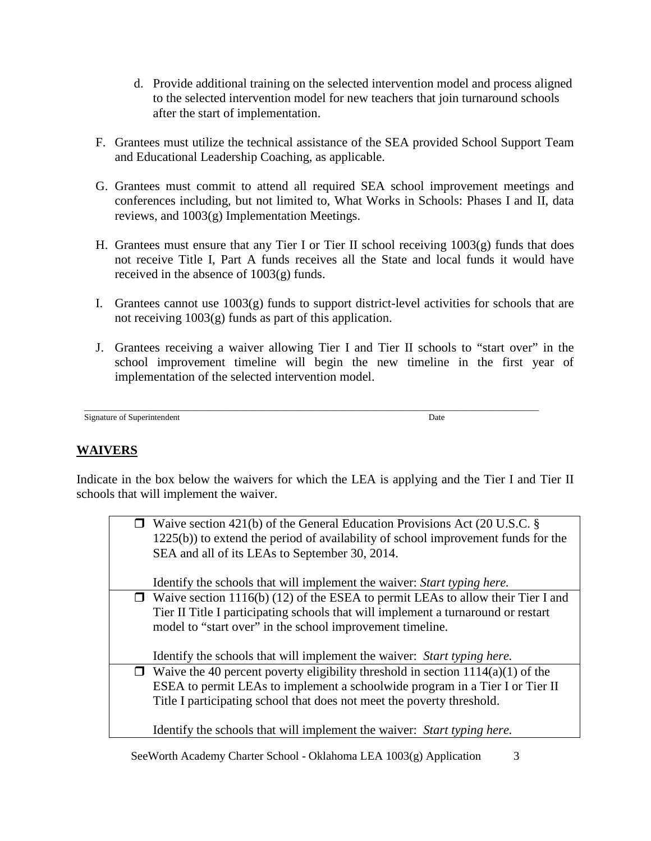- d. Provide additional training on the selected intervention model and process aligned to the selected intervention model for new teachers that join turnaround schools after the start of implementation.
- F. Grantees must utilize the technical assistance of the SEA provided School Support Team and Educational Leadership Coaching, as applicable.
- G. Grantees must commit to attend all required SEA school improvement meetings and conferences including, but not limited to, What Works in Schools: Phases I and II, data reviews, and 1003(g) Implementation Meetings.
- H. Grantees must ensure that any Tier I or Tier II school receiving 1003(g) funds that does not receive Title I, Part A funds receives all the State and local funds it would have received in the absence of 1003(g) funds.
- I. Grantees cannot use 1003(g) funds to support district-level activities for schools that are not receiving 1003(g) funds as part of this application.
- J. Grantees receiving a waiver allowing Tier I and Tier II schools to "start over" in the school improvement timeline will begin the new timeline in the first year of implementation of the selected intervention model.

```
___________________________________________________________________________________________________________
Signature of Superintendent Date
```
# **WAIVERS**

Indicate in the box below the waivers for which the LEA is applying and the Tier I and Tier II schools that will implement the waiver.

| $\Box$ Waive section 421(b) of the General Education Provisions Act (20 U.S.C. §<br>1225(b)) to extend the period of availability of school improvement funds for the<br>SEA and all of its LEAs to September 30, 2014.                          |
|--------------------------------------------------------------------------------------------------------------------------------------------------------------------------------------------------------------------------------------------------|
| Identify the schools that will implement the waiver: <i>Start typing here</i> .                                                                                                                                                                  |
| $\Box$ Waive section 1116(b) (12) of the ESEA to permit LEAs to allow their Tier I and<br>Tier II Title I participating schools that will implement a turnaround or restart<br>model to "start over" in the school improvement timeline.         |
| Identify the schools that will implement the waiver: Start typing here.                                                                                                                                                                          |
| $\Box$ Waive the 40 percent poverty eligibility threshold in section 1114(a)(1) of the<br>ESEA to permit LEAs to implement a schoolwide program in a Tier I or Tier II<br>Title I participating school that does not meet the poverty threshold. |
| Identify the schools that will implement the waiver: <i>Start typing here</i> .                                                                                                                                                                  |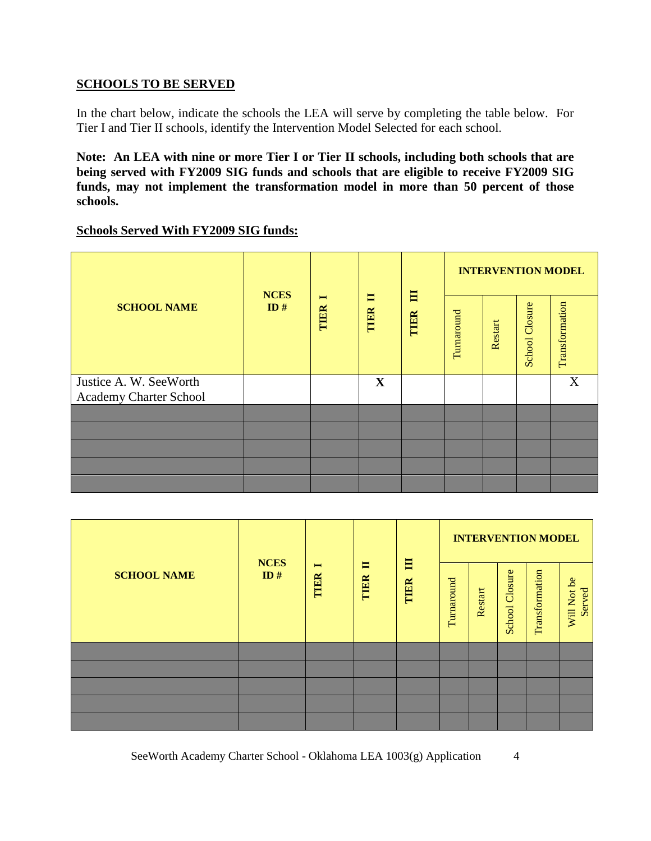## **SCHOOLS TO BE SERVED**

In the chart below, indicate the schools the LEA will serve by completing the table below. For Tier I and Tier II schools, identify the Intervention Model Selected for each school.

**Note: An LEA with nine or more Tier I or Tier II schools, including both schools that are being served with FY2009 SIG funds and schools that are eligible to receive FY2009 SIG funds, may not implement the transformation model in more than 50 percent of those schools.**

#### **Schools Served With FY2009 SIG funds:**

|                                                  | <b>NCES</b> |                        |                        |           | <b>INTERVENTION MODEL</b> |         |                       |                |
|--------------------------------------------------|-------------|------------------------|------------------------|-----------|---------------------------|---------|-----------------------|----------------|
| <b>SCHOOL NAME</b>                               | ID#         | $\blacksquare$<br>TIER | $\blacksquare$<br>TIER | 目<br>TIER | Turnaround                | Restart | <b>School Closure</b> | Transformation |
| Justice A. W. SeeWorth<br>Academy Charter School |             |                        | $\mathbf X$            |           |                           |         |                       | X              |
|                                                  |             |                        |                        |           |                           |         |                       |                |
|                                                  |             |                        |                        |           |                           |         |                       |                |
|                                                  |             |                        |                        |           |                           |         |                       |                |
|                                                  |             |                        |                        |           |                           |         |                       |                |
|                                                  |             |                        |                        |           |                           |         |                       |                |

|                    | <b>NCES</b> |                        |           |           |            |         |                   | <b>INTERVENTION MODEL</b> |                       |
|--------------------|-------------|------------------------|-----------|-----------|------------|---------|-------------------|---------------------------|-----------------------|
| <b>SCHOOL NAME</b> | ID#         | $\blacksquare$<br>TIER | E<br>TIER | 目<br>TIER | Turnaround | Restart | Closure<br>School | Transformation            | Will Not be<br>Served |
|                    |             |                        |           |           |            |         |                   |                           |                       |
|                    |             |                        |           |           |            |         |                   |                           |                       |
|                    |             |                        |           |           |            |         |                   |                           |                       |
|                    |             |                        |           |           |            |         |                   |                           |                       |
|                    |             |                        |           |           |            |         |                   |                           |                       |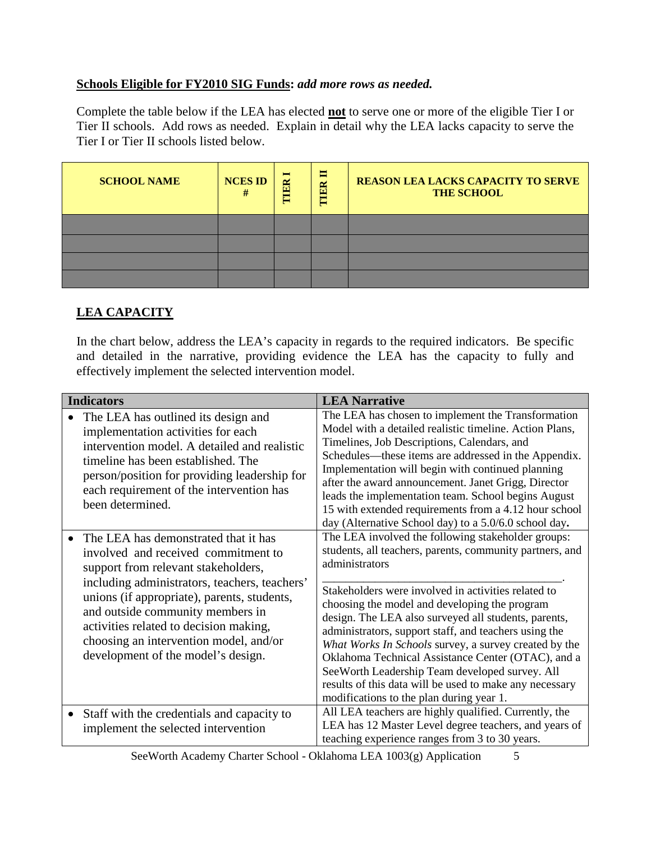# **Schools Eligible for FY2010 SIG Funds:** *add more rows as needed.*

Complete the table below if the LEA has elected **not** to serve one or more of the eligible Tier I or Tier II schools. Add rows as needed. Explain in detail why the LEA lacks capacity to serve the Tier I or Tier II schools listed below.

| <b>SCHOOL NAME</b> | <b>NCES ID</b> | $\blacksquare$<br>ER<br>E | Е<br>TIER | <b>REASON LEA LACKS CAPACITY TO SERVE</b><br><b>THE SCHOOL</b> |
|--------------------|----------------|---------------------------|-----------|----------------------------------------------------------------|
|                    |                |                           |           |                                                                |
|                    |                |                           |           |                                                                |
|                    |                |                           |           |                                                                |
|                    |                |                           |           |                                                                |

# **LEA CAPACITY**

In the chart below, address the LEA's capacity in regards to the required indicators. Be specific and detailed in the narrative, providing evidence the LEA has the capacity to fully and effectively implement the selected intervention model.

|           | <b>Indicators</b>                                                                                                                                                                                                                                                                                                                                                                | <b>LEA Narrative</b>                                                                                                                                                                                                                                                                                                                                                                                                                                                                                                                                                                                                              |
|-----------|----------------------------------------------------------------------------------------------------------------------------------------------------------------------------------------------------------------------------------------------------------------------------------------------------------------------------------------------------------------------------------|-----------------------------------------------------------------------------------------------------------------------------------------------------------------------------------------------------------------------------------------------------------------------------------------------------------------------------------------------------------------------------------------------------------------------------------------------------------------------------------------------------------------------------------------------------------------------------------------------------------------------------------|
|           | The LEA has outlined its design and<br>implementation activities for each<br>intervention model. A detailed and realistic<br>timeline has been established. The<br>person/position for providing leadership for<br>each requirement of the intervention has<br>been determined.                                                                                                  | The LEA has chosen to implement the Transformation<br>Model with a detailed realistic timeline. Action Plans,<br>Timelines, Job Descriptions, Calendars, and<br>Schedules—these items are addressed in the Appendix.<br>Implementation will begin with continued planning<br>after the award announcement. Janet Grigg, Director<br>leads the implementation team. School begins August<br>15 with extended requirements from a 4.12 hour school<br>day (Alternative School day) to a 5.0/6.0 school day.                                                                                                                         |
|           | The LEA has demonstrated that it has<br>involved and received commitment to<br>support from relevant stakeholders,<br>including administrators, teachers, teachers'<br>unions (if appropriate), parents, students,<br>and outside community members in<br>activities related to decision making,<br>choosing an intervention model, and/or<br>development of the model's design. | The LEA involved the following stakeholder groups:<br>students, all teachers, parents, community partners, and<br>administrators<br>Stakeholders were involved in activities related to<br>choosing the model and developing the program<br>design. The LEA also surveyed all students, parents,<br>administrators, support staff, and teachers using the<br>What Works In Schools survey, a survey created by the<br>Oklahoma Technical Assistance Center (OTAC), and a<br>SeeWorth Leadership Team developed survey. All<br>results of this data will be used to make any necessary<br>modifications to the plan during year 1. |
| $\bullet$ | Staff with the credentials and capacity to<br>implement the selected intervention                                                                                                                                                                                                                                                                                                | All LEA teachers are highly qualified. Currently, the<br>LEA has 12 Master Level degree teachers, and years of<br>teaching experience ranges from 3 to 30 years.                                                                                                                                                                                                                                                                                                                                                                                                                                                                  |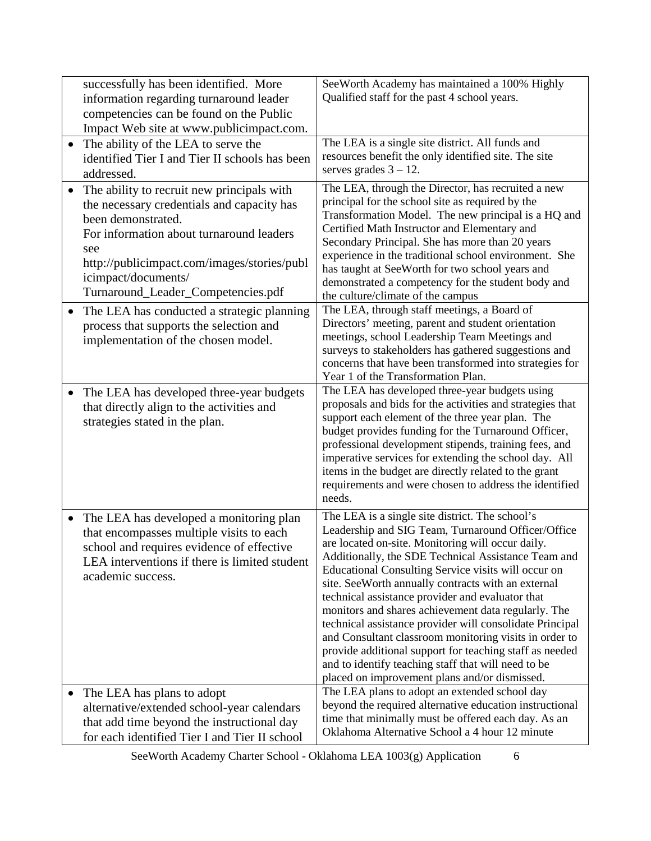| successfully has been identified. More                                                                                                                                  | SeeWorth Academy has maintained a 100% Highly                                                                                                                                                                                                                    |
|-------------------------------------------------------------------------------------------------------------------------------------------------------------------------|------------------------------------------------------------------------------------------------------------------------------------------------------------------------------------------------------------------------------------------------------------------|
| information regarding turnaround leader                                                                                                                                 | Qualified staff for the past 4 school years.                                                                                                                                                                                                                     |
| competencies can be found on the Public                                                                                                                                 |                                                                                                                                                                                                                                                                  |
| Impact Web site at www.publicimpact.com.                                                                                                                                |                                                                                                                                                                                                                                                                  |
| The ability of the LEA to serve the<br>$\bullet$                                                                                                                        | The LEA is a single site district. All funds and                                                                                                                                                                                                                 |
| identified Tier I and Tier II schools has been                                                                                                                          | resources benefit the only identified site. The site                                                                                                                                                                                                             |
| addressed.                                                                                                                                                              | serves grades $3 - 12$ .                                                                                                                                                                                                                                         |
| The ability to recruit new principals with<br>$\bullet$<br>the necessary credentials and capacity has<br>been demonstrated.<br>For information about turnaround leaders | The LEA, through the Director, has recruited a new<br>principal for the school site as required by the<br>Transformation Model. The new principal is a HQ and<br>Certified Math Instructor and Elementary and<br>Secondary Principal. She has more than 20 years |
| see                                                                                                                                                                     | experience in the traditional school environment. She                                                                                                                                                                                                            |
| http://publicimpact.com/images/stories/publ                                                                                                                             | has taught at SeeWorth for two school years and                                                                                                                                                                                                                  |
| icimpact/documents/                                                                                                                                                     | demonstrated a competency for the student body and                                                                                                                                                                                                               |
| Turnaround_Leader_Competencies.pdf                                                                                                                                      | the culture/climate of the campus                                                                                                                                                                                                                                |
| The LEA has conducted a strategic planning<br>$\bullet$                                                                                                                 | The LEA, through staff meetings, a Board of                                                                                                                                                                                                                      |
| process that supports the selection and                                                                                                                                 | Directors' meeting, parent and student orientation                                                                                                                                                                                                               |
| implementation of the chosen model.                                                                                                                                     | meetings, school Leadership Team Meetings and<br>surveys to stakeholders has gathered suggestions and                                                                                                                                                            |
|                                                                                                                                                                         | concerns that have been transformed into strategies for                                                                                                                                                                                                          |
|                                                                                                                                                                         | Year 1 of the Transformation Plan.                                                                                                                                                                                                                               |
| The LEA has developed three-year budgets<br>$\bullet$                                                                                                                   | The LEA has developed three-year budgets using                                                                                                                                                                                                                   |
| that directly align to the activities and                                                                                                                               | proposals and bids for the activities and strategies that                                                                                                                                                                                                        |
| strategies stated in the plan.                                                                                                                                          | support each element of the three year plan. The<br>budget provides funding for the Turnaround Officer,                                                                                                                                                          |
|                                                                                                                                                                         | professional development stipends, training fees, and                                                                                                                                                                                                            |
|                                                                                                                                                                         | imperative services for extending the school day. All                                                                                                                                                                                                            |
|                                                                                                                                                                         | items in the budget are directly related to the grant                                                                                                                                                                                                            |
|                                                                                                                                                                         | requirements and were chosen to address the identified                                                                                                                                                                                                           |
|                                                                                                                                                                         | needs.                                                                                                                                                                                                                                                           |
| The LEA has developed a monitoring plan<br>$\bullet$                                                                                                                    | The LEA is a single site district. The school's                                                                                                                                                                                                                  |
| that encompasses multiple visits to each                                                                                                                                | Leadership and SIG Team, Turnaround Officer/Office                                                                                                                                                                                                               |
| school and requires evidence of effective                                                                                                                               | are located on-site. Monitoring will occur daily.                                                                                                                                                                                                                |
| LEA interventions if there is limited student                                                                                                                           | Additionally, the SDE Technical Assistance Team and<br>Educational Consulting Service visits will occur on                                                                                                                                                       |
| academic success.                                                                                                                                                       | site. SeeWorth annually contracts with an external                                                                                                                                                                                                               |
|                                                                                                                                                                         | technical assistance provider and evaluator that                                                                                                                                                                                                                 |
|                                                                                                                                                                         | monitors and shares achievement data regularly. The                                                                                                                                                                                                              |
|                                                                                                                                                                         | technical assistance provider will consolidate Principal                                                                                                                                                                                                         |
|                                                                                                                                                                         | and Consultant classroom monitoring visits in order to                                                                                                                                                                                                           |
|                                                                                                                                                                         | provide additional support for teaching staff as needed<br>and to identify teaching staff that will need to be                                                                                                                                                   |
|                                                                                                                                                                         | placed on improvement plans and/or dismissed.                                                                                                                                                                                                                    |
| The LEA has plans to adopt<br>$\bullet$                                                                                                                                 | The LEA plans to adopt an extended school day                                                                                                                                                                                                                    |
| alternative/extended school-year calendars                                                                                                                              | beyond the required alternative education instructional                                                                                                                                                                                                          |
| that add time beyond the instructional day                                                                                                                              | time that minimally must be offered each day. As an                                                                                                                                                                                                              |
| for each identified Tier I and Tier II school                                                                                                                           | Oklahoma Alternative School a 4 hour 12 minute                                                                                                                                                                                                                   |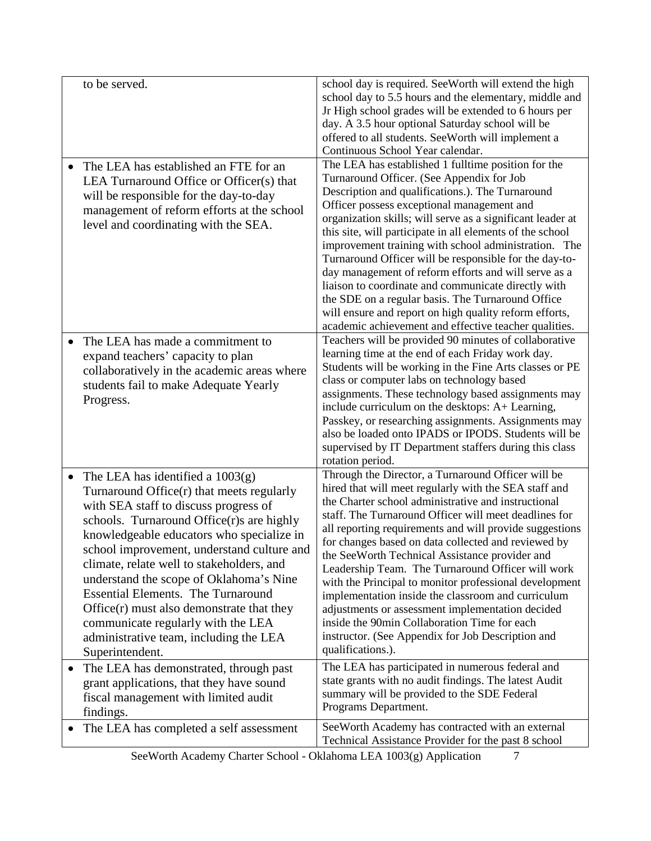| to be served.                                                                                                                                                                                                                                                                                                                                                                                                                                                                                                                                                        | school day is required. SeeWorth will extend the high<br>school day to 5.5 hours and the elementary, middle and<br>Jr High school grades will be extended to 6 hours per<br>day. A 3.5 hour optional Saturday school will be<br>offered to all students. SeeWorth will implement a                                                                                                                                                                                                                                                                                                                                                                                                                                                                 |
|----------------------------------------------------------------------------------------------------------------------------------------------------------------------------------------------------------------------------------------------------------------------------------------------------------------------------------------------------------------------------------------------------------------------------------------------------------------------------------------------------------------------------------------------------------------------|----------------------------------------------------------------------------------------------------------------------------------------------------------------------------------------------------------------------------------------------------------------------------------------------------------------------------------------------------------------------------------------------------------------------------------------------------------------------------------------------------------------------------------------------------------------------------------------------------------------------------------------------------------------------------------------------------------------------------------------------------|
| The LEA has established an FTE for an<br>$\bullet$<br>LEA Turnaround Office or Officer(s) that<br>will be responsible for the day-to-day<br>management of reform efforts at the school<br>level and coordinating with the SEA.                                                                                                                                                                                                                                                                                                                                       | Continuous School Year calendar.<br>The LEA has established 1 fulltime position for the<br>Turnaround Officer. (See Appendix for Job<br>Description and qualifications.). The Turnaround<br>Officer possess exceptional management and<br>organization skills; will serve as a significant leader at<br>this site, will participate in all elements of the school<br>improvement training with school administration. The<br>Turnaround Officer will be responsible for the day-to-<br>day management of reform efforts and will serve as a<br>liaison to coordinate and communicate directly with<br>the SDE on a regular basis. The Turnaround Office<br>will ensure and report on high quality reform efforts,                                  |
| The LEA has made a commitment to<br>expand teachers' capacity to plan<br>collaboratively in the academic areas where<br>students fail to make Adequate Yearly<br>Progress.                                                                                                                                                                                                                                                                                                                                                                                           | academic achievement and effective teacher qualities.<br>Teachers will be provided 90 minutes of collaborative<br>learning time at the end of each Friday work day.<br>Students will be working in the Fine Arts classes or PE<br>class or computer labs on technology based<br>assignments. These technology based assignments may<br>include curriculum on the desktops: A+ Learning,<br>Passkey, or researching assignments. Assignments may<br>also be loaded onto IPADS or IPODS. Students will be<br>supervised by IT Department staffers during this class<br>rotation period.                                                                                                                                                              |
| The LEA has identified a $1003(g)$<br>$\bullet$<br>Turnaround Office(r) that meets regularly<br>with SEA staff to discuss progress of<br>schools. Turnaround Office(r)s are highly<br>knowledgeable educators who specialize in<br>school improvement, understand culture and<br>climate, relate well to stakeholders, and<br>understand the scope of Oklahoma's Nine<br><b>Essential Elements. The Turnaround</b><br>$Office(r)$ must also demonstrate that they<br>communicate regularly with the LEA<br>administrative team, including the LEA<br>Superintendent. | Through the Director, a Turnaround Officer will be<br>hired that will meet regularly with the SEA staff and<br>the Charter school administrative and instructional<br>staff. The Turnaround Officer will meet deadlines for<br>all reporting requirements and will provide suggestions<br>for changes based on data collected and reviewed by<br>the SeeWorth Technical Assistance provider and<br>Leadership Team. The Turnaround Officer will work<br>with the Principal to monitor professional development<br>implementation inside the classroom and curriculum<br>adjustments or assessment implementation decided<br>inside the 90min Collaboration Time for each<br>instructor. (See Appendix for Job Description and<br>qualifications.). |
| The LEA has demonstrated, through past<br>$\bullet$<br>grant applications, that they have sound<br>fiscal management with limited audit<br>findings.                                                                                                                                                                                                                                                                                                                                                                                                                 | The LEA has participated in numerous federal and<br>state grants with no audit findings. The latest Audit<br>summary will be provided to the SDE Federal<br>Programs Department.                                                                                                                                                                                                                                                                                                                                                                                                                                                                                                                                                                   |
| The LEA has completed a self assessment<br>$\bullet$                                                                                                                                                                                                                                                                                                                                                                                                                                                                                                                 | SeeWorth Academy has contracted with an external<br>Technical Assistance Provider for the past 8 school                                                                                                                                                                                                                                                                                                                                                                                                                                                                                                                                                                                                                                            |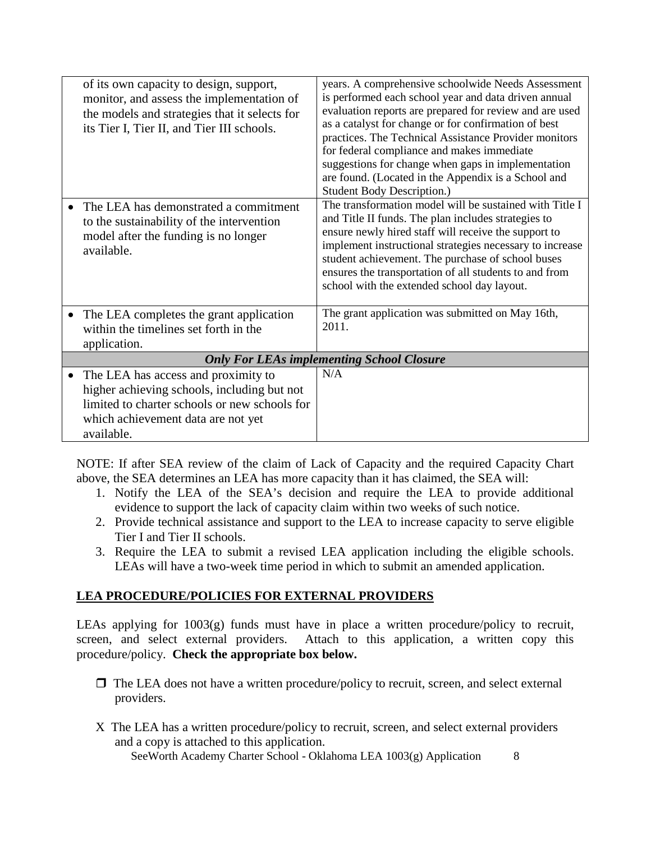| of its own capacity to design, support,<br>monitor, and assess the implementation of<br>the models and strategies that it selects for<br>its Tier I, Tier II, and Tier III schools.<br>The LEA has demonstrated a commitment<br>to the sustainability of the intervention<br>model after the funding is no longer<br>available. | years. A comprehensive schoolwide Needs Assessment<br>is performed each school year and data driven annual<br>evaluation reports are prepared for review and are used<br>as a catalyst for change or for confirmation of best<br>practices. The Technical Assistance Provider monitors<br>for federal compliance and makes immediate<br>suggestions for change when gaps in implementation<br>are found. (Located in the Appendix is a School and<br><b>Student Body Description.)</b><br>The transformation model will be sustained with Title I<br>and Title II funds. The plan includes strategies to<br>ensure newly hired staff will receive the support to<br>implement instructional strategies necessary to increase<br>student achievement. The purchase of school buses<br>ensures the transportation of all students to and from |
|---------------------------------------------------------------------------------------------------------------------------------------------------------------------------------------------------------------------------------------------------------------------------------------------------------------------------------|---------------------------------------------------------------------------------------------------------------------------------------------------------------------------------------------------------------------------------------------------------------------------------------------------------------------------------------------------------------------------------------------------------------------------------------------------------------------------------------------------------------------------------------------------------------------------------------------------------------------------------------------------------------------------------------------------------------------------------------------------------------------------------------------------------------------------------------------|
| The LEA completes the grant application<br>within the timelines set forth in the                                                                                                                                                                                                                                                | school with the extended school day layout.<br>The grant application was submitted on May 16th,<br>2011.                                                                                                                                                                                                                                                                                                                                                                                                                                                                                                                                                                                                                                                                                                                                    |
| application.                                                                                                                                                                                                                                                                                                                    |                                                                                                                                                                                                                                                                                                                                                                                                                                                                                                                                                                                                                                                                                                                                                                                                                                             |
|                                                                                                                                                                                                                                                                                                                                 | <b>Only For LEAs implementing School Closure</b>                                                                                                                                                                                                                                                                                                                                                                                                                                                                                                                                                                                                                                                                                                                                                                                            |
| The LEA has access and proximity to<br>higher achieving schools, including but not<br>limited to charter schools or new schools for<br>which achievement data are not yet<br>available.                                                                                                                                         | N/A                                                                                                                                                                                                                                                                                                                                                                                                                                                                                                                                                                                                                                                                                                                                                                                                                                         |

NOTE: If after SEA review of the claim of Lack of Capacity and the required Capacity Chart above, the SEA determines an LEA has more capacity than it has claimed, the SEA will:

- 1. Notify the LEA of the SEA's decision and require the LEA to provide additional evidence to support the lack of capacity claim within two weeks of such notice.
- 2. Provide technical assistance and support to the LEA to increase capacity to serve eligible Tier I and Tier II schools.
- 3. Require the LEA to submit a revised LEA application including the eligible schools. LEAs will have a two-week time period in which to submit an amended application.

# **LEA PROCEDURE/POLICIES FOR EXTERNAL PROVIDERS**

LEAs applying for 1003(g) funds must have in place a written procedure/policy to recruit, screen, and select external providers. Attach to this application, a written copy this procedure/policy. **Check the appropriate box below.**

- $\Box$  The LEA does not have a written procedure/policy to recruit, screen, and select external providers.
- X The LEA has a written procedure/policy to recruit, screen, and select external providers and a copy is attached to this application.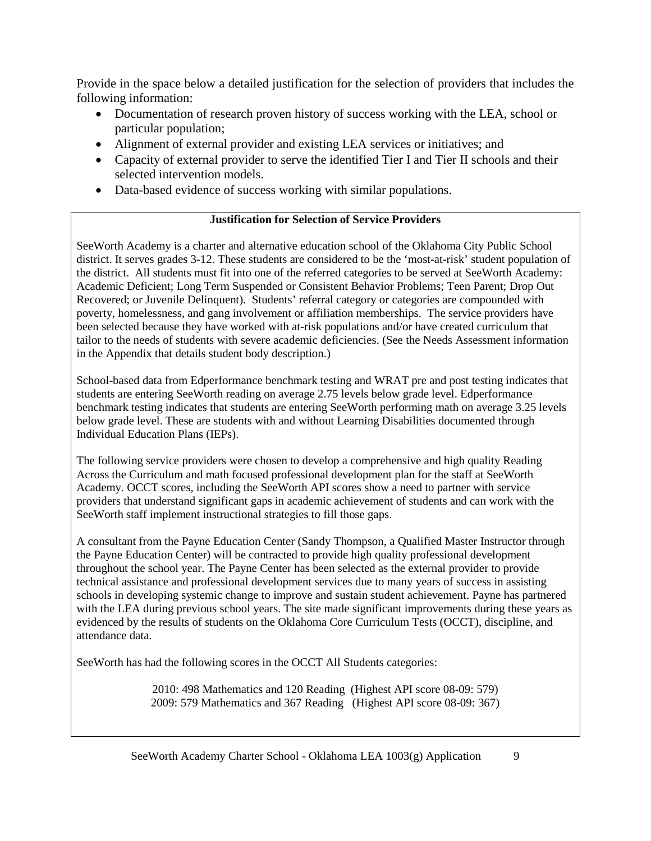Provide in the space below a detailed justification for the selection of providers that includes the following information:

- Documentation of research proven history of success working with the LEA, school or particular population;
- Alignment of external provider and existing LEA services or initiatives; and
- Capacity of external provider to serve the identified Tier I and Tier II schools and their selected intervention models.
- Data-based evidence of success working with similar populations.

### **Justification for Selection of Service Providers**

SeeWorth Academy is a charter and alternative education school of the Oklahoma City Public School district. It serves grades 3-12. These students are considered to be the 'most-at-risk' student population of the district. All students must fit into one of the referred categories to be served at SeeWorth Academy: Academic Deficient; Long Term Suspended or Consistent Behavior Problems; Teen Parent; Drop Out Recovered; or Juvenile Delinquent). Students' referral category or categories are compounded with poverty, homelessness, and gang involvement or affiliation memberships. The service providers have been selected because they have worked with at-risk populations and/or have created curriculum that tailor to the needs of students with severe academic deficiencies. (See the Needs Assessment information in the Appendix that details student body description.)

School-based data from Edperformance benchmark testing and WRAT pre and post testing indicates that students are entering SeeWorth reading on average 2.75 levels below grade level. Edperformance benchmark testing indicates that students are entering SeeWorth performing math on average 3.25 levels below grade level. These are students with and without Learning Disabilities documented through Individual Education Plans (IEPs).

The following service providers were chosen to develop a comprehensive and high quality Reading Across the Curriculum and math focused professional development plan for the staff at SeeWorth Academy. OCCT scores, including the SeeWorth API scores show a need to partner with service providers that understand significant gaps in academic achievement of students and can work with the SeeWorth staff implement instructional strategies to fill those gaps.

A consultant from the Payne Education Center (Sandy Thompson, a Qualified Master Instructor through the Payne Education Center) will be contracted to provide high quality professional development throughout the school year. The Payne Center has been selected as the external provider to provide technical assistance and professional development services due to many years of success in assisting schools in developing systemic change to improve and sustain student achievement. Payne has partnered with the LEA during previous school years. The site made significant improvements during these years as evidenced by the results of students on the Oklahoma Core Curriculum Tests (OCCT), discipline, and attendance data.

SeeWorth has had the following scores in the OCCT All Students categories:

2010: 498 Mathematics and 120 Reading (Highest API score 08-09: 579) 2009: 579 Mathematics and 367 Reading (Highest API score 08-09: 367)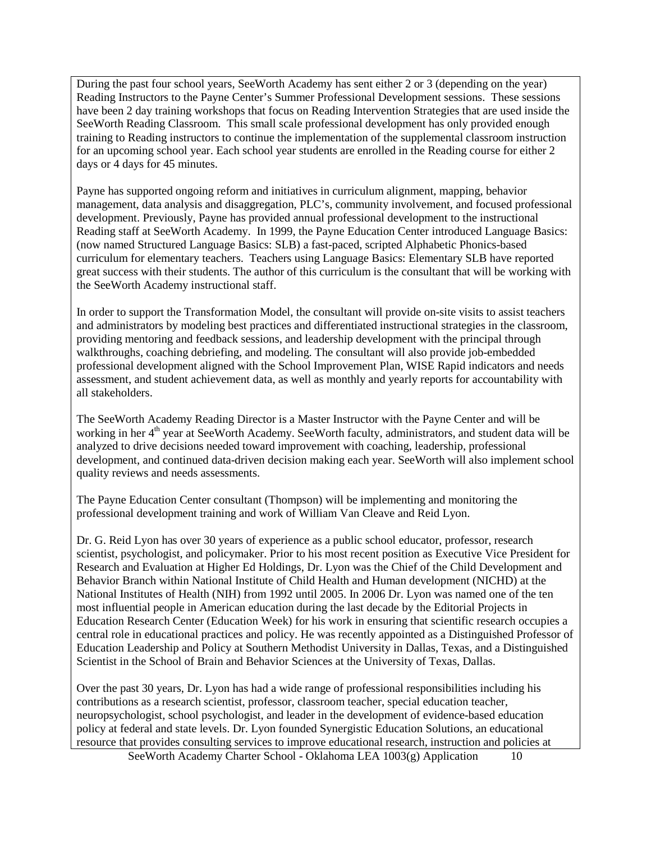During the past four school years, SeeWorth Academy has sent either 2 or 3 (depending on the year) Reading Instructors to the Payne Center's Summer Professional Development sessions. These sessions have been 2 day training workshops that focus on Reading Intervention Strategies that are used inside the SeeWorth Reading Classroom. This small scale professional development has only provided enough training to Reading instructors to continue the implementation of the supplemental classroom instruction for an upcoming school year. Each school year students are enrolled in the Reading course for either 2 days or 4 days for 45 minutes.

Payne has supported ongoing reform and initiatives in curriculum alignment, mapping, behavior management, data analysis and disaggregation, PLC's, community involvement, and focused professional development. Previously, Payne has provided annual professional development to the instructional Reading staff at SeeWorth Academy. In 1999, the Payne Education Center introduced Language Basics: (now named Structured Language Basics: SLB) a fast-paced, scripted Alphabetic Phonics-based curriculum for elementary teachers. Teachers using Language Basics: Elementary SLB have reported great success with their students. The author of this curriculum is the consultant that will be working with the SeeWorth Academy instructional staff.

In order to support the Transformation Model, the consultant will provide on-site visits to assist teachers and administrators by modeling best practices and differentiated instructional strategies in the classroom, providing mentoring and feedback sessions, and leadership development with the principal through walkthroughs, coaching debriefing, and modeling. The consultant will also provide job-embedded professional development aligned with the School Improvement Plan, WISE Rapid indicators and needs assessment, and student achievement data, as well as monthly and yearly reports for accountability with all stakeholders.

The SeeWorth Academy Reading Director is a Master Instructor with the Payne Center and will be working in her 4<sup>th</sup> year at SeeWorth Academy. SeeWorth faculty, administrators, and student data will be analyzed to drive decisions needed toward improvement with coaching, leadership, professional development, and continued data-driven decision making each year. SeeWorth will also implement school quality reviews and needs assessments.

The Payne Education Center consultant (Thompson) will be implementing and monitoring the professional development training and work of William Van Cleave and Reid Lyon.

Dr. G. Reid Lyon has over 30 years of experience as a public school educator, professor, research scientist, psychologist, and policymaker. Prior to his most recent position as Executive Vice President for Research and Evaluation at Higher Ed Holdings, Dr. Lyon was the Chief of the Child Development and Behavior Branch within National Institute of Child Health and Human development (NICHD) at the National Institutes of Health (NIH) from 1992 until 2005. In 2006 Dr. Lyon was named one of the ten most influential people in American education during the last decade by the Editorial Projects in Education Research Center (Education Week) for his work in ensuring that scientific research occupies a central role in educational practices and policy. He was recently appointed as a Distinguished Professor of Education Leadership and Policy at Southern Methodist University in Dallas, Texas, and a Distinguished Scientist in the School of Brain and Behavior Sciences at the University of Texas, Dallas.

Over the past 30 years, Dr. Lyon has had a wide range of professional responsibilities including his contributions as a research scientist, professor, classroom teacher, special education teacher, neuropsychologist, school psychologist, and leader in the development of evidence-based education policy at federal and state levels. Dr. Lyon founded Synergistic Education Solutions, an educational resource that provides consulting services to improve educational research, instruction and policies at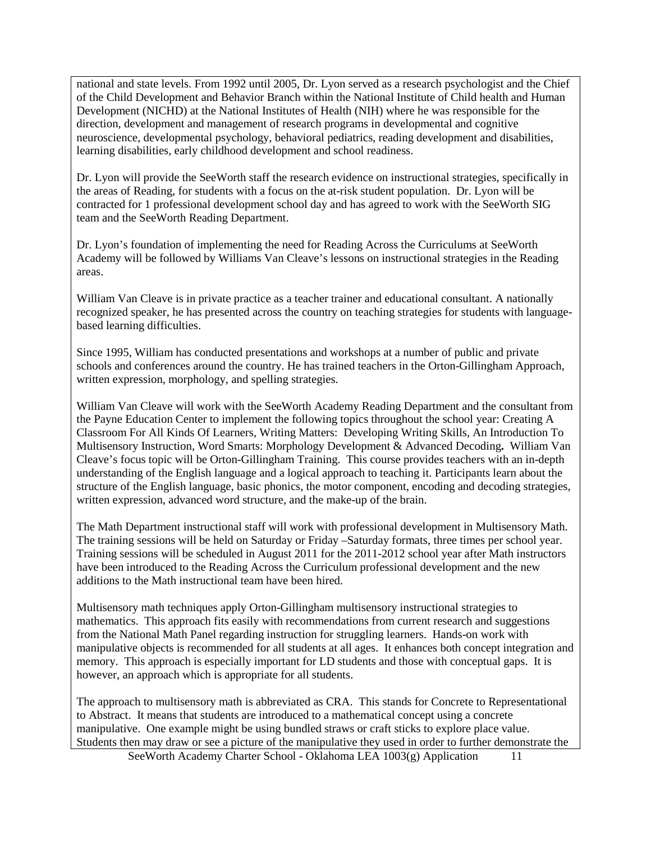national and state levels. From 1992 until 2005, Dr. Lyon served as a research psychologist and the Chief of the Child Development and Behavior Branch within the National Institute of Child health and Human Development (NICHD) at the National Institutes of Health (NIH) where he was responsible for the direction, development and management of research programs in developmental and cognitive neuroscience, developmental psychology, behavioral pediatrics, reading development and disabilities, learning disabilities, early childhood development and school readiness.

Dr. Lyon will provide the SeeWorth staff the research evidence on instructional strategies, specifically in the areas of Reading, for students with a focus on the at-risk student population. Dr. Lyon will be contracted for 1 professional development school day and has agreed to work with the SeeWorth SIG team and the SeeWorth Reading Department.

Dr. Lyon's foundation of implementing the need for Reading Across the Curriculums at SeeWorth Academy will be followed by Williams Van Cleave's lessons on instructional strategies in the Reading areas.

William Van Cleave is in private practice as a teacher trainer and educational consultant. A nationally recognized speaker, he has presented across the country on teaching strategies for students with languagebased learning difficulties.

Since 1995, William has conducted presentations and workshops at a number of public and private schools and conferences around the country. He has trained teachers in the Orton-Gillingham Approach, written expression, morphology, and spelling strategies.

William Van Cleave will work with the SeeWorth Academy Reading Department and the consultant from the Payne Education Center to implement the following topics throughout the school year: Creating A Classroom For All Kinds Of Learners, Writing Matters: Developing Writing Skills, An Introduction To Multisensory Instruction, Word Smarts: Morphology Development & Advanced Decoding**.** William Van Cleave's focus topic will be Orton-Gillingham Training. This course provides teachers with an in-depth understanding of the English language and a logical approach to teaching it. Participants learn about the structure of the English language, basic phonics, the motor component, encoding and decoding strategies, written expression, advanced word structure, and the make-up of the brain.

The Math Department instructional staff will work with professional development in Multisensory Math. The training sessions will be held on Saturday or Friday –Saturday formats, three times per school year. Training sessions will be scheduled in August 2011 for the 2011-2012 school year after Math instructors have been introduced to the Reading Across the Curriculum professional development and the new additions to the Math instructional team have been hired.

Multisensory math techniques apply Orton-Gillingham multisensory instructional strategies to mathematics. This approach fits easily with recommendations from current research and suggestions from the National Math Panel regarding instruction for struggling learners. Hands-on work with manipulative objects is recommended for all students at all ages. It enhances both concept integration and memory. This approach is especially important for LD students and those with conceptual gaps. It is however, an approach which is appropriate for all students.

The approach to multisensory math is abbreviated as CRA. This stands for Concrete to Representational to Abstract. It means that students are introduced to a mathematical concept using a concrete manipulative. One example might be using bundled straws or craft sticks to explore place value. Students then may draw or see a picture of the manipulative they used in order to further demonstrate the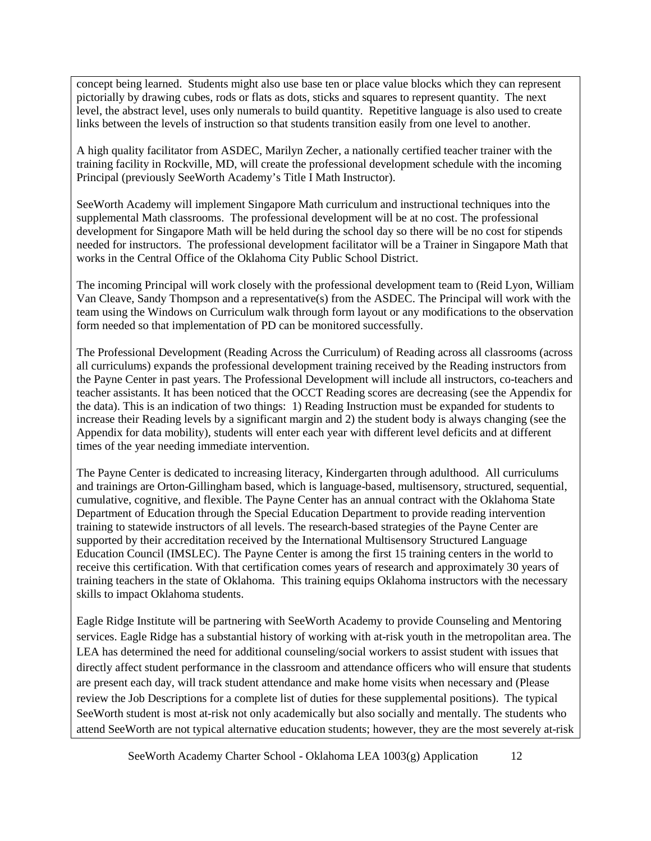concept being learned. Students might also use base ten or place value blocks which they can represent pictorially by drawing cubes, rods or flats as dots, sticks and squares to represent quantity. The next level, the abstract level, uses only numerals to build quantity. Repetitive language is also used to create links between the levels of instruction so that students transition easily from one level to another.

A high quality facilitator from ASDEC, Marilyn Zecher, a nationally certified teacher trainer with the training facility in Rockville, MD, will create the professional development schedule with the incoming Principal (previously SeeWorth Academy's Title I Math Instructor).

SeeWorth Academy will implement Singapore Math curriculum and instructional techniques into the supplemental Math classrooms. The professional development will be at no cost. The professional development for Singapore Math will be held during the school day so there will be no cost for stipends needed for instructors. The professional development facilitator will be a Trainer in Singapore Math that works in the Central Office of the Oklahoma City Public School District.

The incoming Principal will work closely with the professional development team to (Reid Lyon, William Van Cleave, Sandy Thompson and a representative(s) from the ASDEC. The Principal will work with the team using the Windows on Curriculum walk through form layout or any modifications to the observation form needed so that implementation of PD can be monitored successfully.

The Professional Development (Reading Across the Curriculum) of Reading across all classrooms (across all curriculums) expands the professional development training received by the Reading instructors from the Payne Center in past years. The Professional Development will include all instructors, co-teachers and teacher assistants. It has been noticed that the OCCT Reading scores are decreasing (see the Appendix for the data). This is an indication of two things: 1) Reading Instruction must be expanded for students to increase their Reading levels by a significant margin and 2) the student body is always changing (see the Appendix for data mobility), students will enter each year with different level deficits and at different times of the year needing immediate intervention.

The Payne Center is dedicated to increasing literacy, Kindergarten through adulthood. All curriculums and trainings are Orton-Gillingham based, which is language-based, multisensory, structured, sequential, cumulative, cognitive, and flexible. The Payne Center has an annual contract with the Oklahoma State Department of Education through the Special Education Department to provide reading intervention training to statewide instructors of all levels. The research-based strategies of the Payne Center are supported by their accreditation received by the International Multisensory Structured Language Education Council (IMSLEC). The Payne Center is among the first 15 training centers in the world to receive this certification. With that certification comes years of research and approximately 30 years of training teachers in the state of Oklahoma. This training equips Oklahoma instructors with the necessary skills to impact Oklahoma students.

Eagle Ridge Institute will be partnering with SeeWorth Academy to provide Counseling and Mentoring services. Eagle Ridge has a substantial history of working with at-risk youth in the metropolitan area. The LEA has determined the need for additional counseling/social workers to assist student with issues that directly affect student performance in the classroom and attendance officers who will ensure that students are present each day, will track student attendance and make home visits when necessary and (Please review the Job Descriptions for a complete list of duties for these supplemental positions). The typical SeeWorth student is most at-risk not only academically but also socially and mentally. The students who attend SeeWorth are not typical alternative education students; however, they are the most severely at-risk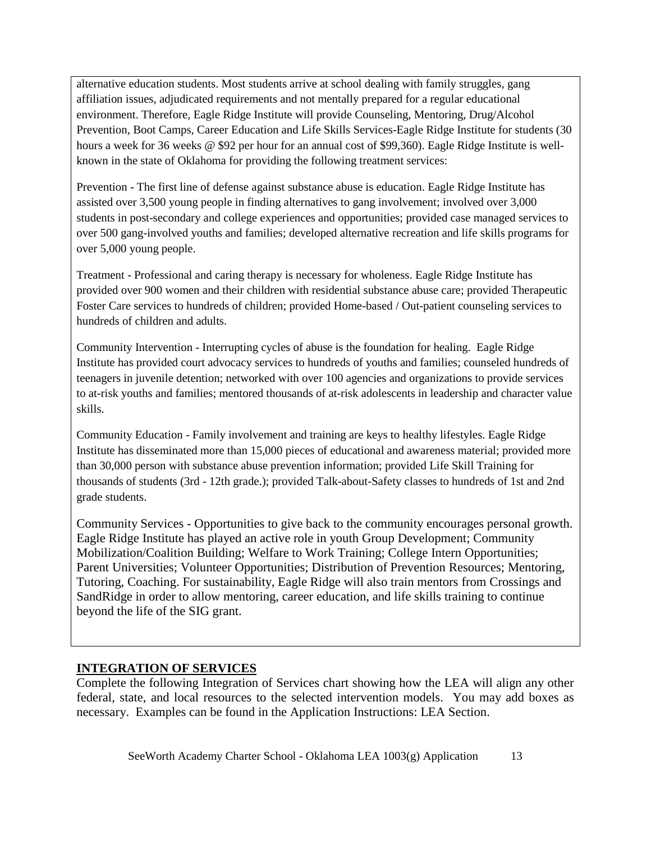alternative education students. Most students arrive at school dealing with family struggles, gang affiliation issues, adjudicated requirements and not mentally prepared for a regular educational environment. Therefore, Eagle Ridge Institute will provide Counseling, Mentoring, Drug/Alcohol Prevention, Boot Camps, Career Education and Life Skills Services-Eagle Ridge Institute for students (30 hours a week for 36 weeks @ \$92 per hour for an annual cost of \$99,360). Eagle Ridge Institute is wellknown in the state of Oklahoma for providing the following treatment services:

Prevention - The first line of defense against substance abuse is education. Eagle Ridge Institute has assisted over 3,500 young people in finding alternatives to gang involvement; involved over 3,000 students in post-secondary and college experiences and opportunities; provided case managed services to over 500 gang-involved youths and families; developed alternative recreation and life skills programs for over 5,000 young people.

Treatment - Professional and caring therapy is necessary for wholeness. Eagle Ridge Institute has provided over 900 women and their children with residential substance abuse care; provided Therapeutic Foster Care services to hundreds of children; provided Home-based / Out-patient counseling services to hundreds of children and adults.

Community Intervention - Interrupting cycles of abuse is the foundation for healing. Eagle Ridge Institute has provided court advocacy services to hundreds of youths and families; counseled hundreds of teenagers in juvenile detention; networked with over 100 agencies and organizations to provide services to at-risk youths and families; mentored thousands of at-risk adolescents in leadership and character value skills.

Community Education - Family involvement and training are keys to healthy lifestyles. Eagle Ridge Institute has disseminated more than 15,000 pieces of educational and awareness material; provided more than 30,000 person with substance abuse prevention information; provided Life Skill Training for thousands of students (3rd - 12th grade.); provided Talk-about-Safety classes to hundreds of 1st and 2nd grade students.

Community Services - Opportunities to give back to the community encourages personal growth. Eagle Ridge Institute has played an active role in youth Group Development; Community Mobilization/Coalition Building; Welfare to Work Training; College Intern Opportunities; Parent Universities; Volunteer Opportunities; Distribution of Prevention Resources; Mentoring, Tutoring, Coaching. For sustainability, Eagle Ridge will also train mentors from Crossings and SandRidge in order to allow mentoring, career education, and life skills training to continue beyond the life of the SIG grant.

# **INTEGRATION OF SERVICES**

Complete the following Integration of Services chart showing how the LEA will align any other federal, state, and local resources to the selected intervention models. You may add boxes as necessary. Examples can be found in the Application Instructions: LEA Section.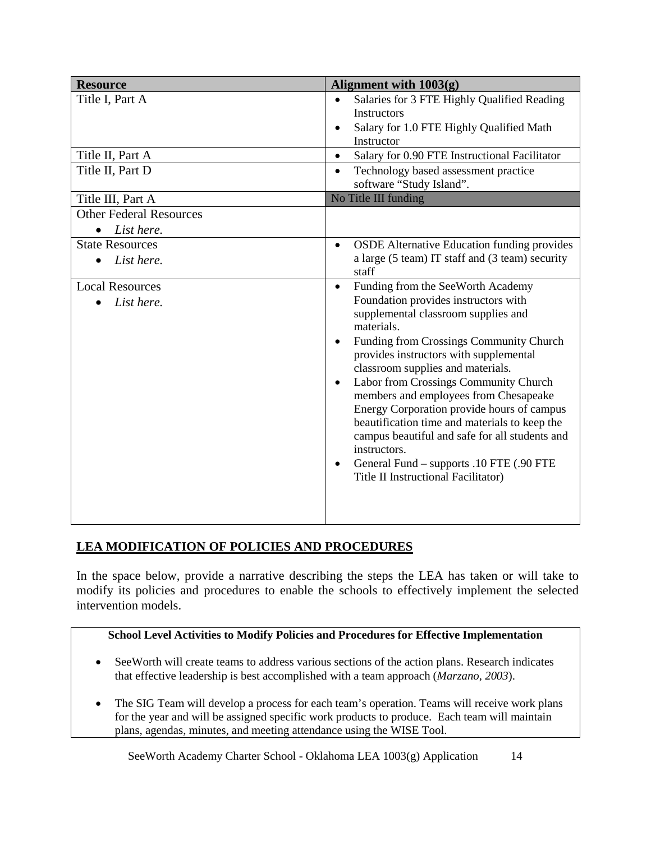| <b>Resource</b>                | Alignment with $1003(g)$                                                      |
|--------------------------------|-------------------------------------------------------------------------------|
| Title I, Part A                | Salaries for 3 FTE Highly Qualified Reading                                   |
|                                | <b>Instructors</b>                                                            |
|                                | Salary for 1.0 FTE Highly Qualified Math                                      |
|                                | Instructor                                                                    |
| Title II, Part A               | Salary for 0.90 FTE Instructional Facilitator<br>$\bullet$                    |
| Title II, Part D               | Technology based assessment practice<br>$\bullet$<br>software "Study Island". |
| Title III, Part A              | No Title III funding                                                          |
| <b>Other Federal Resources</b> |                                                                               |
| List here.<br>$\bullet$        |                                                                               |
| <b>State Resources</b>         | <b>OSDE</b> Alternative Education funding provides<br>$\bullet$               |
| List here.                     | a large (5 team) IT staff and (3 team) security                               |
|                                | staff                                                                         |
| <b>Local Resources</b>         | Funding from the SeeWorth Academy<br>$\bullet$                                |
| List here.                     | Foundation provides instructors with                                          |
|                                | supplemental classroom supplies and<br>materials.                             |
|                                | Funding from Crossings Community Church                                       |
|                                | provides instructors with supplemental                                        |
|                                | classroom supplies and materials.                                             |
|                                | Labor from Crossings Community Church<br>$\bullet$                            |
|                                | members and employees from Chesapeake                                         |
|                                | Energy Corporation provide hours of campus                                    |
|                                | beautification time and materials to keep the                                 |
|                                | campus beautiful and safe for all students and                                |
|                                | instructors.                                                                  |
|                                | General Fund - supports .10 FTE (.90 FTE                                      |
|                                | Title II Instructional Facilitator)                                           |
|                                |                                                                               |
|                                |                                                                               |
|                                |                                                                               |

# **LEA MODIFICATION OF POLICIES AND PROCEDURES**

In the space below, provide a narrative describing the steps the LEA has taken or will take to modify its policies and procedures to enable the schools to effectively implement the selected intervention models.

#### **School Level Activities to Modify Policies and Procedures for Effective Implementation**

- SeeWorth will create teams to address various sections of the action plans. Research indicates that effective leadership is best accomplished with a team approach (*Marzano, 2003*).
- The SIG Team will develop a process for each team's operation. Teams will receive work plans for the year and will be assigned specific work products to produce. Each team will maintain plans, agendas, minutes, and meeting attendance using the WISE Tool.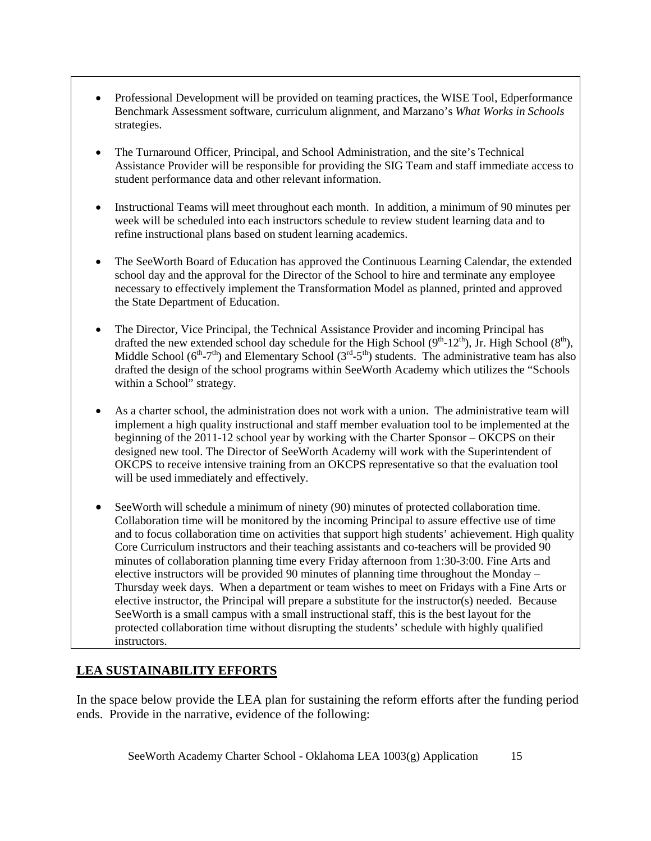- Professional Development will be provided on teaming practices, the WISE Tool, Edperformance Benchmark Assessment software, curriculum alignment, and Marzano's *What Works in Schools*  strategies.
- The Turnaround Officer, Principal, and School Administration, and the site's Technical Assistance Provider will be responsible for providing the SIG Team and staff immediate access to student performance data and other relevant information.
- Instructional Teams will meet throughout each month. In addition, a minimum of 90 minutes per week will be scheduled into each instructors schedule to review student learning data and to refine instructional plans based on student learning academics.
- The SeeWorth Board of Education has approved the Continuous Learning Calendar, the extended school day and the approval for the Director of the School to hire and terminate any employee necessary to effectively implement the Transformation Model as planned, printed and approved the State Department of Education.
- The Director, Vice Principal, the Technical Assistance Provider and incoming Principal has drafted the new extended school day schedule for the High School  $(9<sup>th</sup>-12<sup>th</sup>)$ , Jr. High School  $(8<sup>th</sup>)$ , Middle School ( $6<sup>th</sup>-7<sup>th</sup>$ ) and Elementary School ( $3<sup>rd</sup>-5<sup>th</sup>$ ) students. The administrative team has also drafted the design of the school programs within SeeWorth Academy which utilizes the "Schools within a School" strategy.
- As a charter school, the administration does not work with a union. The administrative team will implement a high quality instructional and staff member evaluation tool to be implemented at the beginning of the 2011-12 school year by working with the Charter Sponsor – OKCPS on their designed new tool. The Director of SeeWorth Academy will work with the Superintendent of OKCPS to receive intensive training from an OKCPS representative so that the evaluation tool will be used immediately and effectively.
- SeeWorth will schedule a minimum of ninety (90) minutes of protected collaboration time. Collaboration time will be monitored by the incoming Principal to assure effective use of time and to focus collaboration time on activities that support high students' achievement. High quality Core Curriculum instructors and their teaching assistants and co-teachers will be provided 90 minutes of collaboration planning time every Friday afternoon from 1:30-3:00. Fine Arts and elective instructors will be provided 90 minutes of planning time throughout the Monday – Thursday week days. When a department or team wishes to meet on Fridays with a Fine Arts or elective instructor, the Principal will prepare a substitute for the instructor(s) needed. Because SeeWorth is a small campus with a small instructional staff, this is the best layout for the protected collaboration time without disrupting the students' schedule with highly qualified instructors.

# **LEA SUSTAINABILITY EFFORTS**

In the space below provide the LEA plan for sustaining the reform efforts after the funding period ends. Provide in the narrative, evidence of the following: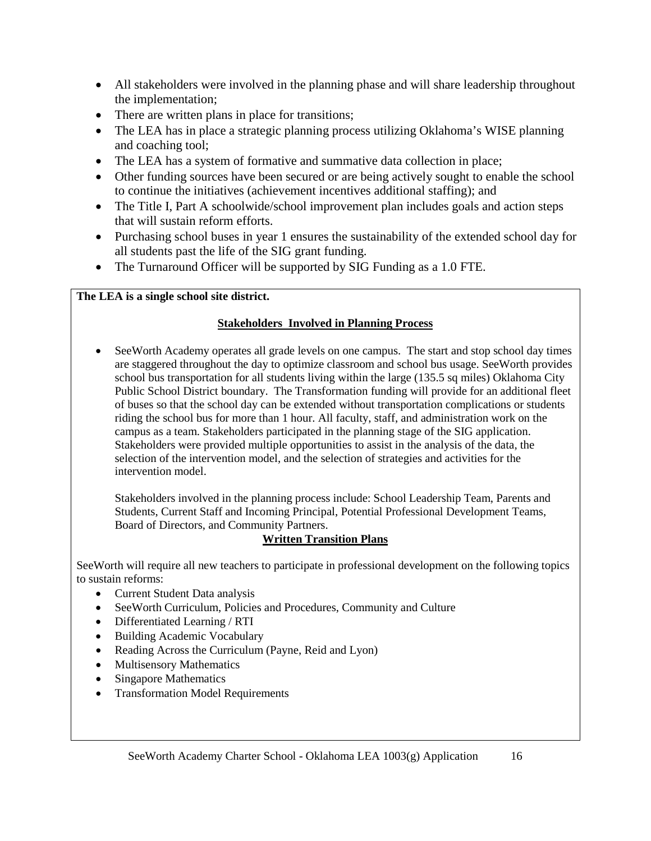- All stakeholders were involved in the planning phase and will share leadership throughout the implementation;
- There are written plans in place for transitions;
- The LEA has in place a strategic planning process utilizing Oklahoma's WISE planning and coaching tool;
- The LEA has a system of formative and summative data collection in place;
- Other funding sources have been secured or are being actively sought to enable the school to continue the initiatives (achievement incentives additional staffing); and
- The Title I, Part A schoolwide/school improvement plan includes goals and action steps that will sustain reform efforts.
- Purchasing school buses in year 1 ensures the sustainability of the extended school day for all students past the life of the SIG grant funding.
- The Turnaround Officer will be supported by SIG Funding as a 1.0 FTE.

# **The LEA is a single school site district.**

### **Stakeholders Involved in Planning Process**

• SeeWorth Academy operates all grade levels on one campus. The start and stop school day times are staggered throughout the day to optimize classroom and school bus usage. SeeWorth provides school bus transportation for all students living within the large (135.5 sq miles) Oklahoma City Public School District boundary. The Transformation funding will provide for an additional fleet of buses so that the school day can be extended without transportation complications or students riding the school bus for more than 1 hour. All faculty, staff, and administration work on the campus as a team. Stakeholders participated in the planning stage of the SIG application. Stakeholders were provided multiple opportunities to assist in the analysis of the data, the selection of the intervention model, and the selection of strategies and activities for the intervention model.

Stakeholders involved in the planning process include: School Leadership Team, Parents and Students, Current Staff and Incoming Principal, Potential Professional Development Teams, Board of Directors, and Community Partners.

#### **Written Transition Plans**

SeeWorth will require all new teachers to participate in professional development on the following topics to sustain reforms:

- Current Student Data analysis
- SeeWorth Curriculum, Policies and Procedures, Community and Culture
- Differentiated Learning / RTI
- Building Academic Vocabulary
- Reading Across the Curriculum (Payne, Reid and Lyon)
- Multisensory Mathematics
- Singapore Mathematics
- Transformation Model Requirements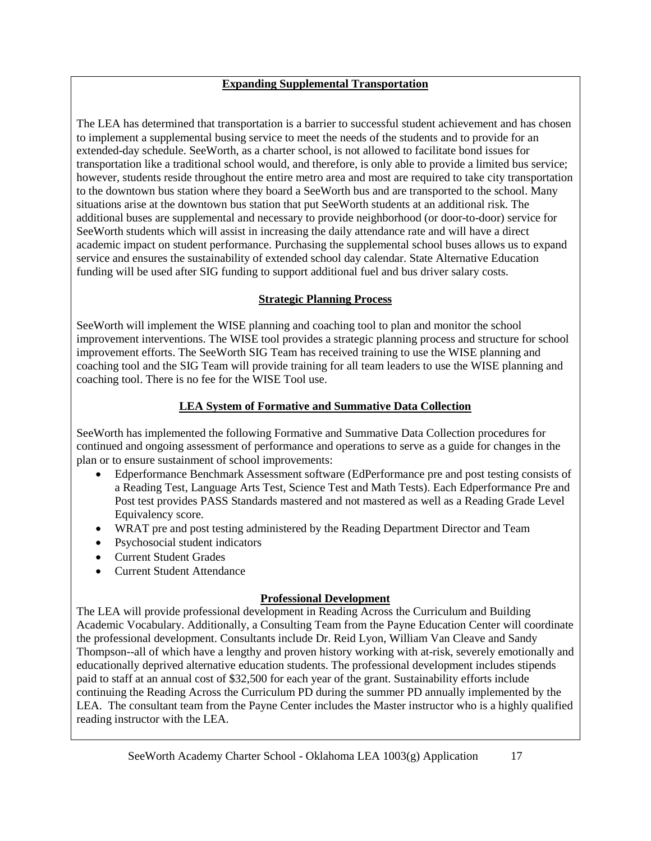### **Expanding Supplemental Transportation**

The LEA has determined that transportation is a barrier to successful student achievement and has chosen to implement a supplemental busing service to meet the needs of the students and to provide for an extended-day schedule. SeeWorth, as a charter school, is not allowed to facilitate bond issues for transportation like a traditional school would, and therefore, is only able to provide a limited bus service; however, students reside throughout the entire metro area and most are required to take city transportation to the downtown bus station where they board a SeeWorth bus and are transported to the school. Many situations arise at the downtown bus station that put SeeWorth students at an additional risk. The additional buses are supplemental and necessary to provide neighborhood (or door-to-door) service for SeeWorth students which will assist in increasing the daily attendance rate and will have a direct academic impact on student performance. Purchasing the supplemental school buses allows us to expand service and ensures the sustainability of extended school day calendar. State Alternative Education funding will be used after SIG funding to support additional fuel and bus driver salary costs.

#### **Strategic Planning Process**

SeeWorth will implement the WISE planning and coaching tool to plan and monitor the school improvement interventions. The WISE tool provides a strategic planning process and structure for school improvement efforts. The SeeWorth SIG Team has received training to use the WISE planning and coaching tool and the SIG Team will provide training for all team leaders to use the WISE planning and coaching tool. There is no fee for the WISE Tool use.

# **LEA System of Formative and Summative Data Collection**

SeeWorth has implemented the following Formative and Summative Data Collection procedures for continued and ongoing assessment of performance and operations to serve as a guide for changes in the plan or to ensure sustainment of school improvements:

- Edperformance Benchmark Assessment software (EdPerformance pre and post testing consists of a Reading Test, Language Arts Test, Science Test and Math Tests). Each Edperformance Pre and Post test provides PASS Standards mastered and not mastered as well as a Reading Grade Level Equivalency score.
- WRAT pre and post testing administered by the Reading Department Director and Team
- Psychosocial student indicators
- Current Student Grades
- Current Student Attendance

# **Professional Development**

The LEA will provide professional development in Reading Across the Curriculum and Building Academic Vocabulary. Additionally, a Consulting Team from the Payne Education Center will coordinate the professional development. Consultants include Dr. Reid Lyon, William Van Cleave and Sandy Thompson--all of which have a lengthy and proven history working with at-risk, severely emotionally and educationally deprived alternative education students. The professional development includes stipends paid to staff at an annual cost of \$32,500 for each year of the grant. Sustainability efforts include continuing the Reading Across the Curriculum PD during the summer PD annually implemented by the LEA. The consultant team from the Payne Center includes the Master instructor who is a highly qualified reading instructor with the LEA.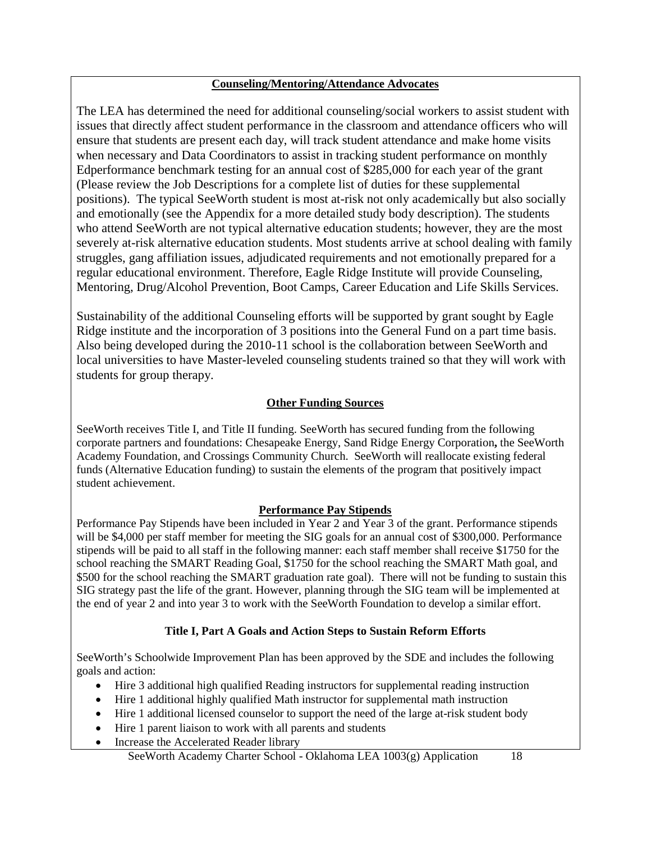#### **Counseling/Mentoring/Attendance Advocates**

The LEA has determined the need for additional counseling/social workers to assist student with issues that directly affect student performance in the classroom and attendance officers who will ensure that students are present each day, will track student attendance and make home visits when necessary and Data Coordinators to assist in tracking student performance on monthly Edperformance benchmark testing for an annual cost of \$285,000 for each year of the grant (Please review the Job Descriptions for a complete list of duties for these supplemental positions). The typical SeeWorth student is most at-risk not only academically but also socially and emotionally (see the Appendix for a more detailed study body description). The students who attend SeeWorth are not typical alternative education students; however, they are the most severely at-risk alternative education students. Most students arrive at school dealing with family struggles, gang affiliation issues, adjudicated requirements and not emotionally prepared for a regular educational environment. Therefore, Eagle Ridge Institute will provide Counseling, Mentoring, Drug/Alcohol Prevention, Boot Camps, Career Education and Life Skills Services.

Sustainability of the additional Counseling efforts will be supported by grant sought by Eagle Ridge institute and the incorporation of 3 positions into the General Fund on a part time basis. Also being developed during the 2010-11 school is the collaboration between SeeWorth and local universities to have Master-leveled counseling students trained so that they will work with students for group therapy.

# **Other Funding Sources**

SeeWorth receives Title I, and Title II funding. SeeWorth has secured funding from the following corporate partners and foundations: Chesapeake Energy, Sand Ridge Energy Corporation**,** the SeeWorth Academy Foundation, and Crossings Community Church. SeeWorth will reallocate existing federal funds (Alternative Education funding) to sustain the elements of the program that positively impact student achievement.

# **Performance Pay Stipends**

Performance Pay Stipends have been included in Year 2 and Year 3 of the grant. Performance stipends will be \$4,000 per staff member for meeting the SIG goals for an annual cost of \$300,000. Performance stipends will be paid to all staff in the following manner: each staff member shall receive \$1750 for the school reaching the SMART Reading Goal, \$1750 for the school reaching the SMART Math goal, and \$500 for the school reaching the SMART graduation rate goal). There will not be funding to sustain this SIG strategy past the life of the grant. However, planning through the SIG team will be implemented at the end of year 2 and into year 3 to work with the SeeWorth Foundation to develop a similar effort.

# **Title I, Part A Goals and Action Steps to Sustain Reform Efforts**

SeeWorth's Schoolwide Improvement Plan has been approved by the SDE and includes the following goals and action:

- Hire 3 additional high qualified Reading instructors for supplemental reading instruction
- Hire 1 additional highly qualified Math instructor for supplemental math instruction
- Hire 1 additional licensed counselor to support the need of the large at-risk student body
- Hire 1 parent liaison to work with all parents and students
- Increase the Accelerated Reader library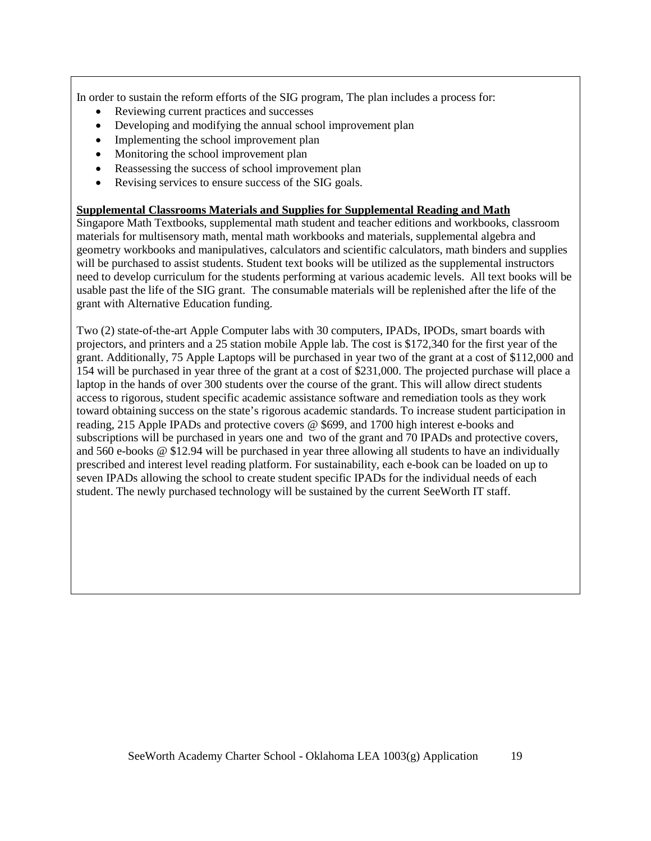In order to sustain the reform efforts of the SIG program, The plan includes a process for:

- Reviewing current practices and successes
- Developing and modifying the annual school improvement plan
- Implementing the school improvement plan
- Monitoring the school improvement plan
- Reassessing the success of school improvement plan
- Revising services to ensure success of the SIG goals.

#### **Supplemental Classrooms Materials and Supplies for Supplemental Reading and Math**

Singapore Math Textbooks, supplemental math student and teacher editions and workbooks, classroom materials for multisensory math, mental math workbooks and materials, supplemental algebra and geometry workbooks and manipulatives, calculators and scientific calculators, math binders and supplies will be purchased to assist students. Student text books will be utilized as the supplemental instructors need to develop curriculum for the students performing at various academic levels. All text books will be usable past the life of the SIG grant. The consumable materials will be replenished after the life of the grant with Alternative Education funding.

Two (2) state-of-the-art Apple Computer labs with 30 computers, IPADs, IPODs, smart boards with projectors, and printers and a 25 station mobile Apple lab. The cost is \$172,340 for the first year of the grant. Additionally, 75 Apple Laptops will be purchased in year two of the grant at a cost of \$112,000 and 154 will be purchased in year three of the grant at a cost of \$231,000. The projected purchase will place a laptop in the hands of over 300 students over the course of the grant. This will allow direct students access to rigorous, student specific academic assistance software and remediation tools as they work toward obtaining success on the state's rigorous academic standards. To increase student participation in reading, 215 Apple IPADs and protective covers @ \$699, and 1700 high interest e-books and subscriptions will be purchased in years one and two of the grant and 70 IPADs and protective covers, and 560 e-books @ \$12.94 will be purchased in year three allowing all students to have an individually prescribed and interest level reading platform. For sustainability, each e-book can be loaded on up to seven IPADs allowing the school to create student specific IPADs for the individual needs of each student. The newly purchased technology will be sustained by the current SeeWorth IT staff.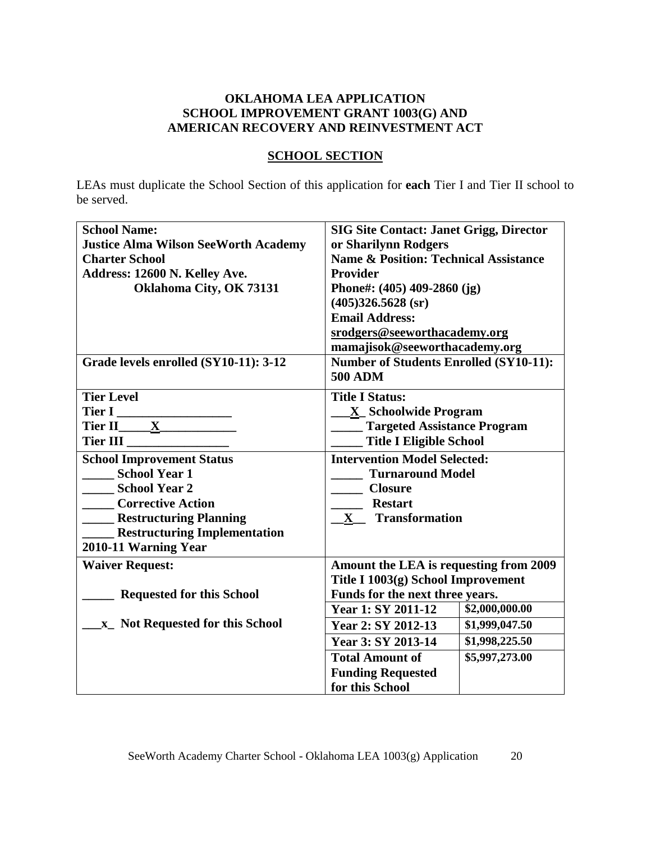# **OKLAHOMA LEA APPLICATION SCHOOL IMPROVEMENT GRANT 1003(G) AND AMERICAN RECOVERY AND REINVESTMENT ACT**

# **SCHOOL SECTION**

LEAs must duplicate the School Section of this application for **each** Tier I and Tier II school to be served.

| <b>School Name:</b>                         | <b>SIG Site Contact: Janet Grigg, Director</b>   |                |  |
|---------------------------------------------|--------------------------------------------------|----------------|--|
| <b>Justice Alma Wilson SeeWorth Academy</b> | or Sharilynn Rodgers                             |                |  |
| <b>Charter School</b>                       | <b>Name &amp; Position: Technical Assistance</b> |                |  |
| Address: 12600 N. Kelley Ave.               | <b>Provider</b>                                  |                |  |
| Oklahoma City, OK 73131                     | Phone#: $(405)$ 409-2860 (jg)                    |                |  |
|                                             | $(405)326.5628$ (sr)                             |                |  |
|                                             | <b>Email Address:</b>                            |                |  |
|                                             | srodgers@seeworthacademy.org                     |                |  |
|                                             | mamajisok@seeworthacademy.org                    |                |  |
| Grade levels enrolled (SY10-11): 3-12       | <b>Number of Students Enrolled (SY10-11):</b>    |                |  |
|                                             | <b>500 ADM</b>                                   |                |  |
| <b>Tier Level</b>                           | <b>Title I Status:</b>                           |                |  |
| Tier I                                      | <b>X</b> Schoolwide Program                      |                |  |
| Tier II $\underline{X}$                     | <b>Targeted Assistance Program</b>               |                |  |
| Tier III                                    | <b>Title I Eligible School</b>                   |                |  |
| <b>School Improvement Status</b>            | <b>Intervention Model Selected:</b>              |                |  |
| <b>School Year 1</b>                        | <b>Turnaround Model</b>                          |                |  |
| School Year 2                               | <b>Closure</b>                                   |                |  |
| <b>Corrective Action</b>                    | <b>Restart</b>                                   |                |  |
| <b>Example 1 Restructuring Planning</b>     | <b>Transformation</b><br>$\mathbf X$             |                |  |
| <b>Examplementation</b> Exercity Properties |                                                  |                |  |
| 2010-11 Warning Year                        |                                                  |                |  |
| <b>Waiver Request:</b>                      | Amount the LEA is requesting from 2009           |                |  |
|                                             | Title I 1003(g) School Improvement               |                |  |
| <b>Requested for this School</b>            | Funds for the next three years.                  |                |  |
|                                             | <b>Year 1: SY 2011-12</b>                        | \$2,000,000.00 |  |
| x Not Requested for this School             | Year 2: SY 2012-13                               | \$1,999,047.50 |  |
|                                             | Year 3: SY 2013-14                               | \$1,998,225.50 |  |
|                                             | <b>Total Amount of</b>                           | \$5,997,273.00 |  |
|                                             | <b>Funding Requested</b>                         |                |  |
|                                             | for this School                                  |                |  |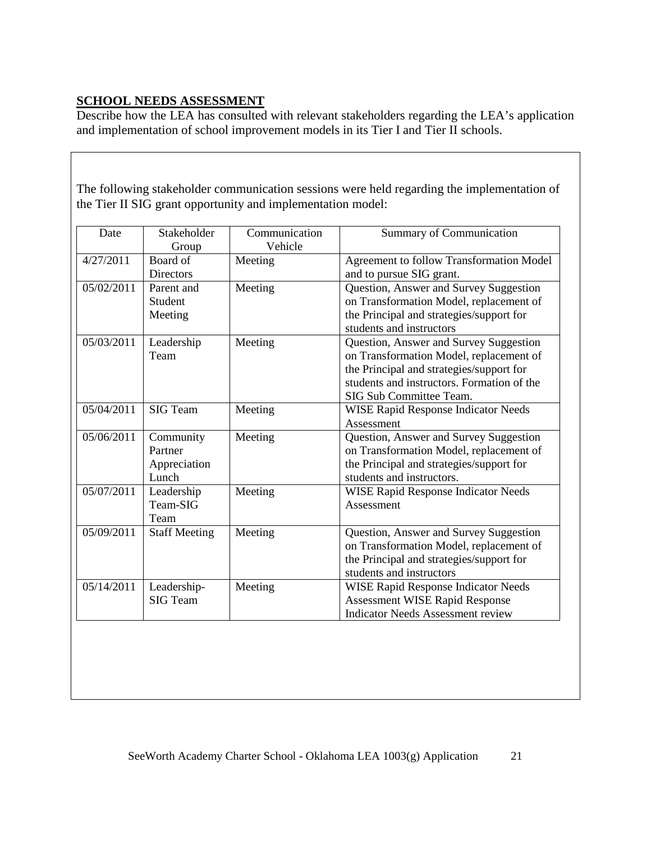# **SCHOOL NEEDS ASSESSMENT**

Describe how the LEA has consulted with relevant stakeholders regarding the LEA's application and implementation of school improvement models in its Tier I and Tier II schools.

The following stakeholder communication sessions were held regarding the implementation of the Tier II SIG grant opportunity and implementation model:

| Date       | Stakeholder<br>Group                          | Communication<br>Vehicle | <b>Summary of Communication</b>                                                                                                                                                                        |
|------------|-----------------------------------------------|--------------------------|--------------------------------------------------------------------------------------------------------------------------------------------------------------------------------------------------------|
| 4/27/2011  | Board of<br><b>Directors</b>                  | Meeting                  | Agreement to follow Transformation Model<br>and to pursue SIG grant.                                                                                                                                   |
| 05/02/2011 | Parent and<br>Student<br>Meeting              | Meeting                  | Question, Answer and Survey Suggestion<br>on Transformation Model, replacement of<br>the Principal and strategies/support for<br>students and instructors                                              |
| 05/03/2011 | Leadership<br>Team                            | Meeting                  | Question, Answer and Survey Suggestion<br>on Transformation Model, replacement of<br>the Principal and strategies/support for<br>students and instructors. Formation of the<br>SIG Sub Committee Team. |
| 05/04/2011 | <b>SIG</b> Team                               | Meeting                  | <b>WISE Rapid Response Indicator Needs</b><br>Assessment                                                                                                                                               |
| 05/06/2011 | Community<br>Partner<br>Appreciation<br>Lunch | Meeting                  | Question, Answer and Survey Suggestion<br>on Transformation Model, replacement of<br>the Principal and strategies/support for<br>students and instructors.                                             |
| 05/07/2011 | Leadership<br>Team-SIG<br>Team                | Meeting                  | <b>WISE Rapid Response Indicator Needs</b><br>Assessment                                                                                                                                               |
| 05/09/2011 | <b>Staff Meeting</b>                          | Meeting                  | Question, Answer and Survey Suggestion<br>on Transformation Model, replacement of<br>the Principal and strategies/support for<br>students and instructors                                              |
| 05/14/2011 | Leadership-<br><b>SIG Team</b>                | Meeting                  | <b>WISE Rapid Response Indicator Needs</b><br><b>Assessment WISE Rapid Response</b><br><b>Indicator Needs Assessment review</b>                                                                        |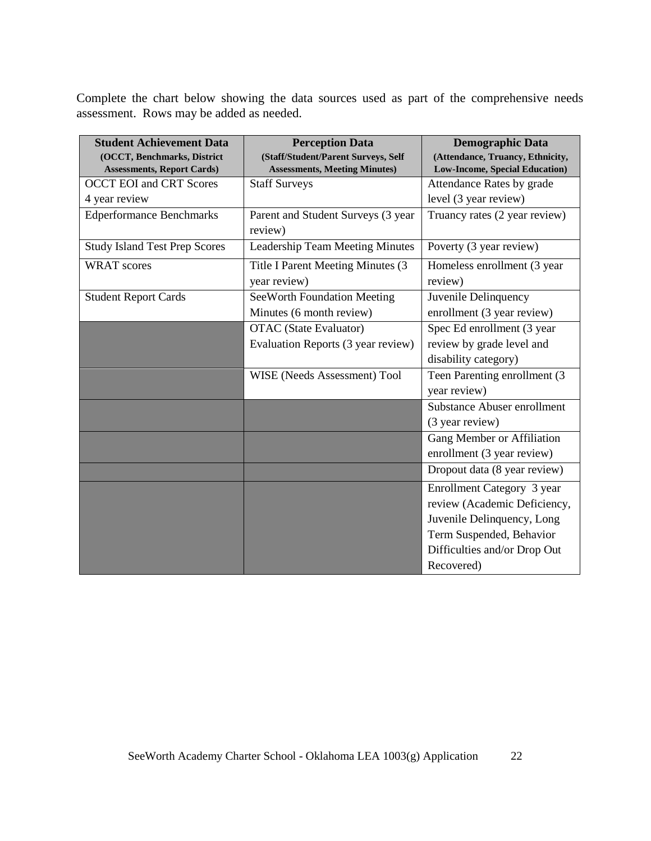Complete the chart below showing the data sources used as part of the comprehensive needs assessment. Rows may be added as needed.

| <b>Student Achievement Data</b>      | <b>Perception Data</b>                 | <b>Demographic Data</b>               |
|--------------------------------------|----------------------------------------|---------------------------------------|
| (OCCT, Benchmarks, District          | (Staff/Student/Parent Surveys, Self    | (Attendance, Truancy, Ethnicity,      |
| <b>Assessments, Report Cards)</b>    | <b>Assessments, Meeting Minutes)</b>   | <b>Low-Income, Special Education)</b> |
| <b>OCCT EOI and CRT Scores</b>       | <b>Staff Surveys</b>                   | Attendance Rates by grade             |
| 4 year review                        |                                        | level (3 year review)                 |
| <b>Edperformance Benchmarks</b>      | Parent and Student Surveys (3 year     | Truancy rates (2 year review)         |
|                                      | review)                                |                                       |
| <b>Study Island Test Prep Scores</b> | <b>Leadership Team Meeting Minutes</b> | Poverty (3 year review)               |
| <b>WRAT</b> scores                   | Title I Parent Meeting Minutes (3      | Homeless enrollment (3 year           |
|                                      | year review)                           | review)                               |
| <b>Student Report Cards</b>          | SeeWorth Foundation Meeting            | Juvenile Delinquency                  |
|                                      | Minutes (6 month review)               | enrollment (3 year review)            |
|                                      | <b>OTAC</b> (State Evaluator)          | Spec Ed enrollment (3 year            |
|                                      | Evaluation Reports (3 year review)     | review by grade level and             |
|                                      |                                        | disability category)                  |
|                                      | WISE (Needs Assessment) Tool           | Teen Parenting enrollment (3          |
|                                      |                                        | year review)                          |
|                                      |                                        | <b>Substance Abuser enrollment</b>    |
|                                      |                                        | (3 year review)                       |
|                                      |                                        | Gang Member or Affiliation            |
|                                      |                                        | enrollment (3 year review)            |
|                                      |                                        | Dropout data (8 year review)          |
|                                      |                                        | Enrollment Category 3 year            |
|                                      |                                        | review (Academic Deficiency,          |
|                                      |                                        | Juvenile Delinquency, Long            |
|                                      |                                        | Term Suspended, Behavior              |
|                                      |                                        | Difficulties and/or Drop Out          |
|                                      |                                        | Recovered)                            |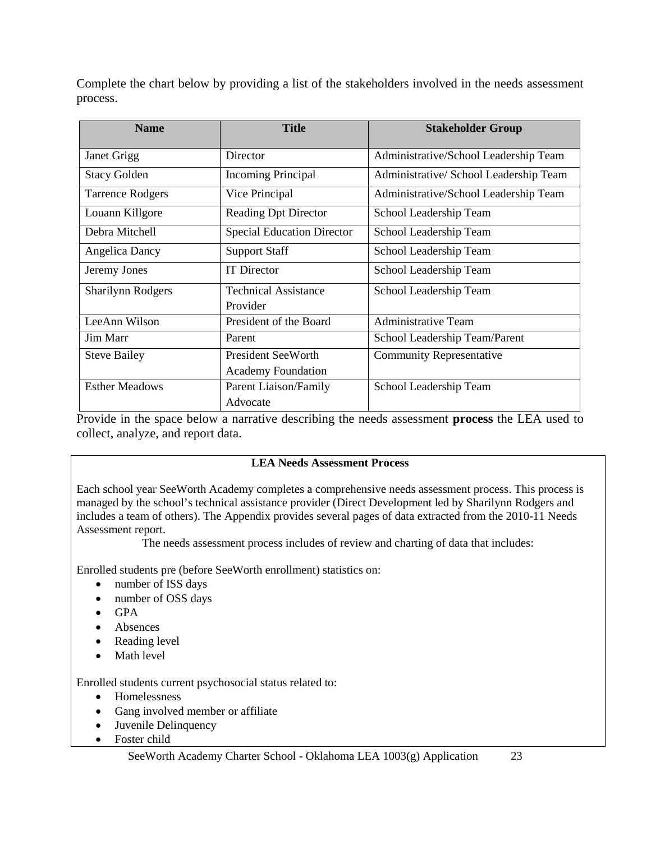Complete the chart below by providing a list of the stakeholders involved in the needs assessment process.

| <b>Name</b>              | <b>Title</b>                      | <b>Stakeholder Group</b>               |
|--------------------------|-----------------------------------|----------------------------------------|
| Janet Grigg              | Director                          | Administrative/School Leadership Team  |
| <b>Stacy Golden</b>      | <b>Incoming Principal</b>         | Administrative/ School Leadership Team |
| <b>Tarrence Rodgers</b>  | Vice Principal                    | Administrative/School Leadership Team  |
| Louann Killgore          | <b>Reading Dpt Director</b>       | School Leadership Team                 |
| Debra Mitchell           | <b>Special Education Director</b> | School Leadership Team                 |
| <b>Angelica Dancy</b>    | <b>Support Staff</b>              | School Leadership Team                 |
| Jeremy Jones             | <b>IT</b> Director                | School Leadership Team                 |
| <b>Sharilynn Rodgers</b> | <b>Technical Assistance</b>       | School Leadership Team                 |
|                          | Provider                          |                                        |
| LeeAnn Wilson            | President of the Board            | <b>Administrative Team</b>             |
| Jim Marr                 | Parent                            | School Leadership Team/Parent          |
| <b>Steve Bailey</b>      | <b>President SeeWorth</b>         | <b>Community Representative</b>        |
|                          | <b>Academy Foundation</b>         |                                        |
| <b>Esther Meadows</b>    | Parent Liaison/Family             | School Leadership Team                 |
|                          | Advocate                          |                                        |

Provide in the space below a narrative describing the needs assessment **process** the LEA used to collect, analyze, and report data.

### **LEA Needs Assessment Process**

Each school year SeeWorth Academy completes a comprehensive needs assessment process. This process is managed by the school's technical assistance provider (Direct Development led by Sharilynn Rodgers and includes a team of others). The Appendix provides several pages of data extracted from the 2010-11 Needs Assessment report.

The needs assessment process includes of review and charting of data that includes:

Enrolled students pre (before SeeWorth enrollment) statistics on:

- number of ISS days
- number of OSS days
- GPA
- Absences
- Reading level
- Math level

Enrolled students current psychosocial status related to:

- Homelessness
- Gang involved member or affiliate
- Juvenile Delinquency
- Foster child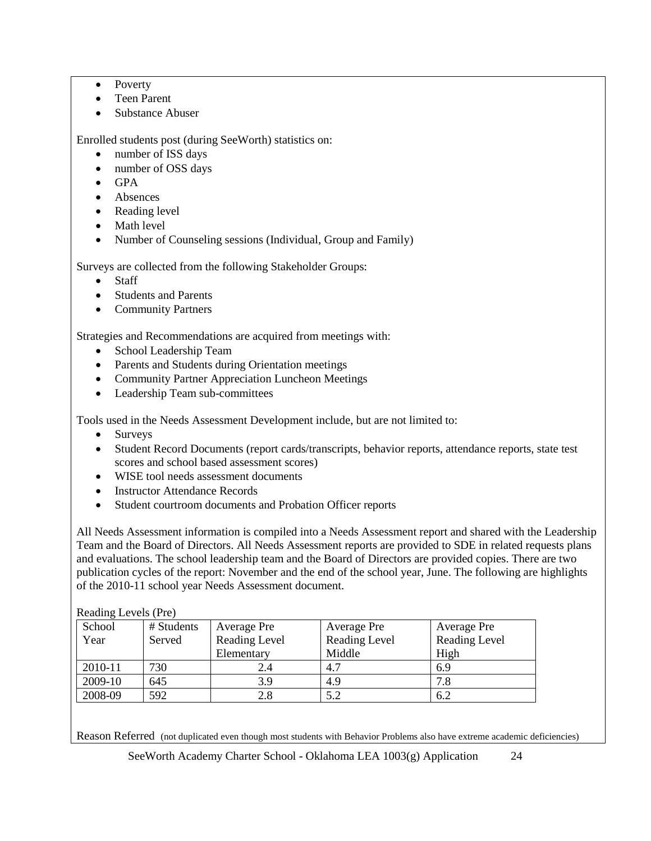- Poverty
- Teen Parent
- Substance Abuser

Enrolled students post (during SeeWorth) statistics on:

- number of ISS days
- number of OSS days
- GPA
- Absences
- Reading level
- Math level
- Number of Counseling sessions (Individual, Group and Family)

Surveys are collected from the following Stakeholder Groups:

- **Staff**
- Students and Parents
- Community Partners

Strategies and Recommendations are acquired from meetings with:

- School Leadership Team
- Parents and Students during Orientation meetings
- Community Partner Appreciation Luncheon Meetings
- Leadership Team sub-committees

Tools used in the Needs Assessment Development include, but are not limited to:

- Surveys
- Student Record Documents (report cards/transcripts, behavior reports, attendance reports, state test scores and school based assessment scores)
- WISE tool needs assessment documents
- Instructor Attendance Records
- Student courtroom documents and Probation Officer reports

All Needs Assessment information is compiled into a Needs Assessment report and shared with the Leadership Team and the Board of Directors. All Needs Assessment reports are provided to SDE in related requests plans and evaluations. The school leadership team and the Board of Directors are provided copies. There are two publication cycles of the report: November and the end of the school year, June. The following are highlights of the 2010-11 school year Needs Assessment document.

#### Reading Levels (Pre)

| School  | # Students | Average Pre   | Average Pre   | Average Pre   |
|---------|------------|---------------|---------------|---------------|
| Year    | Served     | Reading Level | Reading Level | Reading Level |
|         |            | Elementary    | Middle        | High          |
| 2010-11 | 730        | 2.4           | 4.7           | 6.9           |
| 2009-10 | 645        | 3.9           | 4.9           | 7.8           |
| 2008-09 | 592        | 2.8           | 5.2           | 6.2           |

Reason Referred (not duplicated even though most students with Behavior Problems also have extreme academic deficiencies)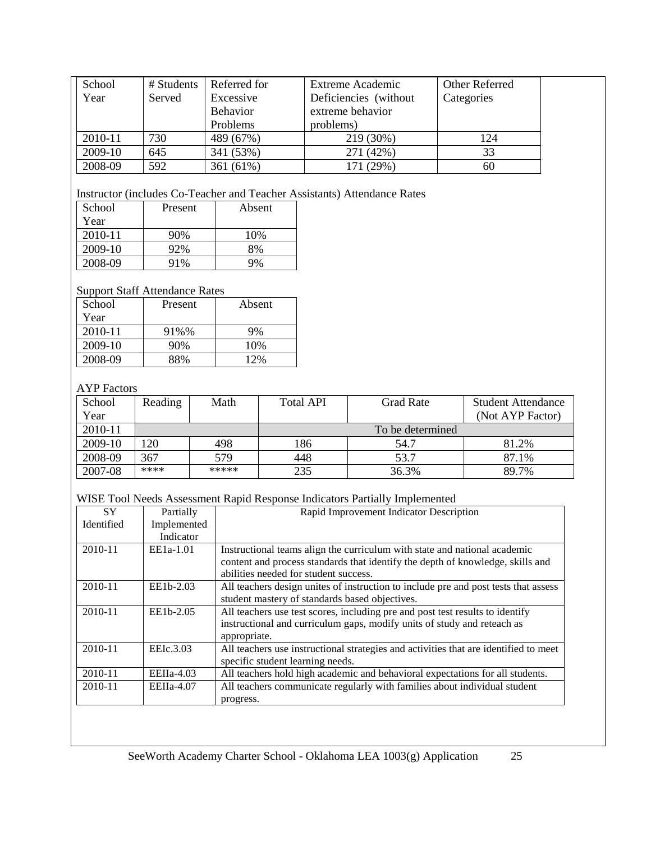| School  | # Students | Referred for    | Extreme Academic       | Other Referred |  |
|---------|------------|-----------------|------------------------|----------------|--|
| Year    | Served     | Excessive       | Deficiencies (without) | Categories     |  |
|         |            | <b>Behavior</b> | extreme behavior       |                |  |
|         |            | <b>Problems</b> | problems)              |                |  |
| 2010-11 | 730        | 489 (67%)       | 219 (30%)              | 124            |  |
| 2009-10 | 645        | 341 (53%)       | 271 (42%)              | 33             |  |
| 2008-09 | 592        | 361 (61%)       | 171 (29%)              | 60             |  |

# Instructor (includes Co-Teacher and Teacher Assistants) Attendance Rates

| School  | Present | Absent |
|---------|---------|--------|
| Year    |         |        |
| 2010-11 | 90%     | 10%    |
| 2009-10 | 92%     | 8%     |
| 2008-09 | 91%     | 9%     |

#### Support Staff Attendance Rates

| School  | Present | Absent |
|---------|---------|--------|
| Year    |         |        |
| 2010-11 | 91%%    | 9%     |
| 2009-10 | 90%     | 10%    |
| 2008-09 | 88%     | 12%    |

# AYP Factors

| School  | Reading | Math  | <b>Total API</b> | Grad Rate        | <b>Student Attendance</b> |
|---------|---------|-------|------------------|------------------|---------------------------|
| Year    |         |       |                  |                  | (Not AYP Factor)          |
| 2010-11 |         |       |                  | To be determined |                           |
| 2009-10 | 120     | 498   | 186              | 54.7             | 81.2%                     |
| 2008-09 | 367     | 579   | 448              | 53.7             | 87.1%                     |
| 2007-08 | ****    | ***** | 235              | 36.3%            | 89.7%                     |

# WISE Tool Needs Assessment Rapid Response Indicators Partially Implemented

| <b>SY</b>  | Partially    | Rapid Improvement Indicator Description                                              |  |  |
|------------|--------------|--------------------------------------------------------------------------------------|--|--|
|            |              |                                                                                      |  |  |
| Identified | Implemented  |                                                                                      |  |  |
|            | Indicator    |                                                                                      |  |  |
| 2010-11    | $EE1a-1.01$  | Instructional teams align the curriculum with state and national academic            |  |  |
|            |              | content and process standards that identify the depth of knowledge, skills and       |  |  |
|            |              | abilities needed for student success.                                                |  |  |
| 2010-11    | EE1b-2.03    | All teachers design unites of instruction to include pre and post tests that assess  |  |  |
|            |              | student mastery of standards based objectives.                                       |  |  |
| 2010-11    | EE1b-2.05    | All teachers use test scores, including pre and post test results to identify        |  |  |
|            |              | instructional and curriculum gaps, modify units of study and reteach as              |  |  |
|            |              | appropriate.                                                                         |  |  |
| 2010-11    | EEIc.3.03    | All teachers use instructional strategies and activities that are identified to meet |  |  |
|            |              | specific student learning needs.                                                     |  |  |
| 2010-11    | $EEIIa-4.03$ | All teachers hold high academic and behavioral expectations for all students.        |  |  |
| 2010-11    | $EEIIa-4.07$ | All teachers communicate regularly with families about individual student            |  |  |
|            |              | progress.                                                                            |  |  |
|            |              |                                                                                      |  |  |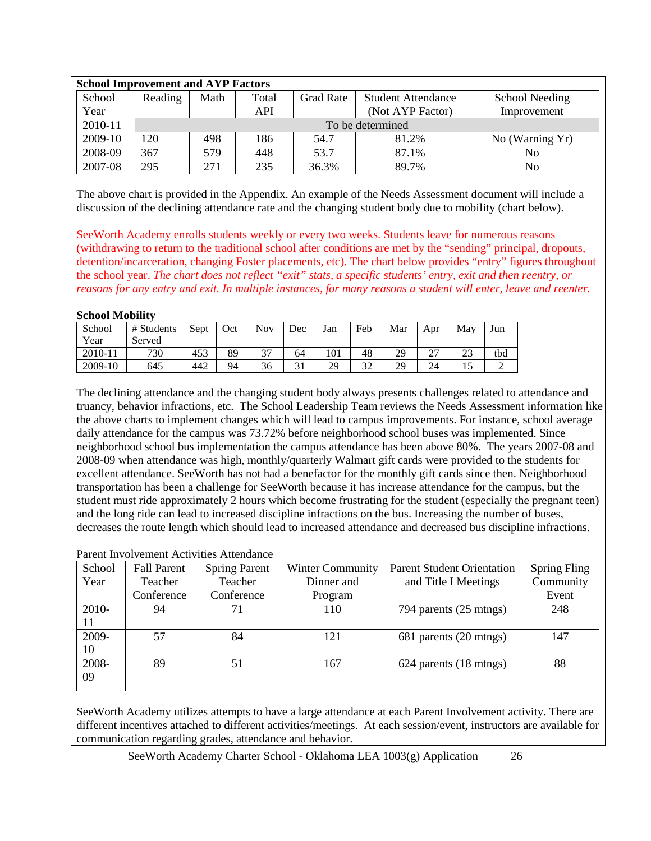| <b>School Improvement and AYP Factors</b> |         |                  |       |                  |                           |                       |  |
|-------------------------------------------|---------|------------------|-------|------------------|---------------------------|-----------------------|--|
| School                                    | Reading | Math             | Total | <b>Grad Rate</b> | <b>Student Attendance</b> | <b>School Needing</b> |  |
| Year                                      |         |                  | API   |                  | (Not AYP Factor)          | Improvement           |  |
| 2010-11                                   |         | To be determined |       |                  |                           |                       |  |
| 2009-10                                   | 120     | 498              | 186   | 54.7             | 81.2%                     | No (Warning Yr)       |  |
| 2008-09                                   | 367     | 579              | 448   | 53.7             | 87.1%                     | N <sub>0</sub>        |  |
| 2007-08                                   | 295     | 271              | 235   | 36.3%            | 89.7%                     | No                    |  |

The above chart is provided in the Appendix. An example of the Needs Assessment document will include a discussion of the declining attendance rate and the changing student body due to mobility (chart below).

SeeWorth Academy enrolls students weekly or every two weeks. Students leave for numerous reasons (withdrawing to return to the traditional school after conditions are met by the "sending" principal, dropouts, detention/incarceration, changing Foster placements, etc). The chart below provides "entry" figures throughout the school year. *The chart does not reflect "exit" stats, a specific students' entry, exit and then reentry, or reasons for any entry and exit. In multiple instances, for many reasons a student will enter, leave and reenter.*

#### **School Mobility**

| School  | # Students | Sept | Oct | <b>Nov</b> | Dec | Jan | Feb                 | Mar | Apr         | May       | Jun |
|---------|------------|------|-----|------------|-----|-----|---------------------|-----|-------------|-----------|-----|
| Year    | Served     |      |     |            |     |     |                     |     |             |           |     |
| 2010-11 | 730        | 453  | 89  | າາ         | 64  | 101 | 48                  | 29  | $\sim$<br>∼ | າາ<br>نەك | tbd |
| 2009-10 | 645        | 442  | 94  | 36         | 31  | 29  | $2^{\prime}$<br>ے د | 29  | 24          |           |     |

The declining attendance and the changing student body always presents challenges related to attendance and truancy, behavior infractions, etc. The School Leadership Team reviews the Needs Assessment information like the above charts to implement changes which will lead to campus improvements. For instance, school average daily attendance for the campus was 73.72% before neighborhood school buses was implemented. Since neighborhood school bus implementation the campus attendance has been above 80%. The years 2007-08 and 2008-09 when attendance was high, monthly/quarterly Walmart gift cards were provided to the students for excellent attendance. SeeWorth has not had a benefactor for the monthly gift cards since then. Neighborhood transportation has been a challenge for SeeWorth because it has increase attendance for the campus, but the student must ride approximately 2 hours which become frustrating for the student (especially the pregnant teen) and the long ride can lead to increased discipline infractions on the bus. Increasing the number of buses, decreases the route length which should lead to increased attendance and decreased bus discipline infractions.

#### Parent Involvement Activities Attendance

| School | <b>Fall Parent</b> | <b>Spring Parent</b> | <b>Winter Community</b> | <b>Parent Student Orientation</b> | <b>Spring Fling</b> |
|--------|--------------------|----------------------|-------------------------|-----------------------------------|---------------------|
| Year   | Teacher            | Teacher              | Dinner and              | and Title I Meetings              | Community           |
|        | Conference         | Conference           | Program                 |                                   | Event               |
| 2010-  | 94                 |                      | 110                     | 794 parents (25 mtngs)            | 248                 |
| 11     |                    |                      |                         |                                   |                     |
| 2009-  | 57                 | 84                   | 121                     | 681 parents (20 mtngs)            | 147                 |
| 10     |                    |                      |                         |                                   |                     |
| 2008-  | 89                 | 51                   | 167                     | 624 parents (18 mtngs)            | 88                  |
| 09     |                    |                      |                         |                                   |                     |
|        |                    |                      |                         |                                   |                     |

SeeWorth Academy utilizes attempts to have a large attendance at each Parent Involvement activity. There are different incentives attached to different activities/meetings. At each session/event, instructors are available for communication regarding grades, attendance and behavior.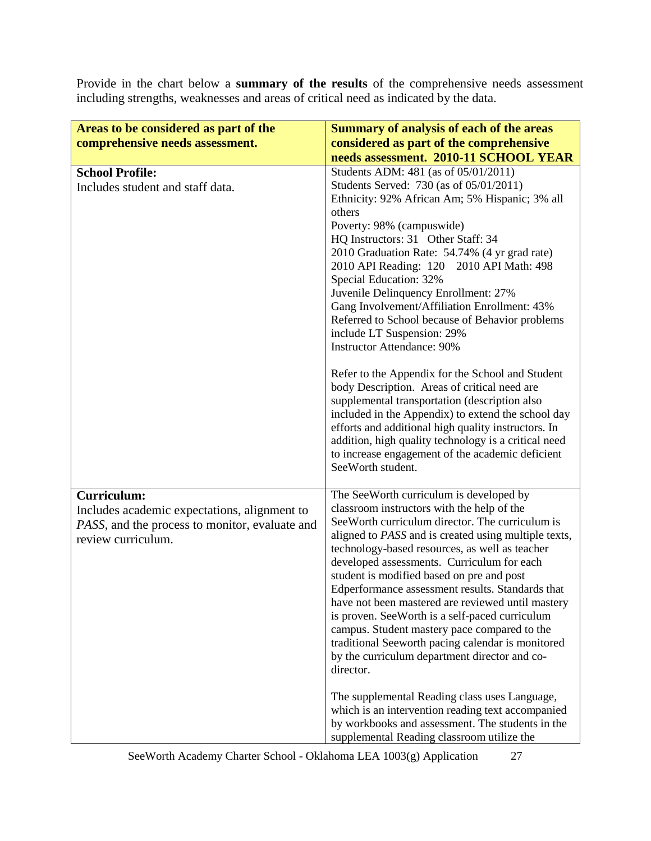Provide in the chart below a **summary of the results** of the comprehensive needs assessment including strengths, weaknesses and areas of critical need as indicated by the data.

| Areas to be considered as part of the                                                                                                      | <b>Summary of analysis of each of the areas</b>                                                                                                                                                                                                                                                                                                                                                                                                                                                                                                                                                                                                                                                                                                                |
|--------------------------------------------------------------------------------------------------------------------------------------------|----------------------------------------------------------------------------------------------------------------------------------------------------------------------------------------------------------------------------------------------------------------------------------------------------------------------------------------------------------------------------------------------------------------------------------------------------------------------------------------------------------------------------------------------------------------------------------------------------------------------------------------------------------------------------------------------------------------------------------------------------------------|
| comprehensive needs assessment.                                                                                                            | considered as part of the comprehensive                                                                                                                                                                                                                                                                                                                                                                                                                                                                                                                                                                                                                                                                                                                        |
|                                                                                                                                            | needs assessment. 2010-11 SCHOOL YEAR                                                                                                                                                                                                                                                                                                                                                                                                                                                                                                                                                                                                                                                                                                                          |
| <b>School Profile:</b><br>Includes student and staff data.                                                                                 | Students ADM: 481 (as of 05/01/2011)<br>Students Served: 730 (as of 05/01/2011)<br>Ethnicity: 92% African Am; 5% Hispanic; 3% all<br>others<br>Poverty: 98% (campuswide)<br>HQ Instructors: 31 Other Staff: 34<br>2010 Graduation Rate: 54.74% (4 yr grad rate)<br>2010 API Reading: 120 2010 API Math: 498<br>Special Education: 32%<br>Juvenile Delinquency Enrollment: 27%<br>Gang Involvement/Affiliation Enrollment: 43%<br>Referred to School because of Behavior problems<br>include LT Suspension: 29%<br><b>Instructor Attendance: 90%</b><br>Refer to the Appendix for the School and Student<br>body Description. Areas of critical need are<br>supplemental transportation (description also<br>included in the Appendix) to extend the school day |
|                                                                                                                                            | efforts and additional high quality instructors. In<br>addition, high quality technology is a critical need<br>to increase engagement of the academic deficient<br>SeeWorth student.                                                                                                                                                                                                                                                                                                                                                                                                                                                                                                                                                                           |
| <b>Curriculum:</b><br>Includes academic expectations, alignment to<br>PASS, and the process to monitor, evaluate and<br>review curriculum. | The SeeWorth curriculum is developed by<br>classroom instructors with the help of the<br>See Worth curriculum director. The curriculum is<br>aligned to PASS and is created using multiple texts,<br>technology-based resources, as well as teacher<br>developed assessments. Curriculum for each<br>student is modified based on pre and post<br>Edperformance assessment results. Standards that<br>have not been mastered are reviewed until mastery<br>is proven. SeeWorth is a self-paced curriculum<br>campus. Student mastery pace compared to the<br>traditional Seeworth pacing calendar is monitored<br>by the curriculum department director and co-<br>director.                                                                                   |
|                                                                                                                                            | The supplemental Reading class uses Language,<br>which is an intervention reading text accompanied<br>by workbooks and assessment. The students in the<br>supplemental Reading classroom utilize the                                                                                                                                                                                                                                                                                                                                                                                                                                                                                                                                                           |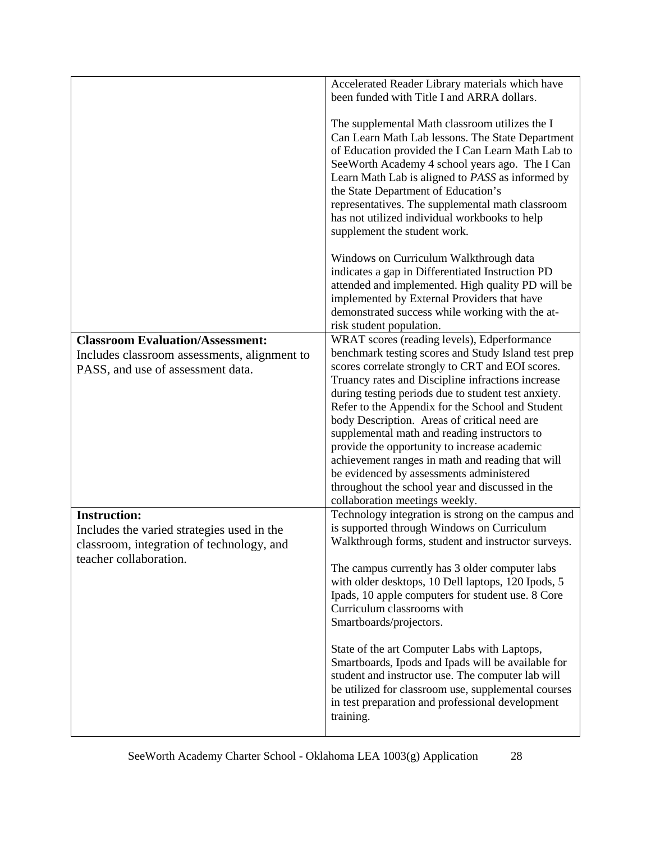|                                                                                                                                          | Accelerated Reader Library materials which have<br>been funded with Title I and ARRA dollars.                                                                                                                                                                                                                                                                                                                                                                                                                                                                                                                                                               |
|------------------------------------------------------------------------------------------------------------------------------------------|-------------------------------------------------------------------------------------------------------------------------------------------------------------------------------------------------------------------------------------------------------------------------------------------------------------------------------------------------------------------------------------------------------------------------------------------------------------------------------------------------------------------------------------------------------------------------------------------------------------------------------------------------------------|
|                                                                                                                                          | The supplemental Math classroom utilizes the I<br>Can Learn Math Lab lessons. The State Department<br>of Education provided the I Can Learn Math Lab to<br>See Worth Academy 4 school years ago. The I Can<br>Learn Math Lab is aligned to PASS as informed by<br>the State Department of Education's<br>representatives. The supplemental math classroom<br>has not utilized individual workbooks to help<br>supplement the student work.                                                                                                                                                                                                                  |
|                                                                                                                                          | Windows on Curriculum Walkthrough data<br>indicates a gap in Differentiated Instruction PD<br>attended and implemented. High quality PD will be<br>implemented by External Providers that have<br>demonstrated success while working with the at-<br>risk student population.                                                                                                                                                                                                                                                                                                                                                                               |
| <b>Classroom Evaluation/Assessment:</b><br>Includes classroom assessments, alignment to<br>PASS, and use of assessment data.             | WRAT scores (reading levels), Edperformance<br>benchmark testing scores and Study Island test prep<br>scores correlate strongly to CRT and EOI scores.<br>Truancy rates and Discipline infractions increase<br>during testing periods due to student test anxiety.<br>Refer to the Appendix for the School and Student<br>body Description. Areas of critical need are<br>supplemental math and reading instructors to<br>provide the opportunity to increase academic<br>achievement ranges in math and reading that will<br>be evidenced by assessments administered<br>throughout the school year and discussed in the<br>collaboration meetings weekly. |
| <b>Instruction:</b><br>Includes the varied strategies used in the<br>classroom, integration of technology, and<br>teacher collaboration. | Technology integration is strong on the campus and<br>is supported through Windows on Curriculum<br>Walkthrough forms, student and instructor surveys.<br>The campus currently has 3 older computer labs<br>with older desktops, 10 Dell laptops, 120 Ipods, 5<br>Ipads, 10 apple computers for student use. 8 Core<br>Curriculum classrooms with<br>Smartboards/projectors.                                                                                                                                                                                                                                                                                |
|                                                                                                                                          | State of the art Computer Labs with Laptops,<br>Smartboards, Ipods and Ipads will be available for<br>student and instructor use. The computer lab will<br>be utilized for classroom use, supplemental courses<br>in test preparation and professional development<br>training.                                                                                                                                                                                                                                                                                                                                                                             |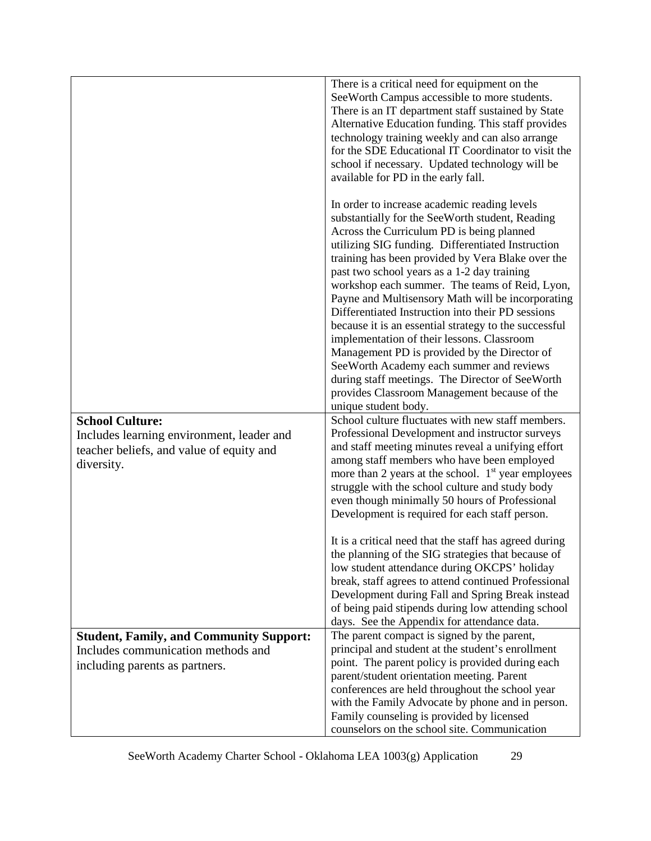|                                                                                                                               | There is a critical need for equipment on the<br>SeeWorth Campus accessible to more students.<br>There is an IT department staff sustained by State<br>Alternative Education funding. This staff provides<br>technology training weekly and can also arrange<br>for the SDE Educational IT Coordinator to visit the<br>school if necessary. Updated technology will be<br>available for PD in the early fall.                                                                                                                                                                                                                                                                                                                                                                                   |
|-------------------------------------------------------------------------------------------------------------------------------|-------------------------------------------------------------------------------------------------------------------------------------------------------------------------------------------------------------------------------------------------------------------------------------------------------------------------------------------------------------------------------------------------------------------------------------------------------------------------------------------------------------------------------------------------------------------------------------------------------------------------------------------------------------------------------------------------------------------------------------------------------------------------------------------------|
|                                                                                                                               | In order to increase academic reading levels<br>substantially for the SeeWorth student, Reading<br>Across the Curriculum PD is being planned<br>utilizing SIG funding. Differentiated Instruction<br>training has been provided by Vera Blake over the<br>past two school years as a 1-2 day training<br>workshop each summer. The teams of Reid, Lyon,<br>Payne and Multisensory Math will be incorporating<br>Differentiated Instruction into their PD sessions<br>because it is an essential strategy to the successful<br>implementation of their lessons. Classroom<br>Management PD is provided by the Director of<br>SeeWorth Academy each summer and reviews<br>during staff meetings. The Director of SeeWorth<br>provides Classroom Management because of the<br>unique student body. |
| <b>School Culture:</b><br>Includes learning environment, leader and<br>teacher beliefs, and value of equity and<br>diversity. | School culture fluctuates with new staff members.<br>Professional Development and instructor surveys<br>and staff meeting minutes reveal a unifying effort<br>among staff members who have been employed<br>more than 2 years at the school. $1st$ year employees<br>struggle with the school culture and study body<br>even though minimally 50 hours of Professional<br>Development is required for each staff person.                                                                                                                                                                                                                                                                                                                                                                        |
|                                                                                                                               | It is a critical need that the staff has agreed during<br>the planning of the SIG strategies that because of<br>low student attendance during OKCPS' holiday<br>break, staff agrees to attend continued Professional<br>Development during Fall and Spring Break instead<br>of being paid stipends during low attending school<br>days. See the Appendix for attendance data.                                                                                                                                                                                                                                                                                                                                                                                                                   |
| <b>Student, Family, and Community Support:</b>                                                                                | The parent compact is signed by the parent,                                                                                                                                                                                                                                                                                                                                                                                                                                                                                                                                                                                                                                                                                                                                                     |
| Includes communication methods and                                                                                            | principal and student at the student's enrollment                                                                                                                                                                                                                                                                                                                                                                                                                                                                                                                                                                                                                                                                                                                                               |
| including parents as partners.                                                                                                | point. The parent policy is provided during each<br>parent/student orientation meeting. Parent                                                                                                                                                                                                                                                                                                                                                                                                                                                                                                                                                                                                                                                                                                  |
|                                                                                                                               | conferences are held throughout the school year                                                                                                                                                                                                                                                                                                                                                                                                                                                                                                                                                                                                                                                                                                                                                 |
|                                                                                                                               | with the Family Advocate by phone and in person.                                                                                                                                                                                                                                                                                                                                                                                                                                                                                                                                                                                                                                                                                                                                                |
|                                                                                                                               | Family counseling is provided by licensed                                                                                                                                                                                                                                                                                                                                                                                                                                                                                                                                                                                                                                                                                                                                                       |
|                                                                                                                               | counselors on the school site. Communication                                                                                                                                                                                                                                                                                                                                                                                                                                                                                                                                                                                                                                                                                                                                                    |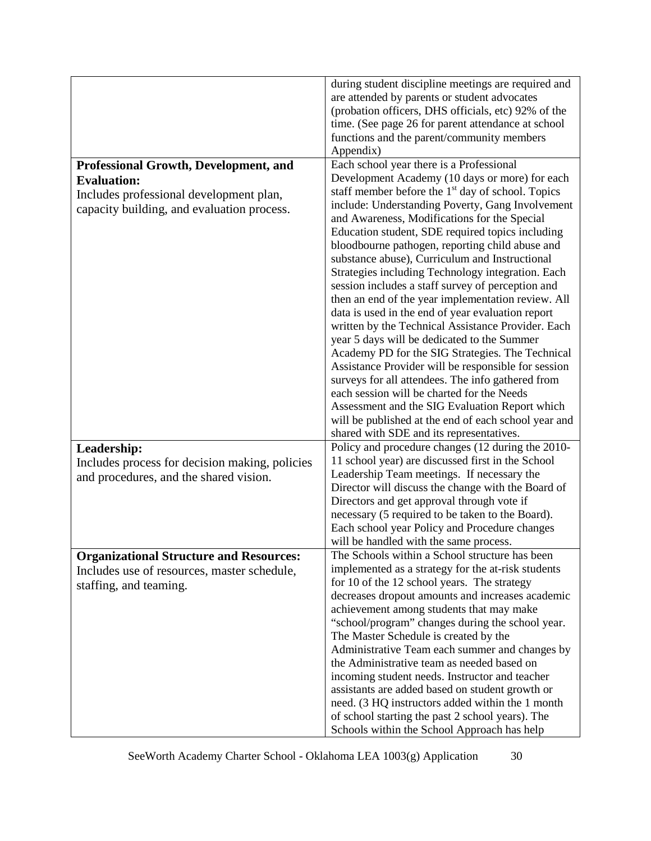|                                                | during student discipline meetings are required and                                             |
|------------------------------------------------|-------------------------------------------------------------------------------------------------|
|                                                | are attended by parents or student advocates                                                    |
|                                                | (probation officers, DHS officials, etc) 92% of the                                             |
|                                                | time. (See page 26 for parent attendance at school                                              |
|                                                | functions and the parent/community members                                                      |
|                                                | Appendix)                                                                                       |
| <b>Professional Growth, Development, and</b>   | Each school year there is a Professional                                                        |
| <b>Evaluation:</b>                             | Development Academy (10 days or more) for each                                                  |
| Includes professional development plan,        | staff member before the $1st$ day of school. Topics                                             |
| capacity building, and evaluation process.     | include: Understanding Poverty, Gang Involvement                                                |
|                                                | and Awareness, Modifications for the Special                                                    |
|                                                | Education student, SDE required topics including                                                |
|                                                | bloodbourne pathogen, reporting child abuse and                                                 |
|                                                | substance abuse), Curriculum and Instructional                                                  |
|                                                | Strategies including Technology integration. Each                                               |
|                                                | session includes a staff survey of perception and                                               |
|                                                | then an end of the year implementation review. All                                              |
|                                                | data is used in the end of year evaluation report                                               |
|                                                | written by the Technical Assistance Provider. Each                                              |
|                                                | year 5 days will be dedicated to the Summer<br>Academy PD for the SIG Strategies. The Technical |
|                                                | Assistance Provider will be responsible for session                                             |
|                                                | surveys for all attendees. The info gathered from                                               |
|                                                | each session will be charted for the Needs                                                      |
|                                                | Assessment and the SIG Evaluation Report which                                                  |
|                                                | will be published at the end of each school year and                                            |
|                                                | shared with SDE and its representatives.                                                        |
| Leadership:                                    | Policy and procedure changes (12 during the 2010-                                               |
| Includes process for decision making, policies | 11 school year) are discussed first in the School                                               |
| and procedures, and the shared vision.         | Leadership Team meetings. If necessary the                                                      |
|                                                | Director will discuss the change with the Board of                                              |
|                                                | Directors and get approval through vote if                                                      |
|                                                | necessary (5 required to be taken to the Board).                                                |
|                                                | Each school year Policy and Procedure changes                                                   |
|                                                | will be handled with the same process.                                                          |
| <b>Organizational Structure and Resources:</b> | The Schools within a School structure has been                                                  |
| Includes use of resources, master schedule,    | implemented as a strategy for the at-risk students                                              |
| staffing, and teaming.                         | for 10 of the 12 school years. The strategy                                                     |
|                                                | decreases dropout amounts and increases academic                                                |
|                                                | achievement among students that may make                                                        |
|                                                | "school/program" changes during the school year.                                                |
|                                                | The Master Schedule is created by the                                                           |
|                                                | Administrative Team each summer and changes by                                                  |
|                                                | the Administrative team as needed based on                                                      |
|                                                | incoming student needs. Instructor and teacher                                                  |
|                                                | assistants are added based on student growth or                                                 |
|                                                | need. (3 HQ instructors added within the 1 month                                                |
|                                                | of school starting the past 2 school years). The                                                |
|                                                | Schools within the School Approach has help                                                     |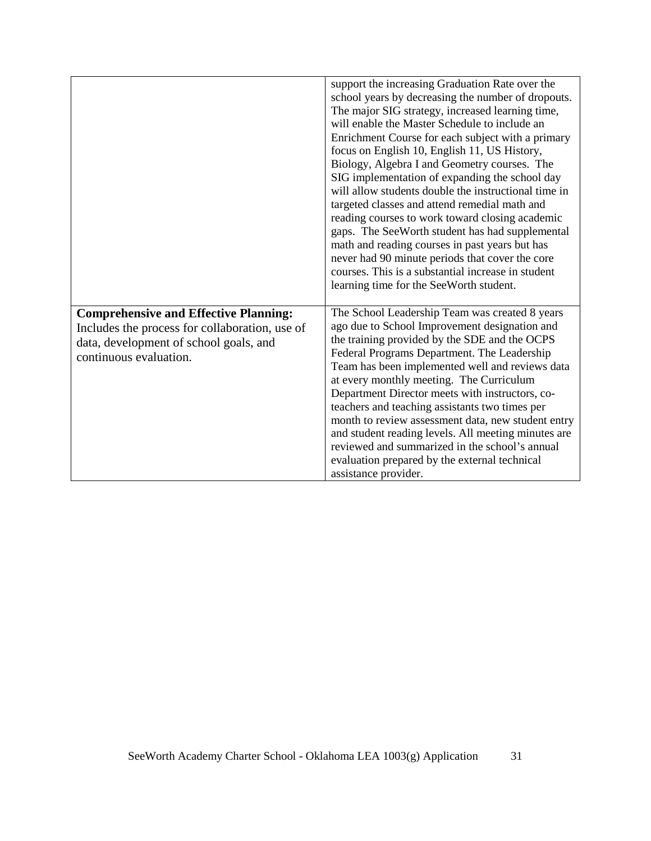|                                                                                                                                                                    | support the increasing Graduation Rate over the<br>school years by decreasing the number of dropouts.<br>The major SIG strategy, increased learning time,<br>will enable the Master Schedule to include an<br>Enrichment Course for each subject with a primary<br>focus on English 10, English 11, US History,<br>Biology, Algebra I and Geometry courses. The<br>SIG implementation of expanding the school day<br>will allow students double the instructional time in<br>targeted classes and attend remedial math and<br>reading courses to work toward closing academic<br>gaps. The SeeWorth student has had supplemental<br>math and reading courses in past years but has<br>never had 90 minute periods that cover the core<br>courses. This is a substantial increase in student<br>learning time for the SeeWorth student. |
|--------------------------------------------------------------------------------------------------------------------------------------------------------------------|----------------------------------------------------------------------------------------------------------------------------------------------------------------------------------------------------------------------------------------------------------------------------------------------------------------------------------------------------------------------------------------------------------------------------------------------------------------------------------------------------------------------------------------------------------------------------------------------------------------------------------------------------------------------------------------------------------------------------------------------------------------------------------------------------------------------------------------|
| <b>Comprehensive and Effective Planning:</b><br>Includes the process for collaboration, use of<br>data, development of school goals, and<br>continuous evaluation. | The School Leadership Team was created 8 years<br>ago due to School Improvement designation and<br>the training provided by the SDE and the OCPS<br>Federal Programs Department. The Leadership<br>Team has been implemented well and reviews data<br>at every monthly meeting. The Curriculum<br>Department Director meets with instructors, co-<br>teachers and teaching assistants two times per<br>month to review assessment data, new student entry<br>and student reading levels. All meeting minutes are<br>reviewed and summarized in the school's annual<br>evaluation prepared by the external technical<br>assistance provider.                                                                                                                                                                                            |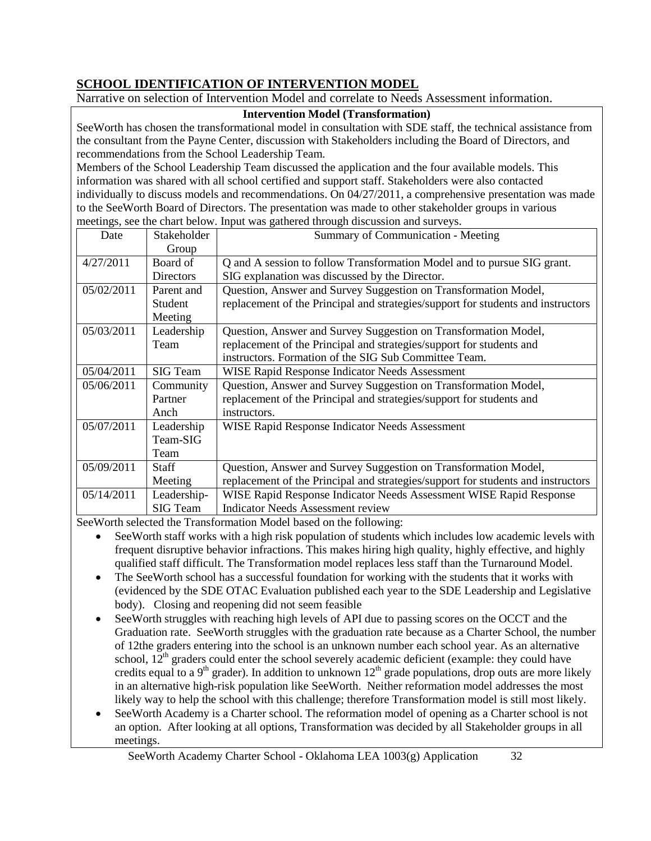# **SCHOOL IDENTIFICATION OF INTERVENTION MODEL**

Narrative on selection of Intervention Model and correlate to Needs Assessment information.

### **Intervention Model (Transformation)**

SeeWorth has chosen the transformational model in consultation with SDE staff, the technical assistance from the consultant from the Payne Center, discussion with Stakeholders including the Board of Directors, and recommendations from the School Leadership Team.

Members of the School Leadership Team discussed the application and the four available models. This information was shared with all school certified and support staff. Stakeholders were also contacted individually to discuss models and recommendations. On 04/27/2011, a comprehensive presentation was made to the SeeWorth Board of Directors. The presentation was made to other stakeholder groups in various meetings, see the chart below. Input was gathered through discussion and surveys.

| Date       | Stakeholder     | <b>Summary of Communication - Meeting</b>                                        |
|------------|-----------------|----------------------------------------------------------------------------------|
|            | Group           |                                                                                  |
| 4/27/2011  | Board of        | Q and A session to follow Transformation Model and to pursue SIG grant.          |
|            | Directors       | SIG explanation was discussed by the Director.                                   |
| 05/02/2011 | Parent and      | Question, Answer and Survey Suggestion on Transformation Model,                  |
|            | Student         | replacement of the Principal and strategies/support for students and instructors |
|            | Meeting         |                                                                                  |
| 05/03/2011 | Leadership      | Question, Answer and Survey Suggestion on Transformation Model,                  |
|            | Team            | replacement of the Principal and strategies/support for students and             |
|            |                 | instructors. Formation of the SIG Sub Committee Team.                            |
| 05/04/2011 | <b>SIG</b> Team | <b>WISE Rapid Response Indicator Needs Assessment</b>                            |
| 05/06/2011 | Community       | Question, Answer and Survey Suggestion on Transformation Model,                  |
|            | Partner         | replacement of the Principal and strategies/support for students and             |
|            | Anch            | instructors.                                                                     |
| 05/07/2011 | Leadership      | <b>WISE Rapid Response Indicator Needs Assessment</b>                            |
|            | Team-SIG        |                                                                                  |
|            | Team            |                                                                                  |
| 05/09/2011 | <b>Staff</b>    | Question, Answer and Survey Suggestion on Transformation Model,                  |
|            | Meeting         | replacement of the Principal and strategies/support for students and instructors |
| 05/14/2011 | Leadership-     | WISE Rapid Response Indicator Needs Assessment WISE Rapid Response               |
|            | <b>SIG</b> Team | <b>Indicator Needs Assessment review</b>                                         |

SeeWorth selected the Transformation Model based on the following:

- SeeWorth staff works with a high risk population of students which includes low academic levels with frequent disruptive behavior infractions. This makes hiring high quality, highly effective, and highly qualified staff difficult. The Transformation model replaces less staff than the Turnaround Model.
- The SeeWorth school has a successful foundation for working with the students that it works with (evidenced by the SDE OTAC Evaluation published each year to the SDE Leadership and Legislative body). Closing and reopening did not seem feasible
- SeeWorth struggles with reaching high levels of API due to passing scores on the OCCT and the Graduation rate. SeeWorth struggles with the graduation rate because as a Charter School, the number of 12the graders entering into the school is an unknown number each school year. As an alternative school,  $12<sup>th</sup>$  graders could enter the school severely academic deficient (example: they could have credits equal to a  $9<sup>th</sup>$  grader). In addition to unknown  $12<sup>th</sup>$  grade populations, drop outs are more likely in an alternative high-risk population like SeeWorth. Neither reformation model addresses the most likely way to help the school with this challenge; therefore Transformation model is still most likely.
- SeeWorth Academy is a Charter school. The reformation model of opening as a Charter school is not an option. After looking at all options, Transformation was decided by all Stakeholder groups in all meetings.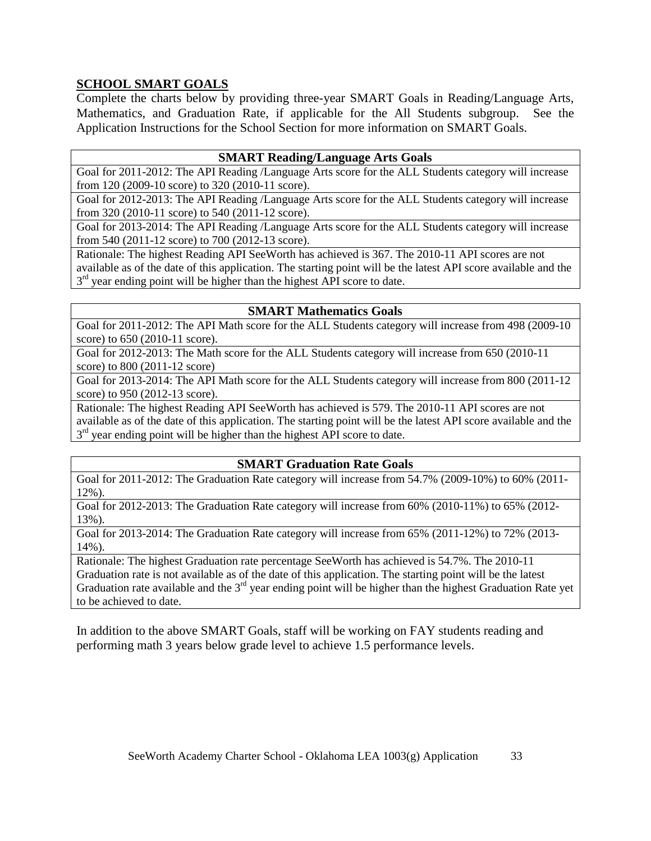# **SCHOOL SMART GOALS**

Complete the charts below by providing three-year SMART Goals in Reading/Language Arts, Mathematics, and Graduation Rate, if applicable for the All Students subgroup. See the Application Instructions for the School Section for more information on SMART Goals.

#### **SMART Reading/Language Arts Goals**

Goal for 2011-2012: The API Reading /Language Arts score for the ALL Students category will increase from 120 (2009-10 score) to 320 (2010-11 score).

Goal for 2012-2013: The API Reading /Language Arts score for the ALL Students category will increase from 320 (2010-11 score) to 540 (2011-12 score).

Goal for 2013-2014: The API Reading /Language Arts score for the ALL Students category will increase from 540 (2011-12 score) to 700 (2012-13 score).

Rationale: The highest Reading API SeeWorth has achieved is 367. The 2010-11 API scores are not available as of the date of this application. The starting point will be the latest API score available and the  $3<sup>rd</sup>$  year ending point will be higher than the highest API score to date.

### **SMART Mathematics Goals**

Goal for 2011-2012: The API Math score for the ALL Students category will increase from 498 (2009-10 score) to 650 (2010-11 score).

Goal for 2012-2013: The Math score for the ALL Students category will increase from 650 (2010-11 score) to 800 (2011-12 score)

Goal for 2013-2014: The API Math score for the ALL Students category will increase from 800 (2011-12 score) to 950 (2012-13 score).

Rationale: The highest Reading API SeeWorth has achieved is 579. The 2010-11 API scores are not available as of the date of this application. The starting point will be the latest API score available and the  $3<sup>rd</sup>$  year ending point will be higher than the highest API score to date.

# **SMART Graduation Rate Goals**

Goal for 2011-2012: The Graduation Rate category will increase from 54.7% (2009-10%) to 60% (2011- 12%).

Goal for 2012-2013: The Graduation Rate category will increase from 60% (2010-11%) to 65% (2012- 13%).

Goal for 2013-2014: The Graduation Rate category will increase from 65% (2011-12%) to 72% (2013- 14%).

Rationale: The highest Graduation rate percentage SeeWorth has achieved is 54.7%. The 2010-11 Graduation rate is not available as of the date of this application. The starting point will be the latest Graduation rate available and the  $3<sup>rd</sup>$  year ending point will be higher than the highest Graduation Rate yet to be achieved to date.

In addition to the above SMART Goals, staff will be working on FAY students reading and performing math 3 years below grade level to achieve 1.5 performance levels.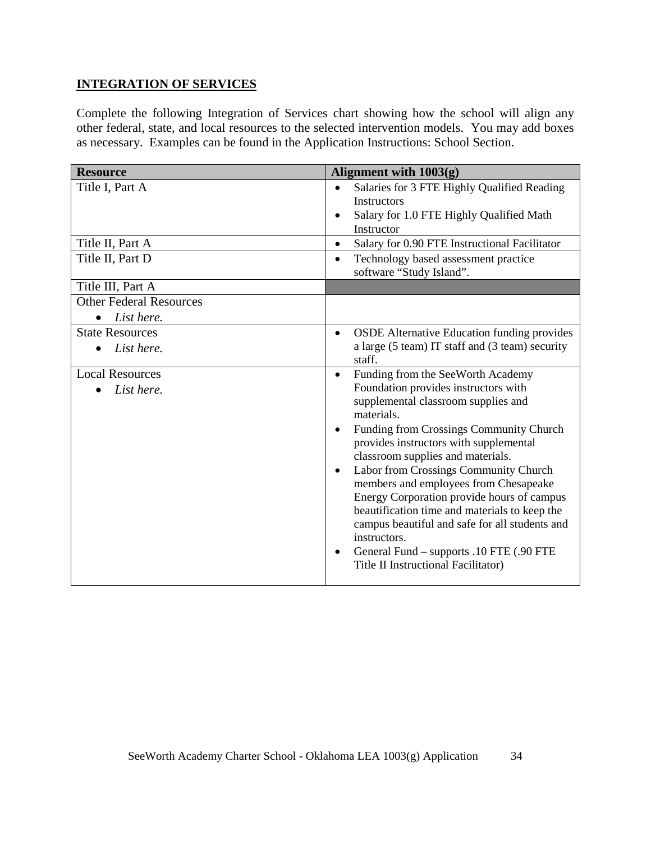# **INTEGRATION OF SERVICES**

Complete the following Integration of Services chart showing how the school will align any other federal, state, and local resources to the selected intervention models. You may add boxes as necessary. Examples can be found in the Application Instructions: School Section.

| <b>Resource</b>                      | Alignment with 1003(g)                                                                                                                                                                                                                                                                                                                                                                                                                                                                                                                                                                                                                             |
|--------------------------------------|----------------------------------------------------------------------------------------------------------------------------------------------------------------------------------------------------------------------------------------------------------------------------------------------------------------------------------------------------------------------------------------------------------------------------------------------------------------------------------------------------------------------------------------------------------------------------------------------------------------------------------------------------|
| Title I, Part A                      | Salaries for 3 FTE Highly Qualified Reading<br>$\bullet$<br><b>Instructors</b><br>Salary for 1.0 FTE Highly Qualified Math<br>$\bullet$<br>Instructor                                                                                                                                                                                                                                                                                                                                                                                                                                                                                              |
| Title II, Part A                     | Salary for 0.90 FTE Instructional Facilitator<br>$\bullet$                                                                                                                                                                                                                                                                                                                                                                                                                                                                                                                                                                                         |
| Title II, Part D                     | Technology based assessment practice<br>$\bullet$<br>software "Study Island".                                                                                                                                                                                                                                                                                                                                                                                                                                                                                                                                                                      |
| Title III, Part A                    |                                                                                                                                                                                                                                                                                                                                                                                                                                                                                                                                                                                                                                                    |
| <b>Other Federal Resources</b>       |                                                                                                                                                                                                                                                                                                                                                                                                                                                                                                                                                                                                                                                    |
| List here.<br>$\bullet$              |                                                                                                                                                                                                                                                                                                                                                                                                                                                                                                                                                                                                                                                    |
| <b>State Resources</b><br>List here. | <b>OSDE Alternative Education funding provides</b><br>$\bullet$<br>a large (5 team) IT staff and (3 team) security<br>staff.                                                                                                                                                                                                                                                                                                                                                                                                                                                                                                                       |
| <b>Local Resources</b><br>List here. | Funding from the SeeWorth Academy<br>$\bullet$<br>Foundation provides instructors with<br>supplemental classroom supplies and<br>materials.<br>Funding from Crossings Community Church<br>$\bullet$<br>provides instructors with supplemental<br>classroom supplies and materials.<br>Labor from Crossings Community Church<br>$\bullet$<br>members and employees from Chesapeake<br>Energy Corporation provide hours of campus<br>beautification time and materials to keep the<br>campus beautiful and safe for all students and<br>instructors.<br>General Fund – supports .10 FTE (.90 FTE<br>$\bullet$<br>Title II Instructional Facilitator) |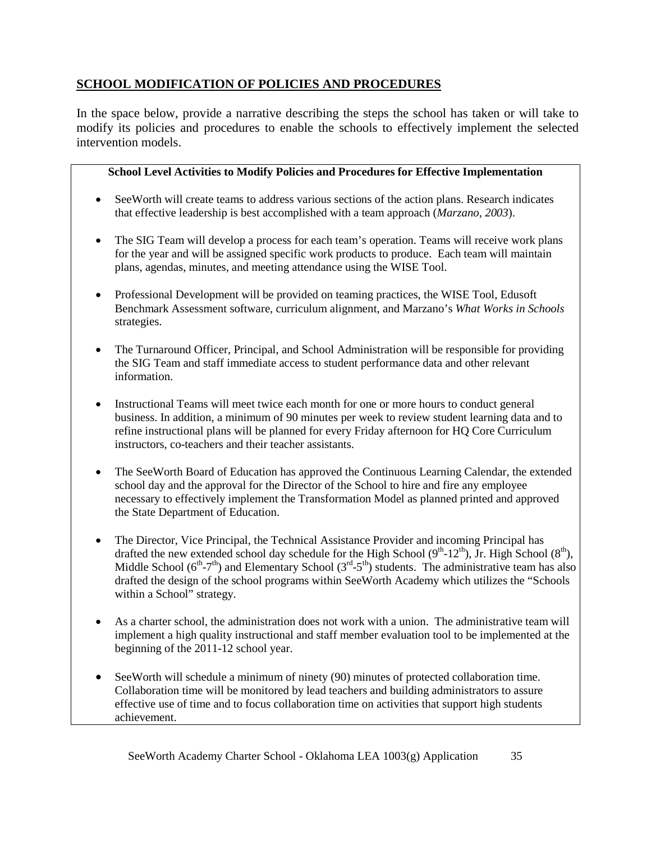# **SCHOOL MODIFICATION OF POLICIES AND PROCEDURES**

In the space below, provide a narrative describing the steps the school has taken or will take to modify its policies and procedures to enable the schools to effectively implement the selected intervention models.

# **School Level Activities to Modify Policies and Procedures for Effective Implementation**

- SeeWorth will create teams to address various sections of the action plans. Research indicates that effective leadership is best accomplished with a team approach (*Marzano, 2003*).
- The SIG Team will develop a process for each team's operation. Teams will receive work plans for the year and will be assigned specific work products to produce. Each team will maintain plans, agendas, minutes, and meeting attendance using the WISE Tool.
- Professional Development will be provided on teaming practices, the WISE Tool, Edusoft Benchmark Assessment software, curriculum alignment, and Marzano's *What Works in Schools*  strategies.
- The Turnaround Officer, Principal, and School Administration will be responsible for providing the SIG Team and staff immediate access to student performance data and other relevant information.
- Instructional Teams will meet twice each month for one or more hours to conduct general business. In addition, a minimum of 90 minutes per week to review student learning data and to refine instructional plans will be planned for every Friday afternoon for HQ Core Curriculum instructors, co-teachers and their teacher assistants.
- The SeeWorth Board of Education has approved the Continuous Learning Calendar, the extended school day and the approval for the Director of the School to hire and fire any employee necessary to effectively implement the Transformation Model as planned printed and approved the State Department of Education.
- The Director, Vice Principal, the Technical Assistance Provider and incoming Principal has drafted the new extended school day schedule for the High School  $(9<sup>th</sup>-12<sup>th</sup>)$ , Jr. High School  $(8<sup>th</sup>)$ , Middle School ( $6<sup>th</sup>-7<sup>th</sup>$ ) and Elementary School ( $3<sup>rd</sup>-5<sup>th</sup>$ ) students. The administrative team has also drafted the design of the school programs within SeeWorth Academy which utilizes the "Schools within a School" strategy.
- As a charter school, the administration does not work with a union. The administrative team will implement a high quality instructional and staff member evaluation tool to be implemented at the beginning of the 2011-12 school year.
- SeeWorth will schedule a minimum of ninety (90) minutes of protected collaboration time. Collaboration time will be monitored by lead teachers and building administrators to assure effective use of time and to focus collaboration time on activities that support high students achievement.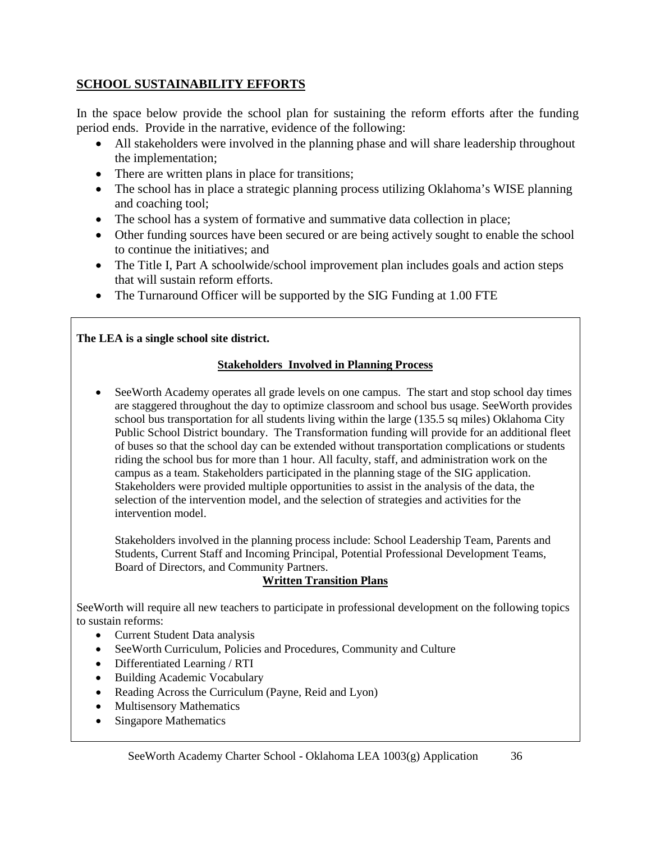# **SCHOOL SUSTAINABILITY EFFORTS**

In the space below provide the school plan for sustaining the reform efforts after the funding period ends. Provide in the narrative, evidence of the following:

- All stakeholders were involved in the planning phase and will share leadership throughout the implementation;
- There are written plans in place for transitions;
- The school has in place a strategic planning process utilizing Oklahoma's WISE planning and coaching tool;
- The school has a system of formative and summative data collection in place;
- Other funding sources have been secured or are being actively sought to enable the school to continue the initiatives; and
- The Title I, Part A schoolwide/school improvement plan includes goals and action steps that will sustain reform efforts.
- The Turnaround Officer will be supported by the SIG Funding at 1.00 FTE

# **The LEA is a single school site district.**

# **Stakeholders Involved in Planning Process**

• SeeWorth Academy operates all grade levels on one campus. The start and stop school day times are staggered throughout the day to optimize classroom and school bus usage. SeeWorth provides school bus transportation for all students living within the large (135.5 sq miles) Oklahoma City Public School District boundary. The Transformation funding will provide for an additional fleet of buses so that the school day can be extended without transportation complications or students riding the school bus for more than 1 hour. All faculty, staff, and administration work on the campus as a team. Stakeholders participated in the planning stage of the SIG application. Stakeholders were provided multiple opportunities to assist in the analysis of the data, the selection of the intervention model, and the selection of strategies and activities for the intervention model.

Stakeholders involved in the planning process include: School Leadership Team, Parents and Students, Current Staff and Incoming Principal, Potential Professional Development Teams, Board of Directors, and Community Partners.

# **Written Transition Plans**

SeeWorth will require all new teachers to participate in professional development on the following topics to sustain reforms:

- Current Student Data analysis
- SeeWorth Curriculum, Policies and Procedures, Community and Culture
- Differentiated Learning / RTI
- Building Academic Vocabulary
- Reading Across the Curriculum (Payne, Reid and Lyon)
- Multisensory Mathematics
- Singapore Mathematics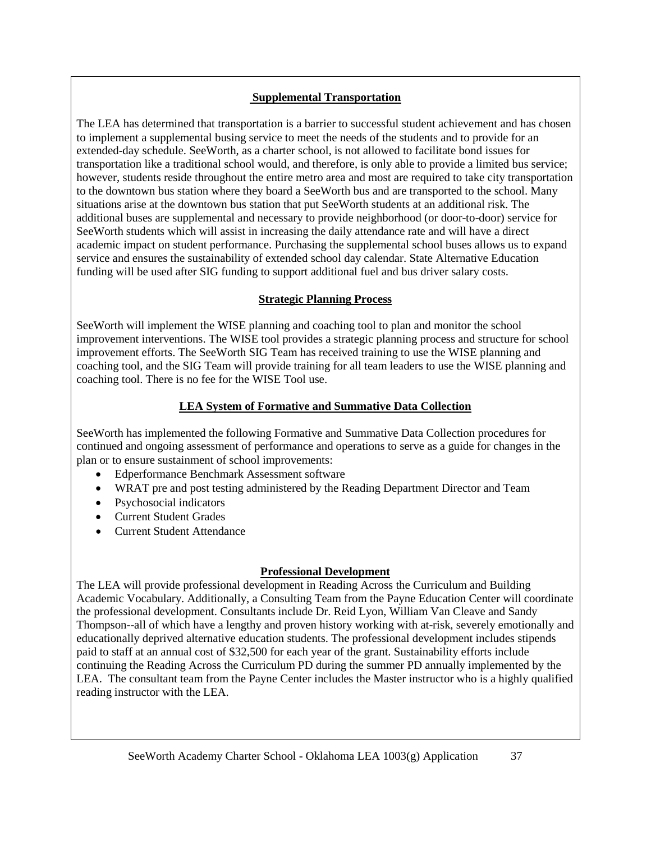## **Supplemental Transportation**

The LEA has determined that transportation is a barrier to successful student achievement and has chosen to implement a supplemental busing service to meet the needs of the students and to provide for an extended-day schedule. SeeWorth, as a charter school, is not allowed to facilitate bond issues for transportation like a traditional school would, and therefore, is only able to provide a limited bus service; however, students reside throughout the entire metro area and most are required to take city transportation to the downtown bus station where they board a SeeWorth bus and are transported to the school. Many situations arise at the downtown bus station that put SeeWorth students at an additional risk. The additional buses are supplemental and necessary to provide neighborhood (or door-to-door) service for SeeWorth students which will assist in increasing the daily attendance rate and will have a direct academic impact on student performance. Purchasing the supplemental school buses allows us to expand service and ensures the sustainability of extended school day calendar. State Alternative Education funding will be used after SIG funding to support additional fuel and bus driver salary costs.

#### **Strategic Planning Process**

SeeWorth will implement the WISE planning and coaching tool to plan and monitor the school improvement interventions. The WISE tool provides a strategic planning process and structure for school improvement efforts. The SeeWorth SIG Team has received training to use the WISE planning and coaching tool, and the SIG Team will provide training for all team leaders to use the WISE planning and coaching tool. There is no fee for the WISE Tool use.

## **LEA System of Formative and Summative Data Collection**

SeeWorth has implemented the following Formative and Summative Data Collection procedures for continued and ongoing assessment of performance and operations to serve as a guide for changes in the plan or to ensure sustainment of school improvements:

- Edperformance Benchmark Assessment software
- WRAT pre and post testing administered by the Reading Department Director and Team
- Psychosocial indicators
- Current Student Grades
- Current Student Attendance

## **Professional Development**

The LEA will provide professional development in Reading Across the Curriculum and Building Academic Vocabulary. Additionally, a Consulting Team from the Payne Education Center will coordinate the professional development. Consultants include Dr. Reid Lyon, William Van Cleave and Sandy Thompson--all of which have a lengthy and proven history working with at-risk, severely emotionally and educationally deprived alternative education students. The professional development includes stipends paid to staff at an annual cost of \$32,500 for each year of the grant. Sustainability efforts include continuing the Reading Across the Curriculum PD during the summer PD annually implemented by the LEA. The consultant team from the Payne Center includes the Master instructor who is a highly qualified reading instructor with the LEA.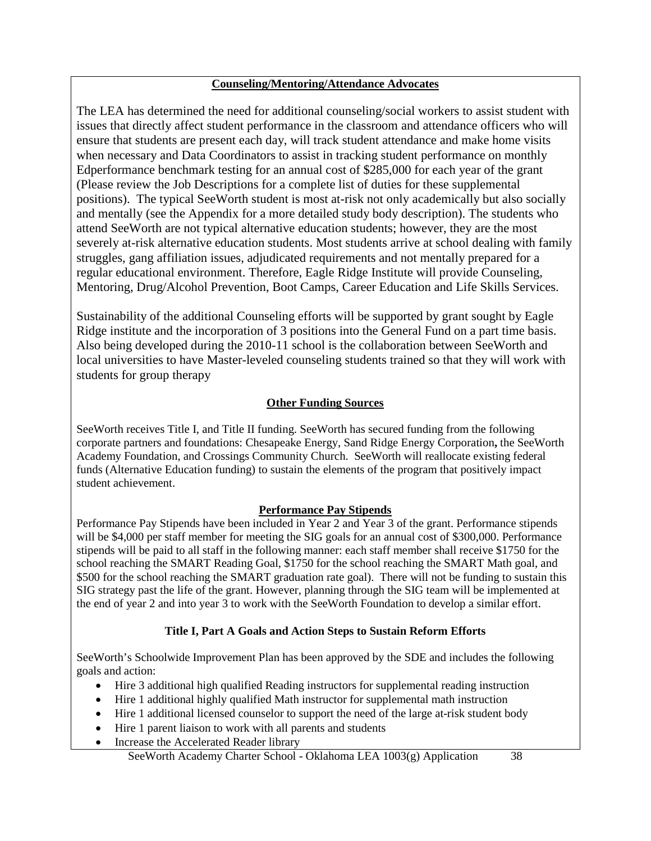#### **Counseling/Mentoring/Attendance Advocates**

The LEA has determined the need for additional counseling/social workers to assist student with issues that directly affect student performance in the classroom and attendance officers who will ensure that students are present each day, will track student attendance and make home visits when necessary and Data Coordinators to assist in tracking student performance on monthly Edperformance benchmark testing for an annual cost of \$285,000 for each year of the grant (Please review the Job Descriptions for a complete list of duties for these supplemental positions). The typical SeeWorth student is most at-risk not only academically but also socially and mentally (see the Appendix for a more detailed study body description). The students who attend SeeWorth are not typical alternative education students; however, they are the most severely at-risk alternative education students. Most students arrive at school dealing with family struggles, gang affiliation issues, adjudicated requirements and not mentally prepared for a regular educational environment. Therefore, Eagle Ridge Institute will provide Counseling, Mentoring, Drug/Alcohol Prevention, Boot Camps, Career Education and Life Skills Services.

Sustainability of the additional Counseling efforts will be supported by grant sought by Eagle Ridge institute and the incorporation of 3 positions into the General Fund on a part time basis. Also being developed during the 2010-11 school is the collaboration between SeeWorth and local universities to have Master-leveled counseling students trained so that they will work with students for group therapy

## **Other Funding Sources**

SeeWorth receives Title I, and Title II funding. SeeWorth has secured funding from the following corporate partners and foundations: Chesapeake Energy, Sand Ridge Energy Corporation**,** the SeeWorth Academy Foundation, and Crossings Community Church. SeeWorth will reallocate existing federal funds (Alternative Education funding) to sustain the elements of the program that positively impact student achievement.

## **Performance Pay Stipends**

Performance Pay Stipends have been included in Year 2 and Year 3 of the grant. Performance stipends will be \$4,000 per staff member for meeting the SIG goals for an annual cost of \$300,000. Performance stipends will be paid to all staff in the following manner: each staff member shall receive \$1750 for the school reaching the SMART Reading Goal, \$1750 for the school reaching the SMART Math goal, and \$500 for the school reaching the SMART graduation rate goal). There will not be funding to sustain this SIG strategy past the life of the grant. However, planning through the SIG team will be implemented at the end of year 2 and into year 3 to work with the SeeWorth Foundation to develop a similar effort.

## **Title I, Part A Goals and Action Steps to Sustain Reform Efforts**

SeeWorth's Schoolwide Improvement Plan has been approved by the SDE and includes the following goals and action:

- Hire 3 additional high qualified Reading instructors for supplemental reading instruction
- Hire 1 additional highly qualified Math instructor for supplemental math instruction
- Hire 1 additional licensed counselor to support the need of the large at-risk student body
- Hire 1 parent liaison to work with all parents and students
- Increase the Accelerated Reader library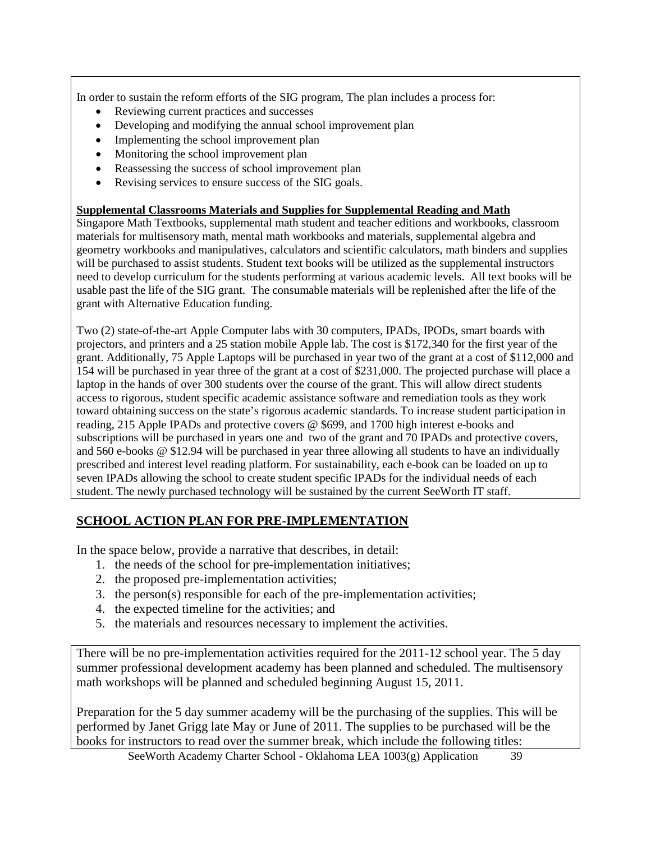In order to sustain the reform efforts of the SIG program, The plan includes a process for:

- Reviewing current practices and successes
- Developing and modifying the annual school improvement plan
- Implementing the school improvement plan
- Monitoring the school improvement plan
- Reassessing the success of school improvement plan
- Revising services to ensure success of the SIG goals.

#### **Supplemental Classrooms Materials and Supplies for Supplemental Reading and Math**

Singapore Math Textbooks, supplemental math student and teacher editions and workbooks, classroom materials for multisensory math, mental math workbooks and materials, supplemental algebra and geometry workbooks and manipulatives, calculators and scientific calculators, math binders and supplies will be purchased to assist students. Student text books will be utilized as the supplemental instructors need to develop curriculum for the students performing at various academic levels. All text books will be usable past the life of the SIG grant. The consumable materials will be replenished after the life of the grant with Alternative Education funding.

Two (2) state-of-the-art Apple Computer labs with 30 computers, IPADs, IPODs, smart boards with projectors, and printers and a 25 station mobile Apple lab. The cost is \$172,340 for the first year of the grant. Additionally, 75 Apple Laptops will be purchased in year two of the grant at a cost of \$112,000 and 154 will be purchased in year three of the grant at a cost of \$231,000. The projected purchase will place a laptop in the hands of over 300 students over the course of the grant. This will allow direct students access to rigorous, student specific academic assistance software and remediation tools as they work toward obtaining success on the state's rigorous academic standards. To increase student participation in reading, 215 Apple IPADs and protective covers @ \$699, and 1700 high interest e-books and subscriptions will be purchased in years one and two of the grant and 70 IPADs and protective covers, and 560 e-books @ \$12.94 will be purchased in year three allowing all students to have an individually prescribed and interest level reading platform. For sustainability, each e-book can be loaded on up to seven IPADs allowing the school to create student specific IPADs for the individual needs of each student. The newly purchased technology will be sustained by the current SeeWorth IT staff.

## **SCHOOL ACTION PLAN FOR PRE-IMPLEMENTATION**

In the space below, provide a narrative that describes, in detail:

- 1. the needs of the school for pre-implementation initiatives;
- 2. the proposed pre-implementation activities;
- 3. the person(s) responsible for each of the pre-implementation activities;
- 4. the expected timeline for the activities; and
- 5. the materials and resources necessary to implement the activities.

There will be no pre-implementation activities required for the 2011-12 school year. The 5 day summer professional development academy has been planned and scheduled. The multisensory math workshops will be planned and scheduled beginning August 15, 2011.

Preparation for the 5 day summer academy will be the purchasing of the supplies. This will be performed by Janet Grigg late May or June of 2011. The supplies to be purchased will be the books for instructors to read over the summer break, which include the following titles: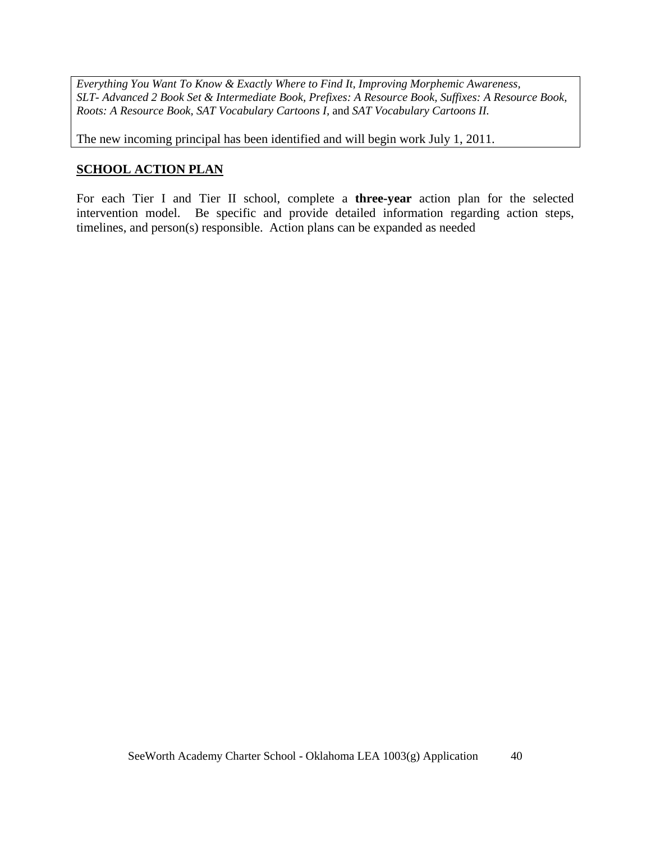*Everything You Want To Know & Exactly Where to Find It, Improving Morphemic Awareness, SLT- Advanced 2 Book Set & Intermediate Book, Prefixes: A Resource Book, Suffixes: A Resource Book, Roots: A Resource Book, SAT Vocabulary Cartoons I,* and *SAT Vocabulary Cartoons II.*

The new incoming principal has been identified and will begin work July 1, 2011.

# **SCHOOL ACTION PLAN**

For each Tier I and Tier II school, complete a **three-year** action plan for the selected intervention model. Be specific and provide detailed information regarding action steps, timelines, and person(s) responsible. Action plans can be expanded as needed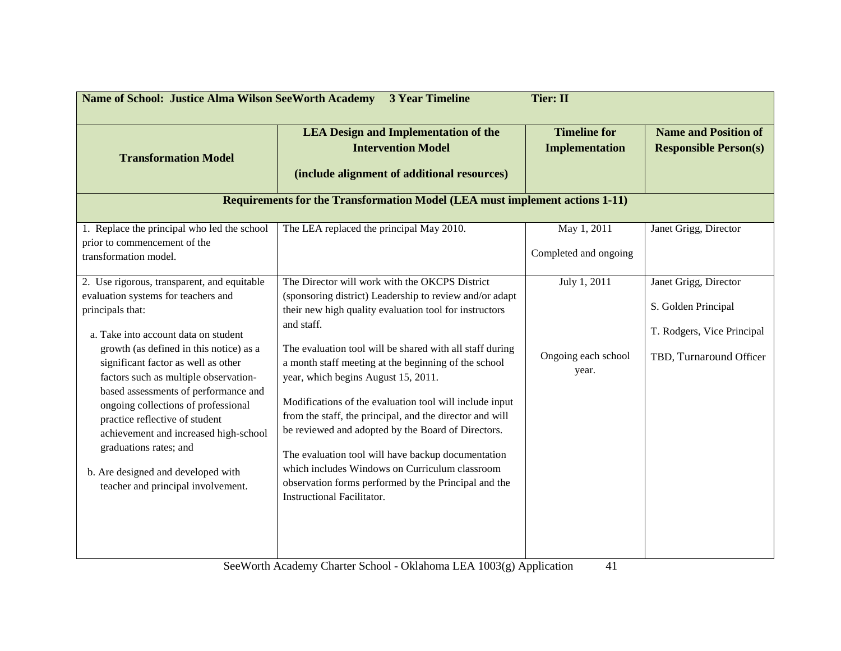| <b>Name of School: Justice Alma Wilson SeeWorth Academy</b>                                                                                                                                                                                                                                                                                                                                                                                                                                |                                                                                                                                                                                                                                                                                                                                                                                                                                                                                                                                                                                                                                                                              |                                                      |                                                                              |
|--------------------------------------------------------------------------------------------------------------------------------------------------------------------------------------------------------------------------------------------------------------------------------------------------------------------------------------------------------------------------------------------------------------------------------------------------------------------------------------------|------------------------------------------------------------------------------------------------------------------------------------------------------------------------------------------------------------------------------------------------------------------------------------------------------------------------------------------------------------------------------------------------------------------------------------------------------------------------------------------------------------------------------------------------------------------------------------------------------------------------------------------------------------------------------|------------------------------------------------------|------------------------------------------------------------------------------|
| <b>Transformation Model</b>                                                                                                                                                                                                                                                                                                                                                                                                                                                                | <b>LEA Design and Implementation of the</b><br><b>Intervention Model</b><br>(include alignment of additional resources)<br><b>Requirements for the Transformation Model (LEA must implement actions 1-11)</b>                                                                                                                                                                                                                                                                                                                                                                                                                                                                | <b>Timeline for</b><br><b>Implementation</b>         | <b>Name and Position of</b><br><b>Responsible Person(s)</b>                  |
| 1. Replace the principal who led the school<br>prior to commencement of the<br>transformation model.<br>2. Use rigorous, transparent, and equitable                                                                                                                                                                                                                                                                                                                                        | The LEA replaced the principal May 2010.<br>The Director will work with the OKCPS District                                                                                                                                                                                                                                                                                                                                                                                                                                                                                                                                                                                   | May 1, 2011<br>Completed and ongoing<br>July 1, 2011 | Janet Grigg, Director<br>Janet Grigg, Director                               |
| evaluation systems for teachers and<br>principals that:<br>a. Take into account data on student<br>growth (as defined in this notice) as a<br>significant factor as well as other<br>factors such as multiple observation-<br>based assessments of performance and<br>ongoing collections of professional<br>practice reflective of student<br>achievement and increased high-school<br>graduations rates; and<br>b. Are designed and developed with<br>teacher and principal involvement. | (sponsoring district) Leadership to review and/or adapt<br>their new high quality evaluation tool for instructors<br>and staff.<br>The evaluation tool will be shared with all staff during<br>a month staff meeting at the beginning of the school<br>year, which begins August 15, 2011.<br>Modifications of the evaluation tool will include input<br>from the staff, the principal, and the director and will<br>be reviewed and adopted by the Board of Directors.<br>The evaluation tool will have backup documentation<br>which includes Windows on Curriculum classroom<br>observation forms performed by the Principal and the<br><b>Instructional Facilitator.</b> | Ongoing each school<br>year.                         | S. Golden Principal<br>T. Rodgers, Vice Principal<br>TBD, Turnaround Officer |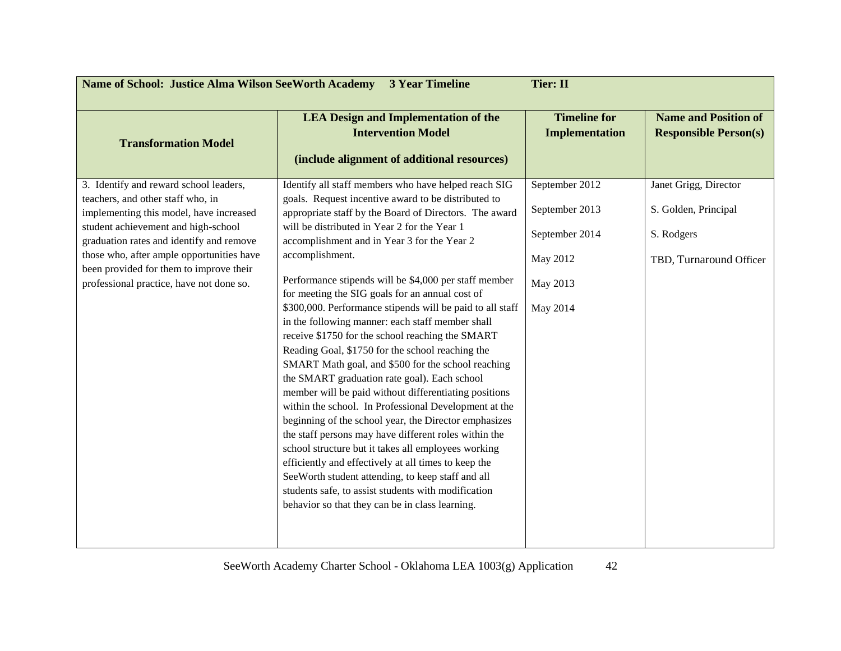| <b>Name of School: Justice Alma Wilson SeeWorth Academy</b><br><b>3 Year Timeline</b><br><b>Tier: II</b>                                                                                                                                                                                                                                      |                                                                                                                                                                                                                                                                                                                                                                                                                                                                                                                                                                                                                                                                                                                                                                                                                                                                                                                                                                                                                                                                                                                                                                                                                                                       |                                                                                        |                                                                                        |  |
|-----------------------------------------------------------------------------------------------------------------------------------------------------------------------------------------------------------------------------------------------------------------------------------------------------------------------------------------------|-------------------------------------------------------------------------------------------------------------------------------------------------------------------------------------------------------------------------------------------------------------------------------------------------------------------------------------------------------------------------------------------------------------------------------------------------------------------------------------------------------------------------------------------------------------------------------------------------------------------------------------------------------------------------------------------------------------------------------------------------------------------------------------------------------------------------------------------------------------------------------------------------------------------------------------------------------------------------------------------------------------------------------------------------------------------------------------------------------------------------------------------------------------------------------------------------------------------------------------------------------|----------------------------------------------------------------------------------------|----------------------------------------------------------------------------------------|--|
| <b>Transformation Model</b>                                                                                                                                                                                                                                                                                                                   | <b>LEA Design and Implementation of the</b><br><b>Intervention Model</b><br>(include alignment of additional resources)                                                                                                                                                                                                                                                                                                                                                                                                                                                                                                                                                                                                                                                                                                                                                                                                                                                                                                                                                                                                                                                                                                                               |                                                                                        | <b>Name and Position of</b><br><b>Responsible Person(s)</b>                            |  |
| 3. Identify and reward school leaders,<br>teachers, and other staff who, in<br>implementing this model, have increased<br>student achievement and high-school<br>graduation rates and identify and remove<br>those who, after ample opportunities have<br>been provided for them to improve their<br>professional practice, have not done so. | Identify all staff members who have helped reach SIG<br>goals. Request incentive award to be distributed to<br>appropriate staff by the Board of Directors. The award<br>will be distributed in Year 2 for the Year 1<br>accomplishment and in Year 3 for the Year 2<br>accomplishment.<br>Performance stipends will be \$4,000 per staff member<br>for meeting the SIG goals for an annual cost of<br>\$300,000. Performance stipends will be paid to all staff<br>in the following manner: each staff member shall<br>receive \$1750 for the school reaching the SMART<br>Reading Goal, \$1750 for the school reaching the<br>SMART Math goal, and \$500 for the school reaching<br>the SMART graduation rate goal). Each school<br>member will be paid without differentiating positions<br>within the school. In Professional Development at the<br>beginning of the school year, the Director emphasizes<br>the staff persons may have different roles within the<br>school structure but it takes all employees working<br>efficiently and effectively at all times to keep the<br>See Worth student attending, to keep staff and all<br>students safe, to assist students with modification<br>behavior so that they can be in class learning. | September 2012<br>September 2013<br>September 2014<br>May 2012<br>May 2013<br>May 2014 | Janet Grigg, Director<br>S. Golden, Principal<br>S. Rodgers<br>TBD, Turnaround Officer |  |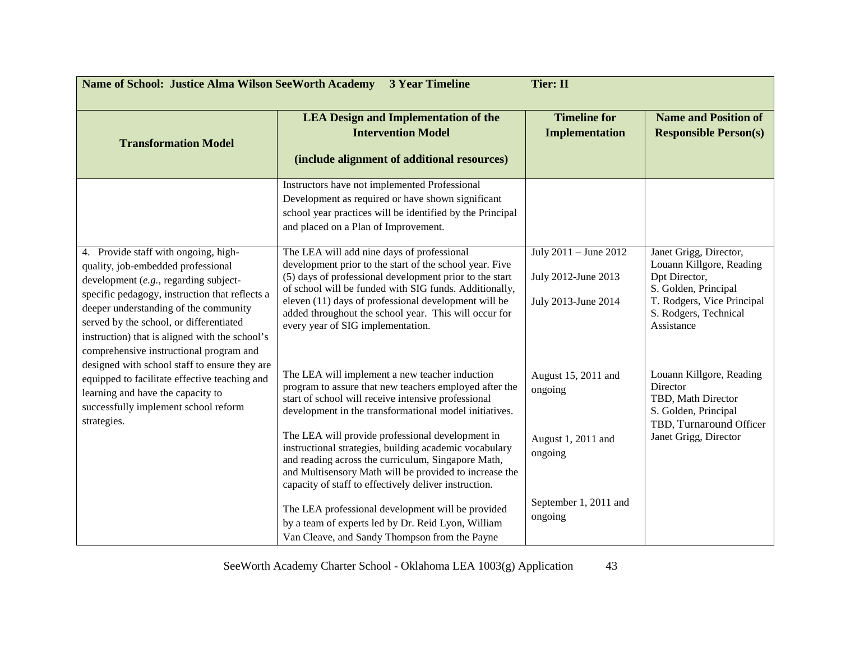| <b>Name of School: Justice Alma Wilson SeeWorth Academy</b><br><b>3 Year Timeline</b><br><b>Tier: II</b>                                                                                                                                                                                                    |                                                                                                                                                                                                                                                                                                                                                                                                                                                                                                                  |                                                                     |                                                                                                                                                                  |  |
|-------------------------------------------------------------------------------------------------------------------------------------------------------------------------------------------------------------------------------------------------------------------------------------------------------------|------------------------------------------------------------------------------------------------------------------------------------------------------------------------------------------------------------------------------------------------------------------------------------------------------------------------------------------------------------------------------------------------------------------------------------------------------------------------------------------------------------------|---------------------------------------------------------------------|------------------------------------------------------------------------------------------------------------------------------------------------------------------|--|
| <b>Transformation Model</b>                                                                                                                                                                                                                                                                                 | <b>LEA Design and Implementation of the</b><br><b>Intervention Model</b><br>(include alignment of additional resources)                                                                                                                                                                                                                                                                                                                                                                                          | <b>Timeline for</b><br><b>Implementation</b>                        | <b>Name and Position of</b><br><b>Responsible Person(s)</b>                                                                                                      |  |
|                                                                                                                                                                                                                                                                                                             | Instructors have not implemented Professional<br>Development as required or have shown significant<br>school year practices will be identified by the Principal<br>and placed on a Plan of Improvement.                                                                                                                                                                                                                                                                                                          |                                                                     |                                                                                                                                                                  |  |
| 4. Provide staff with ongoing, high-<br>quality, job-embedded professional<br>development (e.g., regarding subject-<br>specific pedagogy, instruction that reflects a<br>deeper understanding of the community<br>served by the school, or differentiated<br>instruction) that is aligned with the school's | The LEA will add nine days of professional<br>development prior to the start of the school year. Five<br>(5) days of professional development prior to the start<br>of school will be funded with SIG funds. Additionally,<br>eleven (11) days of professional development will be<br>added throughout the school year. This will occur for<br>every year of SIG implementation.                                                                                                                                 | July 2011 - June 2012<br>July 2012-June 2013<br>July 2013-June 2014 | Janet Grigg, Director,<br>Louann Killgore, Reading<br>Dpt Director,<br>S. Golden, Principal<br>T. Rodgers, Vice Principal<br>S. Rodgers, Technical<br>Assistance |  |
| comprehensive instructional program and<br>designed with school staff to ensure they are<br>equipped to facilitate effective teaching and<br>learning and have the capacity to<br>successfully implement school reform<br>strategies.                                                                       | The LEA will implement a new teacher induction<br>program to assure that new teachers employed after the<br>start of school will receive intensive professional<br>development in the transformational model initiatives.<br>The LEA will provide professional development in<br>instructional strategies, building academic vocabulary<br>and reading across the curriculum, Singapore Math,<br>and Multisensory Math will be provided to increase the<br>capacity of staff to effectively deliver instruction. | August 15, 2011 and<br>ongoing<br>August 1, 2011 and<br>ongoing     | Louann Killgore, Reading<br>Director<br>TBD, Math Director<br>S. Golden, Principal<br>TBD, Turnaround Officer<br>Janet Grigg, Director                           |  |
|                                                                                                                                                                                                                                                                                                             | The LEA professional development will be provided<br>by a team of experts led by Dr. Reid Lyon, William<br>Van Cleave, and Sandy Thompson from the Payne                                                                                                                                                                                                                                                                                                                                                         | September 1, 2011 and<br>ongoing                                    |                                                                                                                                                                  |  |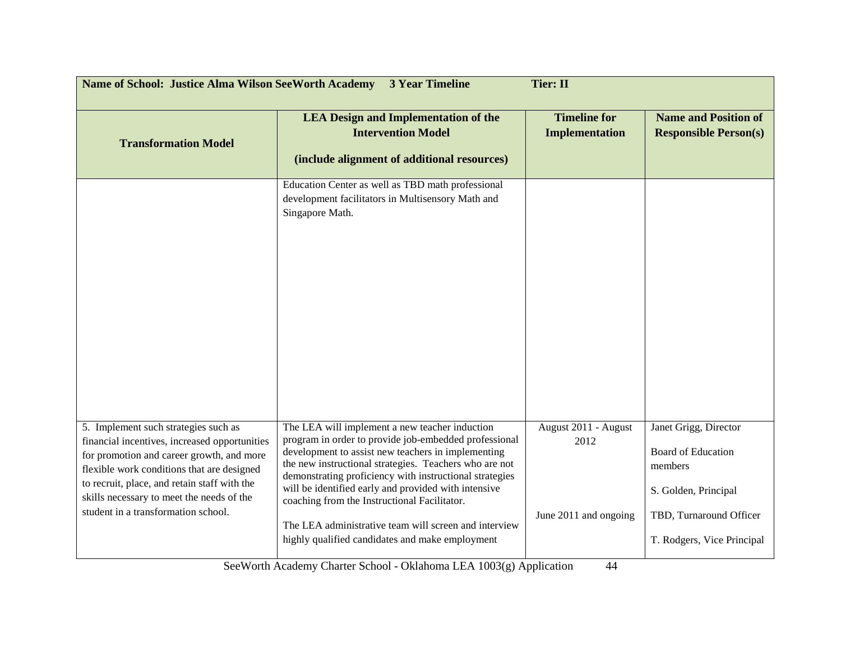| <b>Name of School: Justice Alma Wilson SeeWorth Academy</b><br><b>3 Year Timeline</b><br><b>Tier: II</b>                                                                                                                                                                                                             |                                                                                                                                                                                                                                                                                                                                                                                                                                                                                                        |                                                       |                                                                                                                                                |  |
|----------------------------------------------------------------------------------------------------------------------------------------------------------------------------------------------------------------------------------------------------------------------------------------------------------------------|--------------------------------------------------------------------------------------------------------------------------------------------------------------------------------------------------------------------------------------------------------------------------------------------------------------------------------------------------------------------------------------------------------------------------------------------------------------------------------------------------------|-------------------------------------------------------|------------------------------------------------------------------------------------------------------------------------------------------------|--|
| <b>Transformation Model</b>                                                                                                                                                                                                                                                                                          | <b>LEA Design and Implementation of the</b><br><b>Intervention Model</b><br>(include alignment of additional resources)                                                                                                                                                                                                                                                                                                                                                                                | <b>Timeline for</b><br><b>Implementation</b>          | <b>Name and Position of</b><br><b>Responsible Person(s)</b>                                                                                    |  |
|                                                                                                                                                                                                                                                                                                                      | Education Center as well as TBD math professional<br>development facilitators in Multisensory Math and<br>Singapore Math.                                                                                                                                                                                                                                                                                                                                                                              |                                                       |                                                                                                                                                |  |
| 5. Implement such strategies such as<br>financial incentives, increased opportunities<br>for promotion and career growth, and more<br>flexible work conditions that are designed<br>to recruit, place, and retain staff with the<br>skills necessary to meet the needs of the<br>student in a transformation school. | The LEA will implement a new teacher induction<br>program in order to provide job-embedded professional<br>development to assist new teachers in implementing<br>the new instructional strategies. Teachers who are not<br>demonstrating proficiency with instructional strategies<br>will be identified early and provided with intensive<br>coaching from the Instructional Facilitator.<br>The LEA administrative team will screen and interview<br>highly qualified candidates and make employment | August 2011 - August<br>2012<br>June 2011 and ongoing | Janet Grigg, Director<br><b>Board of Education</b><br>members<br>S. Golden, Principal<br>TBD, Turnaround Officer<br>T. Rodgers, Vice Principal |  |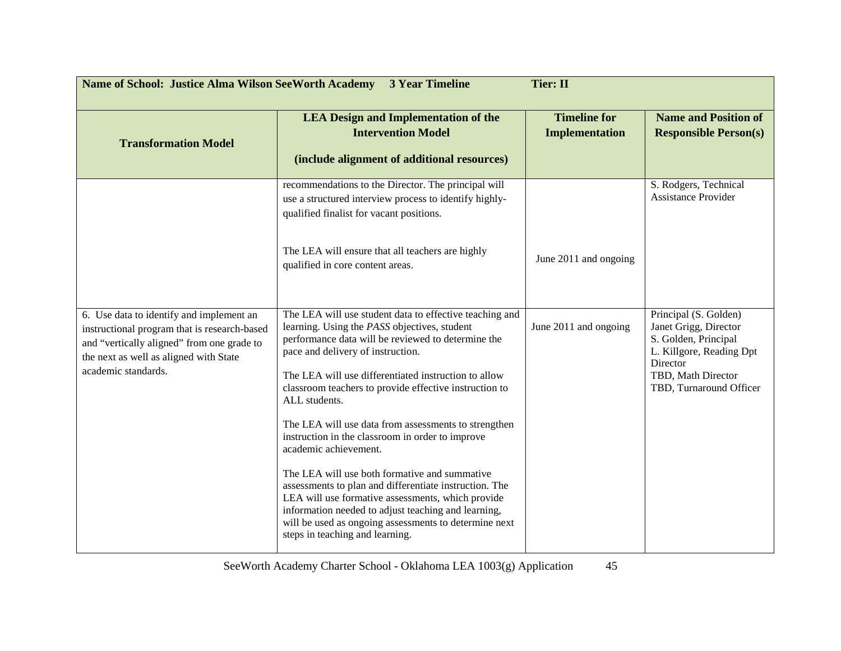| <b>Tier: II</b><br>Name of School: Justice Alma Wilson SeeWorth Academy 3 Year Timeline                                                                                                                 |                                                                                                                                                                                                                                                                                                                                                                                                                                                                                                                                                                                                                                                                                                                                                                                               |                                              |                                                                                                                                                                 |  |
|---------------------------------------------------------------------------------------------------------------------------------------------------------------------------------------------------------|-----------------------------------------------------------------------------------------------------------------------------------------------------------------------------------------------------------------------------------------------------------------------------------------------------------------------------------------------------------------------------------------------------------------------------------------------------------------------------------------------------------------------------------------------------------------------------------------------------------------------------------------------------------------------------------------------------------------------------------------------------------------------------------------------|----------------------------------------------|-----------------------------------------------------------------------------------------------------------------------------------------------------------------|--|
| <b>Transformation Model</b>                                                                                                                                                                             | <b>LEA Design and Implementation of the</b><br><b>Intervention Model</b><br>(include alignment of additional resources)                                                                                                                                                                                                                                                                                                                                                                                                                                                                                                                                                                                                                                                                       | <b>Timeline for</b><br><b>Implementation</b> | <b>Name and Position of</b><br><b>Responsible Person(s)</b>                                                                                                     |  |
|                                                                                                                                                                                                         | recommendations to the Director. The principal will<br>use a structured interview process to identify highly-<br>qualified finalist for vacant positions.<br>The LEA will ensure that all teachers are highly<br>qualified in core content areas.                                                                                                                                                                                                                                                                                                                                                                                                                                                                                                                                             | June 2011 and ongoing                        | S. Rodgers, Technical<br><b>Assistance Provider</b>                                                                                                             |  |
| 6. Use data to identify and implement an<br>instructional program that is research-based<br>and "vertically aligned" from one grade to<br>the next as well as aligned with State<br>academic standards. | The LEA will use student data to effective teaching and<br>learning. Using the PASS objectives, student<br>performance data will be reviewed to determine the<br>pace and delivery of instruction.<br>The LEA will use differentiated instruction to allow<br>classroom teachers to provide effective instruction to<br>ALL students.<br>The LEA will use data from assessments to strengthen<br>instruction in the classroom in order to improve<br>academic achievement.<br>The LEA will use both formative and summative<br>assessments to plan and differentiate instruction. The<br>LEA will use formative assessments, which provide<br>information needed to adjust teaching and learning,<br>will be used as ongoing assessments to determine next<br>steps in teaching and learning. | June 2011 and ongoing                        | Principal (S. Golden)<br>Janet Grigg, Director<br>S. Golden, Principal<br>L. Killgore, Reading Dpt<br>Director<br>TBD, Math Director<br>TBD, Turnaround Officer |  |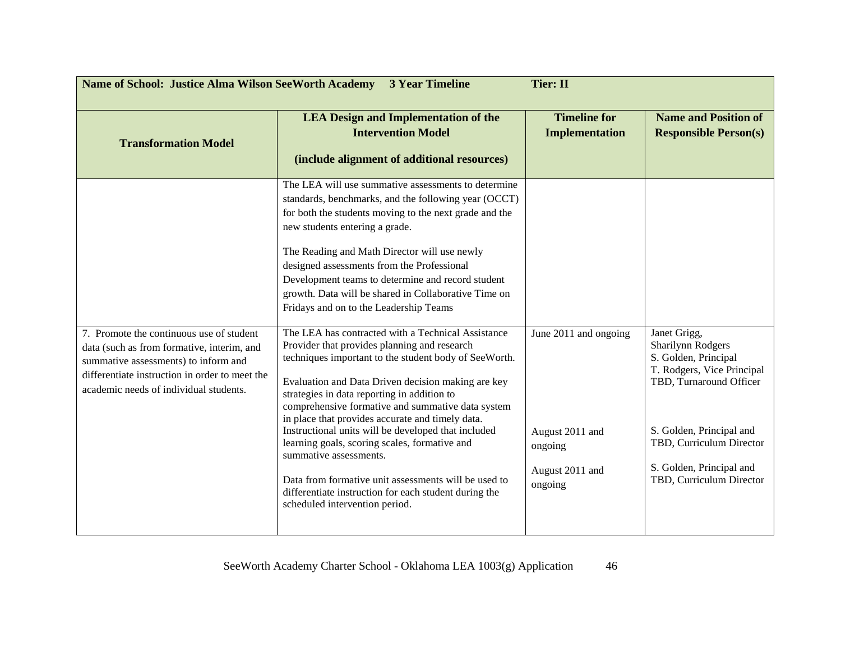| <b>Name of School: Justice Alma Wilson SeeWorth Academy</b><br><b>3 Year Timeline</b><br><b>Tier: II</b>                                                                                                                   |                                                                                                                                                                                                                                                                                                                                                                                                                                                                                                                                                                                                                                                                                                                                                                                                                                                                                                                                                                                                                                                                                                                                |                                                                                   |                                                                                                                                                                                                                                    |  |
|----------------------------------------------------------------------------------------------------------------------------------------------------------------------------------------------------------------------------|--------------------------------------------------------------------------------------------------------------------------------------------------------------------------------------------------------------------------------------------------------------------------------------------------------------------------------------------------------------------------------------------------------------------------------------------------------------------------------------------------------------------------------------------------------------------------------------------------------------------------------------------------------------------------------------------------------------------------------------------------------------------------------------------------------------------------------------------------------------------------------------------------------------------------------------------------------------------------------------------------------------------------------------------------------------------------------------------------------------------------------|-----------------------------------------------------------------------------------|------------------------------------------------------------------------------------------------------------------------------------------------------------------------------------------------------------------------------------|--|
| <b>Transformation Model</b>                                                                                                                                                                                                | <b>LEA Design and Implementation of the</b><br><b>Intervention Model</b><br>(include alignment of additional resources)                                                                                                                                                                                                                                                                                                                                                                                                                                                                                                                                                                                                                                                                                                                                                                                                                                                                                                                                                                                                        | <b>Timeline for</b><br><b>Implementation</b>                                      | <b>Name and Position of</b><br><b>Responsible Person(s)</b>                                                                                                                                                                        |  |
| 7. Promote the continuous use of student<br>data (such as from formative, interim, and<br>summative assessments) to inform and<br>differentiate instruction in order to meet the<br>academic needs of individual students. | The LEA will use summative assessments to determine<br>standards, benchmarks, and the following year (OCCT)<br>for both the students moving to the next grade and the<br>new students entering a grade.<br>The Reading and Math Director will use newly<br>designed assessments from the Professional<br>Development teams to determine and record student<br>growth. Data will be shared in Collaborative Time on<br>Fridays and on to the Leadership Teams<br>The LEA has contracted with a Technical Assistance<br>Provider that provides planning and research<br>techniques important to the student body of SeeWorth.<br>Evaluation and Data Driven decision making are key<br>strategies in data reporting in addition to<br>comprehensive formative and summative data system<br>in place that provides accurate and timely data.<br>Instructional units will be developed that included<br>learning goals, scoring scales, formative and<br>summative assessments.<br>Data from formative unit assessments will be used to<br>differentiate instruction for each student during the<br>scheduled intervention period. | June 2011 and ongoing<br>August 2011 and<br>ongoing<br>August 2011 and<br>ongoing | Janet Grigg,<br>Sharilynn Rodgers<br>S. Golden, Principal<br>T. Rodgers, Vice Principal<br>TBD, Turnaround Officer<br>S. Golden, Principal and<br>TBD, Curriculum Director<br>S. Golden, Principal and<br>TBD, Curriculum Director |  |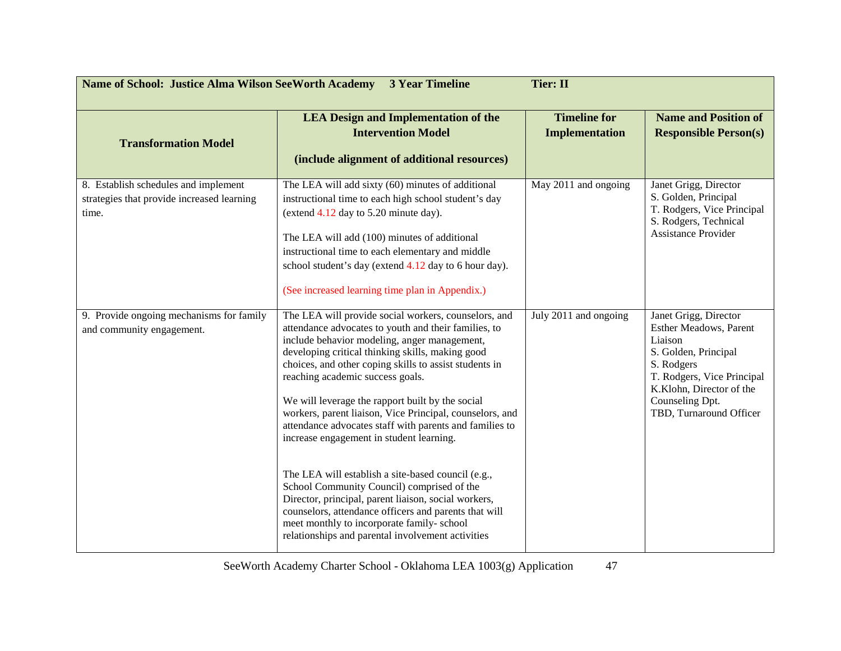| <b>Name of School: Justice Alma Wilson SeeWorth Academy</b><br><b>3 Year Timeline</b><br><b>Tier: II</b> |                                                                                                                                                                                                                                                                                                                                                                                                                                                                                                                                                                                                                                                                                                                                                                                                                                                              |                                              |                                                                                                                                                                                                          |  |
|----------------------------------------------------------------------------------------------------------|--------------------------------------------------------------------------------------------------------------------------------------------------------------------------------------------------------------------------------------------------------------------------------------------------------------------------------------------------------------------------------------------------------------------------------------------------------------------------------------------------------------------------------------------------------------------------------------------------------------------------------------------------------------------------------------------------------------------------------------------------------------------------------------------------------------------------------------------------------------|----------------------------------------------|----------------------------------------------------------------------------------------------------------------------------------------------------------------------------------------------------------|--|
| <b>Transformation Model</b>                                                                              | <b>LEA Design and Implementation of the</b><br><b>Intervention Model</b><br>(include alignment of additional resources)                                                                                                                                                                                                                                                                                                                                                                                                                                                                                                                                                                                                                                                                                                                                      | <b>Timeline for</b><br><b>Implementation</b> | <b>Name and Position of</b><br><b>Responsible Person(s)</b>                                                                                                                                              |  |
| 8. Establish schedules and implement<br>strategies that provide increased learning<br>time.              | The LEA will add sixty (60) minutes of additional<br>instructional time to each high school student's day<br>(extend $4.12$ day to 5.20 minute day).<br>The LEA will add (100) minutes of additional<br>instructional time to each elementary and middle<br>school student's day (extend 4.12 day to 6 hour day).<br>(See increased learning time plan in Appendix.)                                                                                                                                                                                                                                                                                                                                                                                                                                                                                         | May 2011 and ongoing                         | Janet Grigg, Director<br>S. Golden, Principal<br>T. Rodgers, Vice Principal<br>S. Rodgers, Technical<br>Assistance Provider                                                                              |  |
| 9. Provide ongoing mechanisms for family<br>and community engagement.                                    | The LEA will provide social workers, counselors, and<br>attendance advocates to youth and their families, to<br>include behavior modeling, anger management,<br>developing critical thinking skills, making good<br>choices, and other coping skills to assist students in<br>reaching academic success goals.<br>We will leverage the rapport built by the social<br>workers, parent liaison, Vice Principal, counselors, and<br>attendance advocates staff with parents and families to<br>increase engagement in student learning.<br>The LEA will establish a site-based council (e.g.,<br>School Community Council) comprised of the<br>Director, principal, parent liaison, social workers,<br>counselors, attendance officers and parents that will<br>meet monthly to incorporate family-school<br>relationships and parental involvement activities | July 2011 and ongoing                        | Janet Grigg, Director<br>Esther Meadows, Parent<br>Liaison<br>S. Golden, Principal<br>S. Rodgers<br>T. Rodgers, Vice Principal<br>K.Klohn, Director of the<br>Counseling Dpt.<br>TBD, Turnaround Officer |  |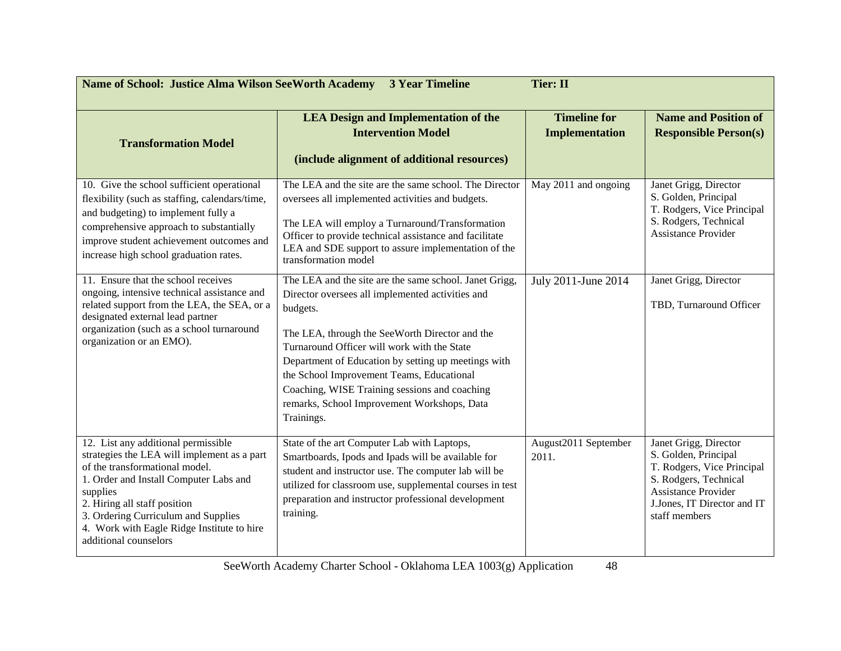| <b>Name of School: Justice Alma Wilson SeeWorth Academy</b><br><b>Tier: II</b><br><b>3 Year Timeline</b>                                                                                                                                                                                                                 |                                                                                                                                                                                                                                                                                                                                                                                                                                           |                                              |                                                                                                                                                                             |  |
|--------------------------------------------------------------------------------------------------------------------------------------------------------------------------------------------------------------------------------------------------------------------------------------------------------------------------|-------------------------------------------------------------------------------------------------------------------------------------------------------------------------------------------------------------------------------------------------------------------------------------------------------------------------------------------------------------------------------------------------------------------------------------------|----------------------------------------------|-----------------------------------------------------------------------------------------------------------------------------------------------------------------------------|--|
| <b>Transformation Model</b>                                                                                                                                                                                                                                                                                              | <b>LEA Design and Implementation of the</b><br><b>Intervention Model</b><br>(include alignment of additional resources)                                                                                                                                                                                                                                                                                                                   | <b>Timeline for</b><br><b>Implementation</b> | <b>Name and Position of</b><br><b>Responsible Person(s)</b>                                                                                                                 |  |
| 10. Give the school sufficient operational<br>flexibility (such as staffing, calendars/time,<br>and budgeting) to implement fully a<br>comprehensive approach to substantially<br>improve student achievement outcomes and<br>increase high school graduation rates.                                                     | The LEA and the site are the same school. The Director<br>oversees all implemented activities and budgets.<br>The LEA will employ a Turnaround/Transformation<br>Officer to provide technical assistance and facilitate<br>LEA and SDE support to assure implementation of the<br>transformation model                                                                                                                                    | May 2011 and ongoing                         | Janet Grigg, Director<br>S. Golden, Principal<br>T. Rodgers, Vice Principal<br>S. Rodgers, Technical<br>Assistance Provider                                                 |  |
| 11. Ensure that the school receives<br>ongoing, intensive technical assistance and<br>related support from the LEA, the SEA, or a<br>designated external lead partner<br>organization (such as a school turnaround<br>organization or an EMO).                                                                           | The LEA and the site are the same school. Janet Grigg,<br>Director oversees all implemented activities and<br>budgets.<br>The LEA, through the SeeWorth Director and the<br>Turnaround Officer will work with the State<br>Department of Education by setting up meetings with<br>the School Improvement Teams, Educational<br>Coaching, WISE Training sessions and coaching<br>remarks, School Improvement Workshops, Data<br>Trainings. | July 2011-June 2014                          | Janet Grigg, Director<br>TBD, Turnaround Officer                                                                                                                            |  |
| 12. List any additional permissible<br>strategies the LEA will implement as a part<br>of the transformational model.<br>1. Order and Install Computer Labs and<br>supplies<br>2. Hiring all staff position<br>3. Ordering Curriculum and Supplies<br>4. Work with Eagle Ridge Institute to hire<br>additional counselors | State of the art Computer Lab with Laptops,<br>Smartboards, Ipods and Ipads will be available for<br>student and instructor use. The computer lab will be<br>utilized for classroom use, supplemental courses in test<br>preparation and instructor professional development<br>training.                                                                                                                                                 | August2011 September<br>2011.                | Janet Grigg, Director<br>S. Golden, Principal<br>T. Rodgers, Vice Principal<br>S. Rodgers, Technical<br>Assistance Provider<br>J.Jones, IT Director and IT<br>staff members |  |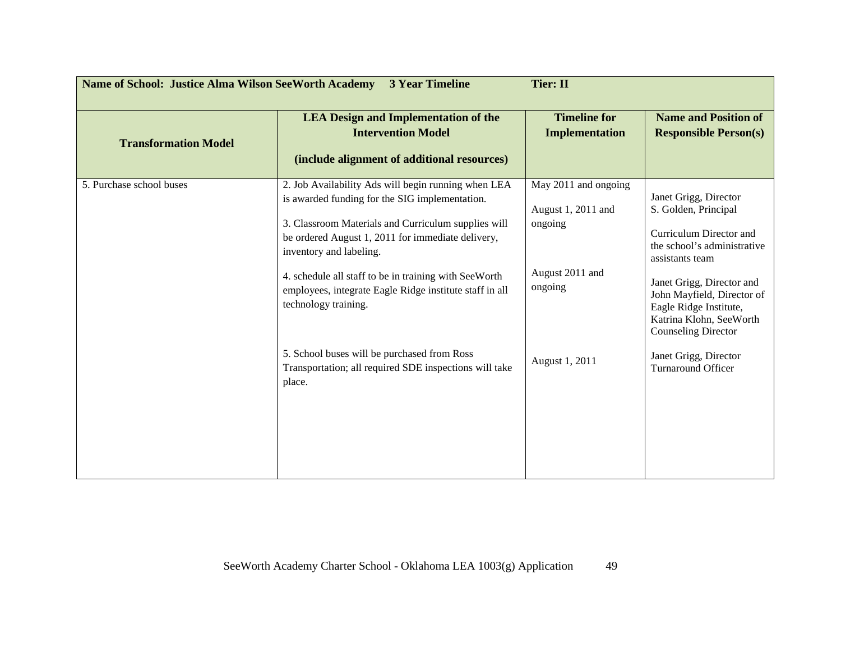| <b>Name of School: Justice Alma Wilson SeeWorth Academy</b><br><b>3 Year Timeline</b><br><b>Tier: II</b> |                                                                                                                                                                                                                                                                                                                                                                                          |                                                                                     |                                                                                                                                                                                                                                            |  |
|----------------------------------------------------------------------------------------------------------|------------------------------------------------------------------------------------------------------------------------------------------------------------------------------------------------------------------------------------------------------------------------------------------------------------------------------------------------------------------------------------------|-------------------------------------------------------------------------------------|--------------------------------------------------------------------------------------------------------------------------------------------------------------------------------------------------------------------------------------------|--|
| <b>Transformation Model</b>                                                                              | <b>LEA Design and Implementation of the</b><br><b>Intervention Model</b><br>(include alignment of additional resources)                                                                                                                                                                                                                                                                  | <b>Timeline for</b><br><b>Implementation</b>                                        | <b>Name and Position of</b><br><b>Responsible Person(s)</b>                                                                                                                                                                                |  |
| 5. Purchase school buses                                                                                 | 2. Job Availability Ads will begin running when LEA<br>is awarded funding for the SIG implementation.<br>3. Classroom Materials and Curriculum supplies will<br>be ordered August 1, 2011 for immediate delivery,<br>inventory and labeling.<br>4. schedule all staff to be in training with SeeWorth<br>employees, integrate Eagle Ridge institute staff in all<br>technology training. | May 2011 and ongoing<br>August 1, 2011 and<br>ongoing<br>August 2011 and<br>ongoing | Janet Grigg, Director<br>S. Golden, Principal<br>Curriculum Director and<br>the school's administrative<br>assistants team<br>Janet Grigg, Director and<br>John Mayfield, Director of<br>Eagle Ridge Institute,<br>Katrina Klohn, SeeWorth |  |
|                                                                                                          | 5. School buses will be purchased from Ross<br>Transportation; all required SDE inspections will take<br>place.                                                                                                                                                                                                                                                                          | August 1, 2011                                                                      | <b>Counseling Director</b><br>Janet Grigg, Director<br><b>Turnaround Officer</b>                                                                                                                                                           |  |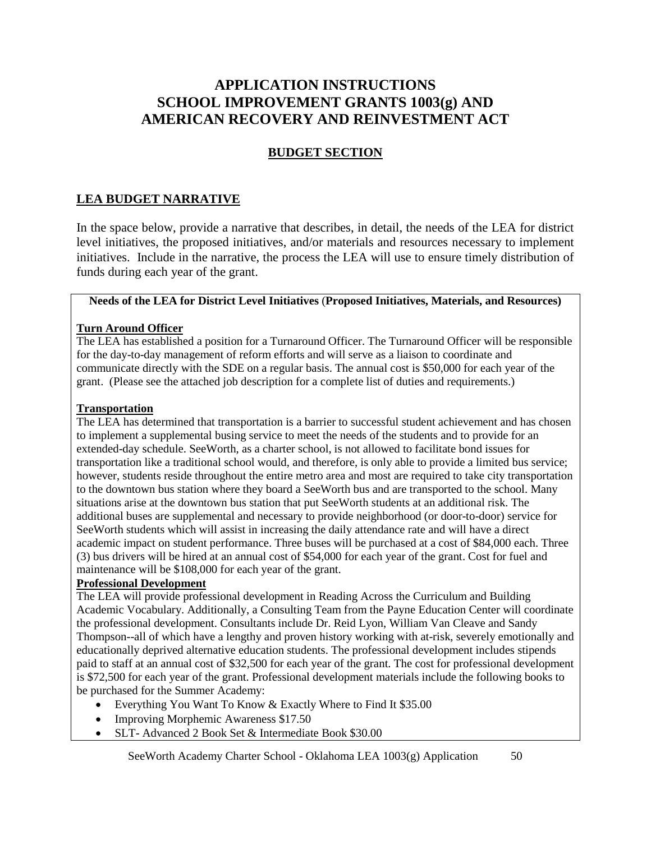# **APPLICATION INSTRUCTIONS SCHOOL IMPROVEMENT GRANTS 1003(g) AND AMERICAN RECOVERY AND REINVESTMENT ACT**

## **BUDGET SECTION**

## **LEA BUDGET NARRATIVE**

In the space below, provide a narrative that describes, in detail, the needs of the LEA for district level initiatives, the proposed initiatives, and/or materials and resources necessary to implement initiatives. Include in the narrative, the process the LEA will use to ensure timely distribution of funds during each year of the grant.

#### **Needs of the LEA for District Level Initiatives** (**Proposed Initiatives, Materials, and Resources)**

#### **Turn Around Officer**

The LEA has established a position for a Turnaround Officer. The Turnaround Officer will be responsible for the day-to-day management of reform efforts and will serve as a liaison to coordinate and communicate directly with the SDE on a regular basis. The annual cost is \$50,000 for each year of the grant. (Please see the attached job description for a complete list of duties and requirements.)

#### **Transportation**

The LEA has determined that transportation is a barrier to successful student achievement and has chosen to implement a supplemental busing service to meet the needs of the students and to provide for an extended-day schedule. SeeWorth, as a charter school, is not allowed to facilitate bond issues for transportation like a traditional school would, and therefore, is only able to provide a limited bus service; however, students reside throughout the entire metro area and most are required to take city transportation to the downtown bus station where they board a SeeWorth bus and are transported to the school. Many situations arise at the downtown bus station that put SeeWorth students at an additional risk. The additional buses are supplemental and necessary to provide neighborhood (or door-to-door) service for SeeWorth students which will assist in increasing the daily attendance rate and will have a direct academic impact on student performance. Three buses will be purchased at a cost of \$84,000 each. Three (3) bus drivers will be hired at an annual cost of \$54,000 for each year of the grant. Cost for fuel and maintenance will be \$108,000 for each year of the grant.

#### **Professional Development**

The LEA will provide professional development in Reading Across the Curriculum and Building Academic Vocabulary. Additionally, a Consulting Team from the Payne Education Center will coordinate the professional development. Consultants include Dr. Reid Lyon, William Van Cleave and Sandy Thompson--all of which have a lengthy and proven history working with at-risk, severely emotionally and educationally deprived alternative education students. The professional development includes stipends paid to staff at an annual cost of \$32,500 for each year of the grant. The cost for professional development is \$72,500 for each year of the grant. Professional development materials include the following books to be purchased for the Summer Academy:

- Everything You Want To Know & Exactly Where to Find It \$35.00
- Improving Morphemic Awareness \$17.50
- SLT- Advanced 2 Book Set & Intermediate Book \$30.00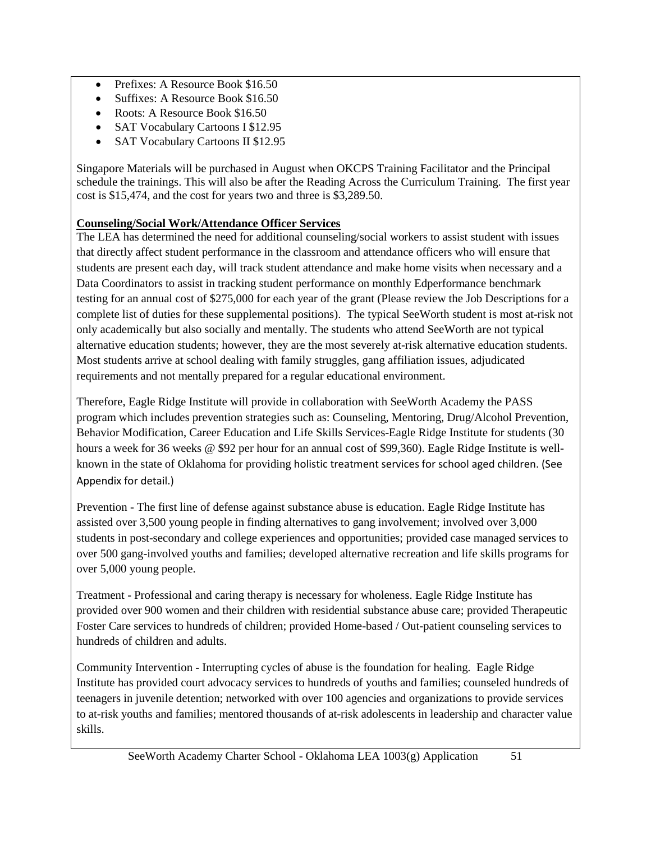- Prefixes: A Resource Book \$16.50
- Suffixes: A Resource Book \$16.50
- Roots: A Resource Book \$16.50
- SAT Vocabulary Cartoons I \$12.95
- SAT Vocabulary Cartoons II \$12.95

Singapore Materials will be purchased in August when OKCPS Training Facilitator and the Principal schedule the trainings. This will also be after the Reading Across the Curriculum Training. The first year cost is \$15,474, and the cost for years two and three is \$3,289.50.

## **Counseling/Social Work/Attendance Officer Services**

The LEA has determined the need for additional counseling/social workers to assist student with issues that directly affect student performance in the classroom and attendance officers who will ensure that students are present each day, will track student attendance and make home visits when necessary and a Data Coordinators to assist in tracking student performance on monthly Edperformance benchmark testing for an annual cost of \$275,000 for each year of the grant (Please review the Job Descriptions for a complete list of duties for these supplemental positions). The typical SeeWorth student is most at-risk not only academically but also socially and mentally. The students who attend SeeWorth are not typical alternative education students; however, they are the most severely at-risk alternative education students. Most students arrive at school dealing with family struggles, gang affiliation issues, adjudicated requirements and not mentally prepared for a regular educational environment.

Therefore, Eagle Ridge Institute will provide in collaboration with SeeWorth Academy the PASS program which includes prevention strategies such as: Counseling, Mentoring, Drug/Alcohol Prevention, Behavior Modification, Career Education and Life Skills Services-Eagle Ridge Institute for students (30 hours a week for 36 weeks @ \$92 per hour for an annual cost of \$99,360). Eagle Ridge Institute is wellknown in the state of Oklahoma for providing holistic treatment services for school aged children. (See Appendix for detail.)

Prevention - The first line of defense against substance abuse is education. Eagle Ridge Institute has assisted over 3,500 young people in finding alternatives to gang involvement; involved over 3,000 students in post-secondary and college experiences and opportunities; provided case managed services to over 500 gang-involved youths and families; developed alternative recreation and life skills programs for over 5,000 young people.

Treatment - Professional and caring therapy is necessary for wholeness. Eagle Ridge Institute has provided over 900 women and their children with residential substance abuse care; provided Therapeutic Foster Care services to hundreds of children; provided Home-based / Out-patient counseling services to hundreds of children and adults.

Community Intervention - Interrupting cycles of abuse is the foundation for healing. Eagle Ridge Institute has provided court advocacy services to hundreds of youths and families; counseled hundreds of teenagers in juvenile detention; networked with over 100 agencies and organizations to provide services to at-risk youths and families; mentored thousands of at-risk adolescents in leadership and character value skills.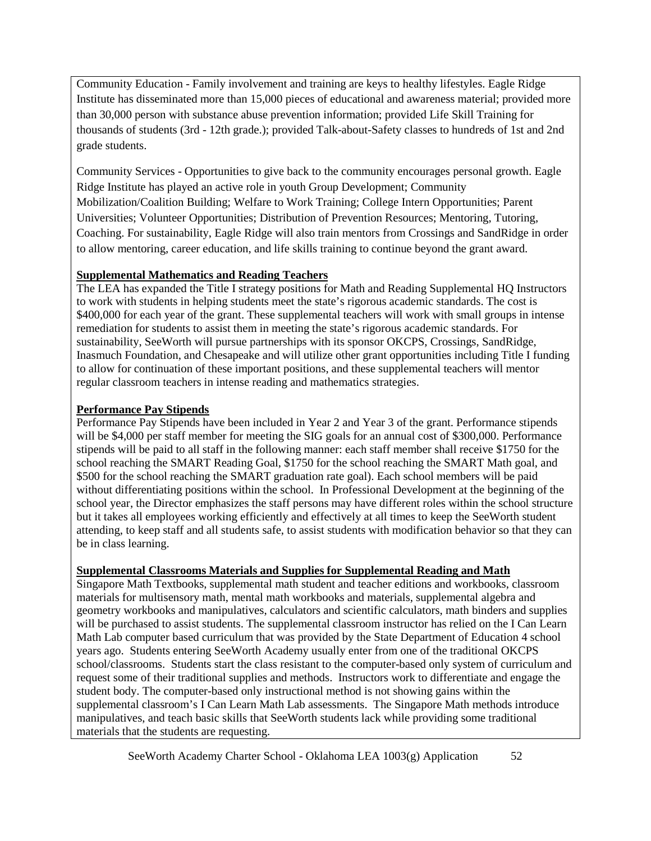Community Education - Family involvement and training are keys to healthy lifestyles. Eagle Ridge Institute has disseminated more than 15,000 pieces of educational and awareness material; provided more than 30,000 person with substance abuse prevention information; provided Life Skill Training for thousands of students (3rd - 12th grade.); provided Talk-about-Safety classes to hundreds of 1st and 2nd grade students.

Community Services - Opportunities to give back to the community encourages personal growth. Eagle Ridge Institute has played an active role in youth Group Development; Community Mobilization/Coalition Building; Welfare to Work Training; College Intern Opportunities; Parent Universities; Volunteer Opportunities; Distribution of Prevention Resources; Mentoring, Tutoring, Coaching. For sustainability, Eagle Ridge will also train mentors from Crossings and SandRidge in order to allow mentoring, career education, and life skills training to continue beyond the grant award.

## **Supplemental Mathematics and Reading Teachers**

The LEA has expanded the Title I strategy positions for Math and Reading Supplemental HQ Instructors to work with students in helping students meet the state's rigorous academic standards. The cost is \$400,000 for each year of the grant. These supplemental teachers will work with small groups in intense remediation for students to assist them in meeting the state's rigorous academic standards. For sustainability, SeeWorth will pursue partnerships with its sponsor OKCPS, Crossings, SandRidge, Inasmuch Foundation, and Chesapeake and will utilize other grant opportunities including Title I funding to allow for continuation of these important positions, and these supplemental teachers will mentor regular classroom teachers in intense reading and mathematics strategies.

## **Performance Pay Stipends**

Performance Pay Stipends have been included in Year 2 and Year 3 of the grant. Performance stipends will be \$4,000 per staff member for meeting the SIG goals for an annual cost of \$300,000. Performance stipends will be paid to all staff in the following manner: each staff member shall receive \$1750 for the school reaching the SMART Reading Goal, \$1750 for the school reaching the SMART Math goal, and \$500 for the school reaching the SMART graduation rate goal). Each school members will be paid without differentiating positions within the school. In Professional Development at the beginning of the school year, the Director emphasizes the staff persons may have different roles within the school structure but it takes all employees working efficiently and effectively at all times to keep the SeeWorth student attending, to keep staff and all students safe, to assist students with modification behavior so that they can be in class learning.

#### **Supplemental Classrooms Materials and Supplies for Supplemental Reading and Math**

Singapore Math Textbooks, supplemental math student and teacher editions and workbooks, classroom materials for multisensory math, mental math workbooks and materials, supplemental algebra and geometry workbooks and manipulatives, calculators and scientific calculators, math binders and supplies will be purchased to assist students. The supplemental classroom instructor has relied on the I Can Learn Math Lab computer based curriculum that was provided by the State Department of Education 4 school years ago. Students entering SeeWorth Academy usually enter from one of the traditional OKCPS school/classrooms. Students start the class resistant to the computer-based only system of curriculum and request some of their traditional supplies and methods. Instructors work to differentiate and engage the student body. The computer-based only instructional method is not showing gains within the supplemental classroom's I Can Learn Math Lab assessments. The Singapore Math methods introduce manipulatives, and teach basic skills that SeeWorth students lack while providing some traditional materials that the students are requesting.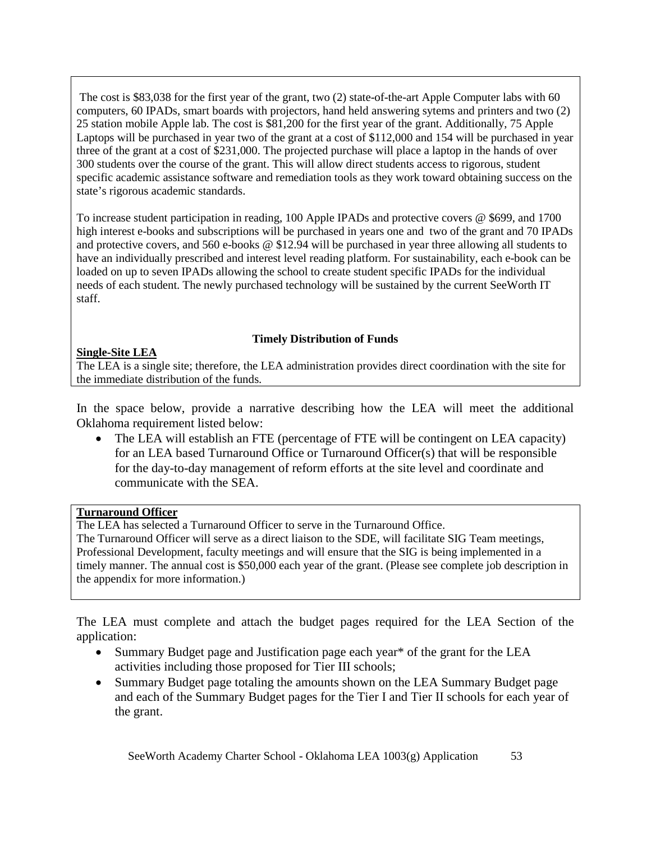The cost is \$83,038 for the first year of the grant, two (2) state-of-the-art Apple Computer labs with 60 computers, 60 IPADs, smart boards with projectors, hand held answering sytems and printers and two (2) 25 station mobile Apple lab. The cost is \$81,200 for the first year of the grant. Additionally, 75 Apple Laptops will be purchased in year two of the grant at a cost of \$112,000 and 154 will be purchased in year three of the grant at a cost of \$231,000. The projected purchase will place a laptop in the hands of over 300 students over the course of the grant. This will allow direct students access to rigorous, student specific academic assistance software and remediation tools as they work toward obtaining success on the state's rigorous academic standards.

To increase student participation in reading, 100 Apple IPADs and protective covers @ \$699, and 1700 high interest e-books and subscriptions will be purchased in years one and two of the grant and 70 IPADs and protective covers, and 560 e-books @ \$12.94 will be purchased in year three allowing all students to have an individually prescribed and interest level reading platform. For sustainability, each e-book can be loaded on up to seven IPADs allowing the school to create student specific IPADs for the individual needs of each student. The newly purchased technology will be sustained by the current SeeWorth IT staff.

#### **Timely Distribution of Funds**

## **Single-Site LEA**

The LEA is a single site; therefore, the LEA administration provides direct coordination with the site for the immediate distribution of the funds.

In the space below, provide a narrative describing how the LEA will meet the additional Oklahoma requirement listed below:

• The LEA will establish an FTE (percentage of FTE will be contingent on LEA capacity) for an LEA based Turnaround Office or Turnaround Officer(s) that will be responsible for the day-to-day management of reform efforts at the site level and coordinate and communicate with the SEA.

#### **Turnaround Officer**

The LEA has selected a Turnaround Officer to serve in the Turnaround Office.

The Turnaround Officer will serve as a direct liaison to the SDE, will facilitate SIG Team meetings, Professional Development, faculty meetings and will ensure that the SIG is being implemented in a timely manner. The annual cost is \$50,000 each year of the grant. (Please see complete job description in the appendix for more information.)

The LEA must complete and attach the budget pages required for the LEA Section of the application:

- Summary Budget page and Justification page each year\* of the grant for the LEA activities including those proposed for Tier III schools;
- Summary Budget page totaling the amounts shown on the LEA Summary Budget page and each of the Summary Budget pages for the Tier I and Tier II schools for each year of the grant.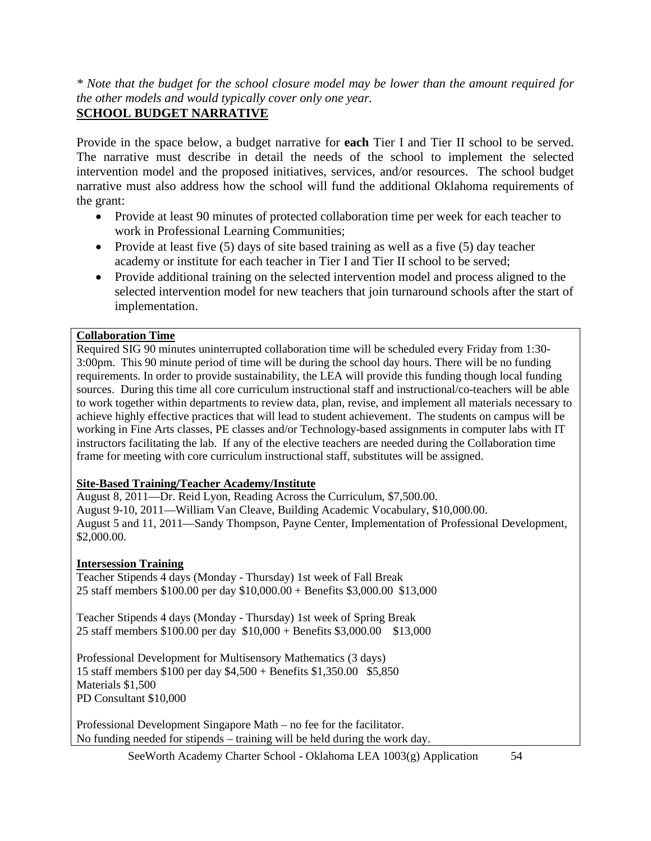*\* Note that the budget for the school closure model may be lower than the amount required for the other models and would typically cover only one year.*

# **SCHOOL BUDGET NARRATIVE**

Provide in the space below, a budget narrative for **each** Tier I and Tier II school to be served. The narrative must describe in detail the needs of the school to implement the selected intervention model and the proposed initiatives, services, and/or resources. The school budget narrative must also address how the school will fund the additional Oklahoma requirements of the grant:

- Provide at least 90 minutes of protected collaboration time per week for each teacher to work in Professional Learning Communities;
- Provide at least five (5) days of site based training as well as a five (5) day teacher academy or institute for each teacher in Tier I and Tier II school to be served;
- Provide additional training on the selected intervention model and process aligned to the selected intervention model for new teachers that join turnaround schools after the start of implementation.

## **Collaboration Time**

Required SIG 90 minutes uninterrupted collaboration time will be scheduled every Friday from 1:30- 3:00pm. This 90 minute period of time will be during the school day hours. There will be no funding requirements. In order to provide sustainability, the LEA will provide this funding though local funding sources. During this time all core curriculum instructional staff and instructional/co-teachers will be able to work together within departments to review data, plan, revise, and implement all materials necessary to achieve highly effective practices that will lead to student achievement. The students on campus will be working in Fine Arts classes, PE classes and/or Technology-based assignments in computer labs with IT instructors facilitating the lab. If any of the elective teachers are needed during the Collaboration time frame for meeting with core curriculum instructional staff, substitutes will be assigned.

#### **Site-Based Training/Teacher Academy/Institute**

August 8, 2011—Dr. Reid Lyon, Reading Across the Curriculum, \$7,500.00. August 9-10, 2011—William Van Cleave, Building Academic Vocabulary, \$10,000.00. August 5 and 11, 2011—Sandy Thompson, Payne Center, Implementation of Professional Development, \$2,000.00.

## **Intersession Training**

Teacher Stipends 4 days (Monday - Thursday) 1st week of Fall Break 25 staff members \$100.00 per day \$10,000.00 + Benefits \$3,000.00 \$13,000

Teacher Stipends 4 days (Monday - Thursday) 1st week of Spring Break 25 staff members \$100.00 per day \$10,000 + Benefits \$3,000.00 \$13,000

Professional Development for Multisensory Mathematics (3 days) 15 staff members \$100 per day \$4,500 + Benefits \$1,350.00 \$5,850 Materials \$1,500 PD Consultant \$10,000

Professional Development Singapore Math – no fee for the facilitator. No funding needed for stipends – training will be held during the work day.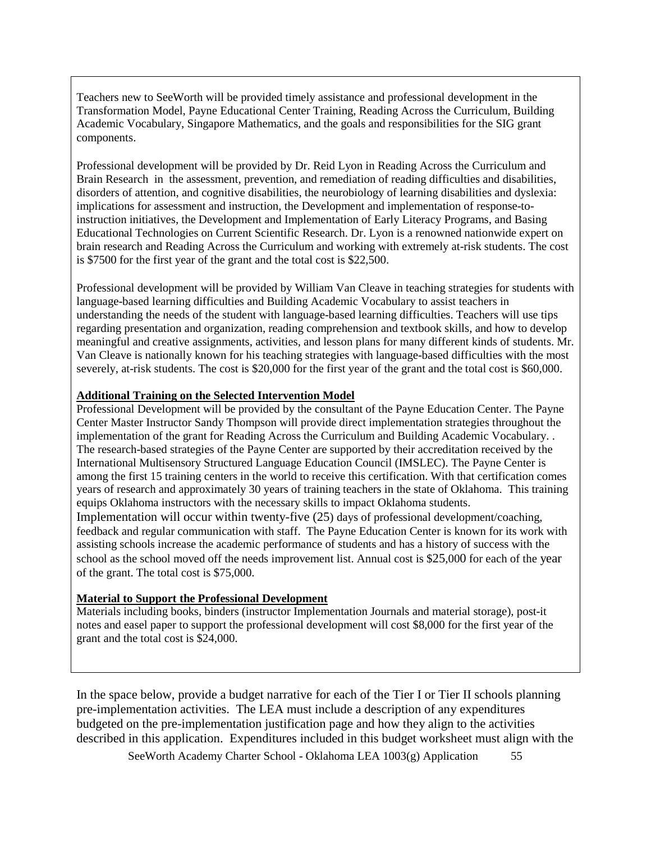Teachers new to SeeWorth will be provided timely assistance and professional development in the Transformation Model, Payne Educational Center Training, Reading Across the Curriculum, Building Academic Vocabulary, Singapore Mathematics, and the goals and responsibilities for the SIG grant components.

Professional development will be provided by Dr. Reid Lyon in Reading Across the Curriculum and Brain Research in t he assessment, prevention, and remediation of reading difficulties and disabilities, disorders of attention, and cognitive disabilities, the neurobiology of learning disabilities and dyslexia: implications for assessment and instruction, the Development and implementation of response-toinstruction initiatives, the Development and Implementation of Early Literacy Programs, and Basing Educational Technologies on Current Scientific Research. Dr. Lyon is a renowned nationwide expert on brain research and Reading Across the Curriculum and working with extremely at-risk students. The cost is \$7500 for the first year of the grant and the total cost is \$22,500.

Professional development will be provided by William Van Cleave in teaching strategies for students with language-based learning difficulties and Building Academic Vocabulary to assist teachers in understanding the needs of the student with language-based learning difficulties. Teachers will use tips regarding presentation and organization, reading comprehension and textbook skills, and how to develop meaningful and creative assignments, activities, and lesson plans for many different kinds of students. Mr. Van Cleave is nationally known for his teaching strategies with language-based difficulties with the most severely, at-risk students. The cost is \$20,000 for the first year of the grant and the total cost is \$60,000.

#### **Additional Training on the Selected Intervention Model**

Professional Development will be provided by the consultant of the Payne Education Center. The Payne Center Master Instructor Sandy Thompson will provide direct implementation strategies throughout the implementation of the grant for Reading Across the Curriculum and Building Academic Vocabulary. . The research-based strategies of the Payne Center are supported by their accreditation received by the International Multisensory Structured Language Education Council (IMSLEC). The Payne Center is among the first 15 training centers in the world to receive this certification. With that certification comes years of research and approximately 30 years of training teachers in the state of Oklahoma. This training equips Oklahoma instructors with the necessary skills to impact Oklahoma students.

Implementation will occur within twenty-five (25) days of professional development/coaching, feedback and regular communication with staff. The Payne Education Center is known for its work with assisting schools increase the academic performance of students and has a history of success with the school as the school moved off the needs improvement list. Annual cost is \$25,000 for each of the year of the grant. The total cost is \$75,000.

#### **Material to Support the Professional Development**

Materials including books, binders (instructor Implementation Journals and material storage), post-it notes and easel paper to support the professional development will cost \$8,000 for the first year of the grant and the total cost is \$24,000.

In the space below, provide a budget narrative for each of the Tier I or Tier II schools planning pre-implementation activities. The LEA must include a description of any expenditures budgeted on the pre-implementation justification page and how they align to the activities described in this application. Expenditures included in this budget worksheet must align with the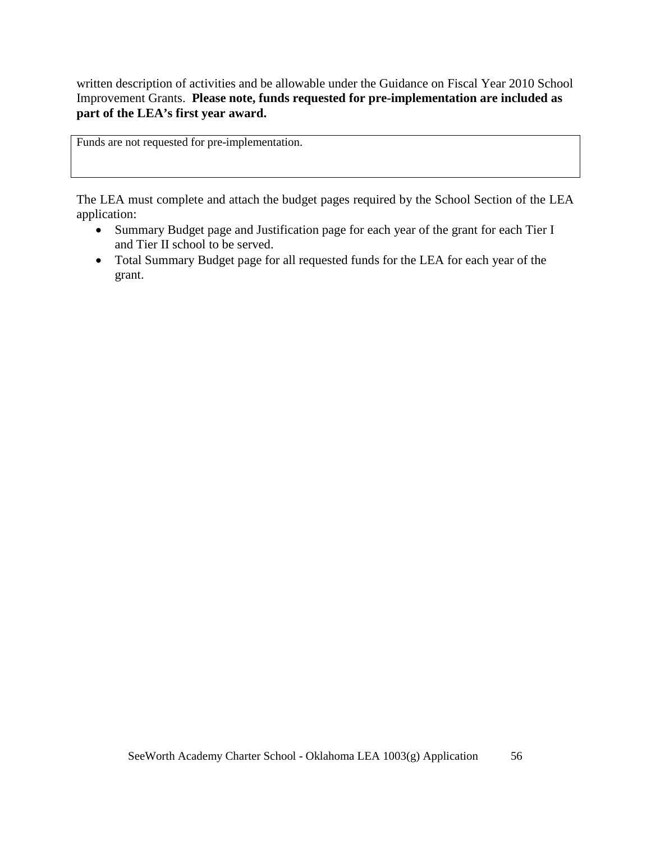written description of activities and be allowable under the Guidance on Fiscal Year 2010 School Improvement Grants. **Please note, funds requested for pre-implementation are included as part of the LEA's first year award.**

Funds are not requested for pre-implementation.

The LEA must complete and attach the budget pages required by the School Section of the LEA application:

- Summary Budget page and Justification page for each year of the grant for each Tier I and Tier II school to be served.
- Total Summary Budget page for all requested funds for the LEA for each year of the grant.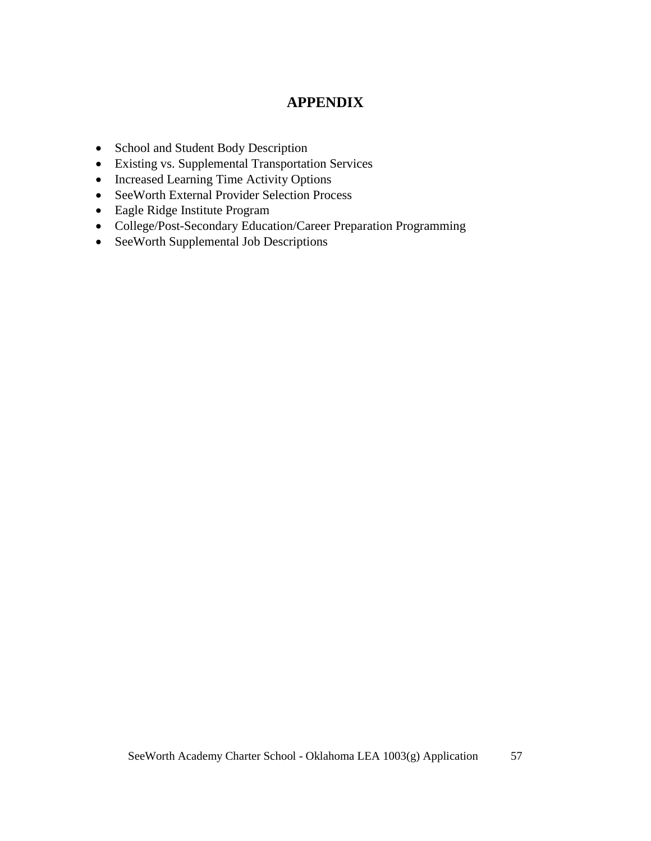# **APPENDIX**

- School and Student Body Description
- Existing vs. Supplemental Transportation Services
- Increased Learning Time Activity Options
- SeeWorth External Provider Selection Process
- Eagle Ridge Institute Program
- College/Post-Secondary Education/Career Preparation Programming
- SeeWorth Supplemental Job Descriptions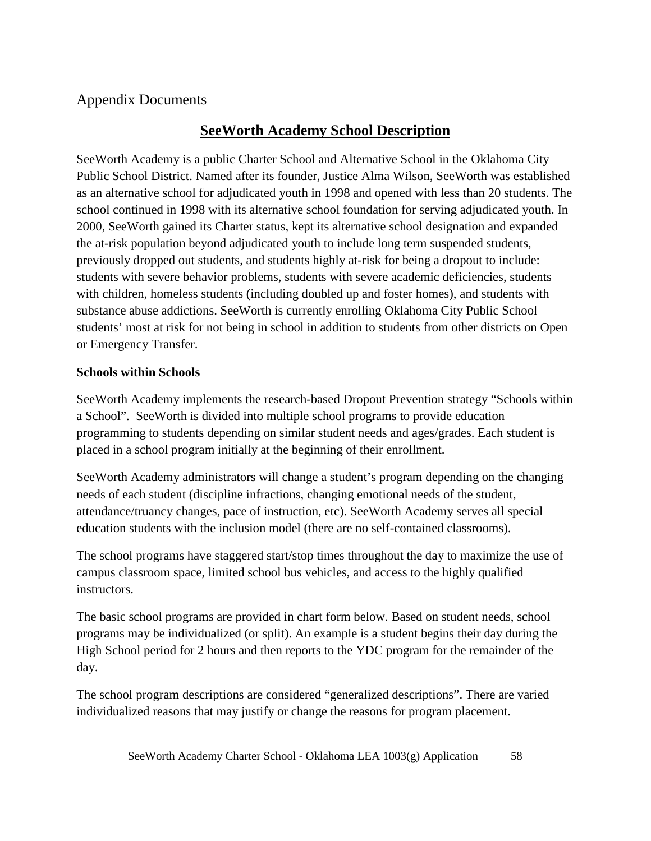# Appendix Documents

# **SeeWorth Academy School Description**

SeeWorth Academy is a public Charter School and Alternative School in the Oklahoma City Public School District. Named after its founder, Justice Alma Wilson, SeeWorth was established as an alternative school for adjudicated youth in 1998 and opened with less than 20 students. The school continued in 1998 with its alternative school foundation for serving adjudicated youth. In 2000, SeeWorth gained its Charter status, kept its alternative school designation and expanded the at-risk population beyond adjudicated youth to include long term suspended students, previously dropped out students, and students highly at-risk for being a dropout to include: students with severe behavior problems, students with severe academic deficiencies, students with children, homeless students (including doubled up and foster homes), and students with substance abuse addictions. SeeWorth is currently enrolling Oklahoma City Public School students' most at risk for not being in school in addition to students from other districts on Open or Emergency Transfer.

## **Schools within Schools**

SeeWorth Academy implements the research-based Dropout Prevention strategy "Schools within a School". SeeWorth is divided into multiple school programs to provide education programming to students depending on similar student needs and ages/grades. Each student is placed in a school program initially at the beginning of their enrollment.

SeeWorth Academy administrators will change a student's program depending on the changing needs of each student (discipline infractions, changing emotional needs of the student, attendance/truancy changes, pace of instruction, etc). SeeWorth Academy serves all special education students with the inclusion model (there are no self-contained classrooms).

The school programs have staggered start/stop times throughout the day to maximize the use of campus classroom space, limited school bus vehicles, and access to the highly qualified instructors.

The basic school programs are provided in chart form below. Based on student needs, school programs may be individualized (or split). An example is a student begins their day during the High School period for 2 hours and then reports to the YDC program for the remainder of the day.

The school program descriptions are considered "generalized descriptions". There are varied individualized reasons that may justify or change the reasons for program placement.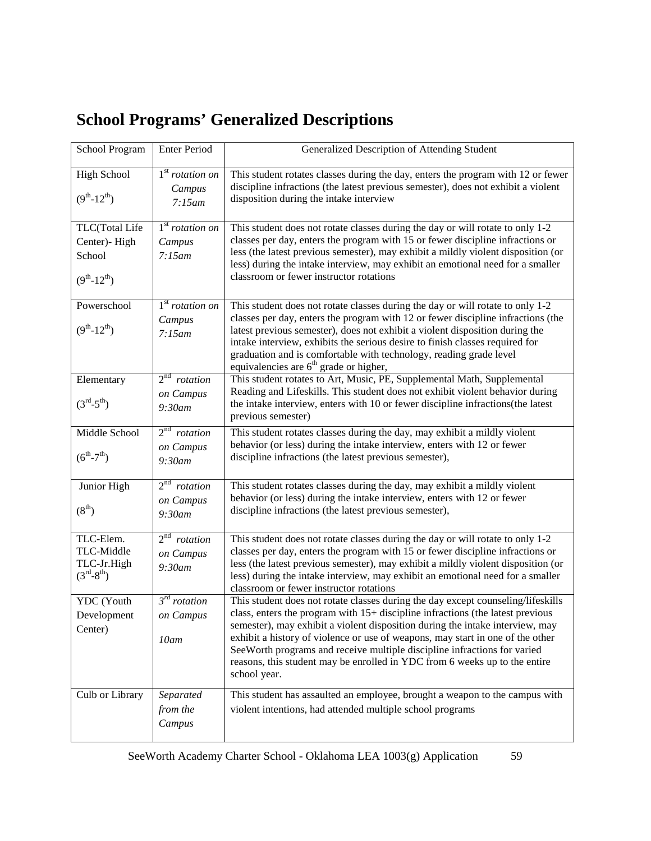# **School Programs' Generalized Descriptions**

| School Program                                                      | <b>Enter Period</b>                                | Generalized Description of Attending Student                                                                                                                                                                                                                                                                                                                                                                                                                                                                     |
|---------------------------------------------------------------------|----------------------------------------------------|------------------------------------------------------------------------------------------------------------------------------------------------------------------------------------------------------------------------------------------------------------------------------------------------------------------------------------------------------------------------------------------------------------------------------------------------------------------------------------------------------------------|
| <b>High School</b><br>$(9^{th} - 12^{th})$                          | $1st rotation$ on<br>Campus<br>7:15am              | This student rotates classes during the day, enters the program with 12 or fewer<br>discipline infractions (the latest previous semester), does not exhibit a violent<br>disposition during the intake interview                                                                                                                                                                                                                                                                                                 |
| TLC(Total Life<br>Center)-High<br>School<br>$(9^{th} - 12^{th})$    | 1 <sup>st</sup> rotation on<br>Campus<br>7:15am    | This student does not rotate classes during the day or will rotate to only 1-2<br>classes per day, enters the program with 15 or fewer discipline infractions or<br>less (the latest previous semester), may exhibit a mildly violent disposition (or<br>less) during the intake interview, may exhibit an emotional need for a smaller<br>classroom or fewer instructor rotations                                                                                                                               |
| Powerschool<br>$(9^{th} - 12^{th})$                                 | $1st rotation$ on<br>Campus<br>7:15am              | This student does not rotate classes during the day or will rotate to only 1-2<br>classes per day, enters the program with 12 or fewer discipline infractions (the<br>latest previous semester), does not exhibit a violent disposition during the<br>intake interview, exhibits the serious desire to finish classes required for<br>graduation and is comfortable with technology, reading grade level<br>equivalencies are $6th$ grade or higher,                                                             |
| Elementary<br>$(3^{\text{rd}} - 5^{\text{th}})$                     | 2 <sup>nd</sup> rotation<br>on Campus<br>$9:30$ am | This student rotates to Art, Music, PE, Supplemental Math, Supplemental<br>Reading and Lifeskills. This student does not exhibit violent behavior during<br>the intake interview, enters with 10 or fewer discipline infractions(the latest<br>previous semester)                                                                                                                                                                                                                                                |
| Middle School<br>$(6^{th} - 7^{th})$                                | 2 <sup>nd</sup> rotation<br>on Campus<br>9:30am    | This student rotates classes during the day, may exhibit a mildly violent<br>behavior (or less) during the intake interview, enters with 12 or fewer<br>discipline infractions (the latest previous semester),                                                                                                                                                                                                                                                                                                   |
| Junior High<br>(8 <sup>th</sup> )                                   | 2 <sup>nd</sup> rotation<br>on Campus<br>9:30am    | This student rotates classes during the day, may exhibit a mildly violent<br>behavior (or less) during the intake interview, enters with 12 or fewer<br>discipline infractions (the latest previous semester),                                                                                                                                                                                                                                                                                                   |
| TLC-Elem.<br>TLC-Middle<br>TLC-Jr.High<br>$(3^{\rm rd}-8^{\rm th})$ | 2 <sup>nd</sup> rotation<br>on Campus<br>9:30am    | This student does not rotate classes during the day or will rotate to only 1-2<br>classes per day, enters the program with 15 or fewer discipline infractions or<br>less (the latest previous semester), may exhibit a mildly violent disposition (or<br>less) during the intake interview, may exhibit an emotional need for a smaller<br>classroom or fewer instructor rotations                                                                                                                               |
| YDC (Youth<br>Development<br>Center)                                | $3^{rd}$ rotation<br>on Campus<br>10am             | This student does not rotate classes during the day except counseling/lifeskills<br>class, enters the program with 15+ discipline infractions (the latest previous<br>semester), may exhibit a violent disposition during the intake interview, may<br>exhibit a history of violence or use of weapons, may start in one of the other<br>See Worth programs and receive multiple discipline infractions for varied<br>reasons, this student may be enrolled in YDC from 6 weeks up to the entire<br>school year. |
| Culb or Library                                                     | Separated<br>from the<br>Campus                    | This student has assaulted an employee, brought a weapon to the campus with<br>violent intentions, had attended multiple school programs                                                                                                                                                                                                                                                                                                                                                                         |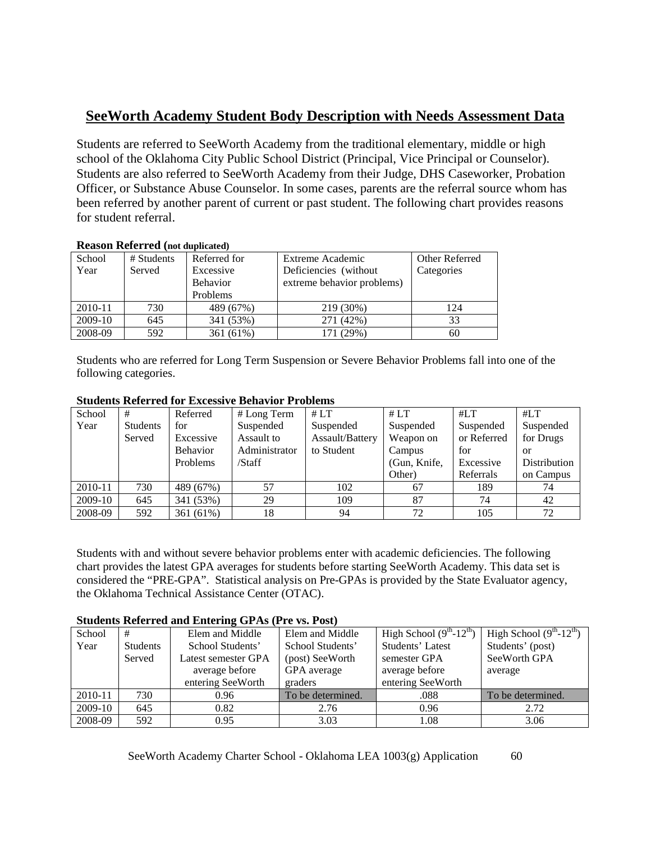# **SeeWorth Academy Student Body Description with Needs Assessment Data**

Students are referred to SeeWorth Academy from the traditional elementary, middle or high school of the Oklahoma City Public School District (Principal, Vice Principal or Counselor). Students are also referred to SeeWorth Academy from their Judge, DHS Caseworker, Probation Officer, or Substance Abuse Counselor. In some cases, parents are the referral source whom has been referred by another parent of current or past student. The following chart provides reasons for student referral.

| Acason Acterica (llut duplicated) |            |                 |                            |                |  |  |
|-----------------------------------|------------|-----------------|----------------------------|----------------|--|--|
| School                            | # Students | Referred for    | Extreme Academic           | Other Referred |  |  |
| Year                              | Served     | Excessive       | Deficiencies (without)     | Categories     |  |  |
|                                   |            | <b>Behavior</b> | extreme behavior problems) |                |  |  |
|                                   |            | Problems        |                            |                |  |  |
| 2010-11                           | 730        | 489 (67%)       | 219 (30%)                  | 124            |  |  |
| 2009-10                           | 645        | 341 (53%)       | 271 (42%)                  | 33             |  |  |
| 2008-09                           | 592        | 361 (61%)       | 171 (29%)                  | 60             |  |  |

## **Reason Referred (not duplicated)**

Students who are referred for Long Term Suspension or Severe Behavior Problems fall into one of the following categories.

| School  | #        | Referred        | # Long Term   | #LT             | #LT          | #LT         | #LT          |
|---------|----------|-----------------|---------------|-----------------|--------------|-------------|--------------|
| Year    | Students | for             | Suspended     | Suspended       | Suspended    | Suspended   | Suspended    |
|         | Served   | Excessive       | Assault to    | Assault/Battery | Weapon on    | or Referred | for Drugs    |
|         |          | <b>Behavior</b> | Administrator | to Student      | Campus       | for         | or           |
|         |          | <b>Problems</b> | /Staff        |                 | (Gun, Knife, | Excessive   | Distribution |
|         |          |                 |               |                 | Other)       | Referrals   | on Campus    |
| 2010-11 | 730      | 489 (67%)       | 57            | 102             | 67           | 189         | 74           |
| 2009-10 | 645      | 341 (53%)       | 29            | 109             | 87           | 74          | 42           |
| 2008-09 | 592      | 361 (61%)       | 18            | 94              | 72           | 105         | 72           |

#### **Students Referred for Excessive Behavior Problems**

Students with and without severe behavior problems enter with academic deficiencies. The following chart provides the latest GPA averages for students before starting SeeWorth Academy. This data set is considered the "PRE-GPA". Statistical analysis on Pre-GPAs is provided by the State Evaluator agency, the Oklahoma Technical Assistance Center (OTAC).

#### **Students Referred and Entering GPAs (Pre vs. Post)**

| School  | #        | Elem and Middle     | Elem and Middle   | High School $(9th-12th)$ | High School $(9th-12th)$ |
|---------|----------|---------------------|-------------------|--------------------------|--------------------------|
| Year    | Students | School Students'    | School Students'  | Students' Latest         | Students' (post)         |
|         | Served   | Latest semester GPA | (post) SeeWorth   | semester GPA             | SeeWorth GPA             |
|         |          | average before      | GPA average       | average before           | average                  |
|         |          | entering SeeWorth   | graders           | entering SeeWorth        |                          |
| 2010-11 | 730      | 0.96                | To be determined. | .088                     | To be determined.        |
| 2009-10 | 645      | 0.82                | 2.76              | 0.96                     | 2.72                     |
| 2008-09 | 592      | 0.95                | 3.03              | 1.08                     | 3.06                     |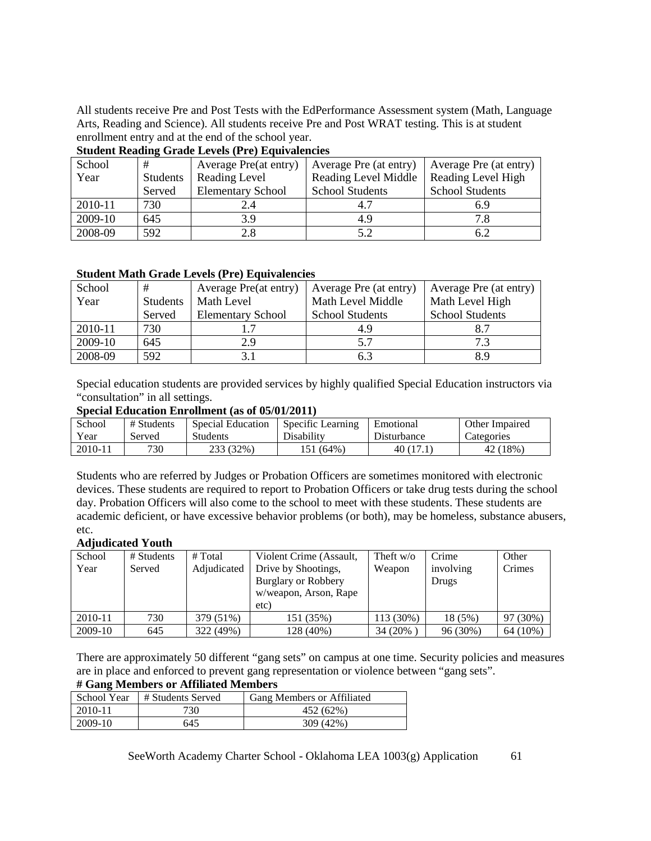All students receive Pre and Post Tests with the EdPerformance Assessment system (Math, Language Arts, Reading and Science). All students receive Pre and Post WRAT testing. This is at student enrollment entry and at the end of the school year.

| $D$ and $D$ and $D$ and $D$ and $D$ and $D$ and $D$ are $D$ |                            |                          |                        |                        |  |  |  |  |  |  |  |
|-------------------------------------------------------------|----------------------------|--------------------------|------------------------|------------------------|--|--|--|--|--|--|--|
| School                                                      | Average Pre(at entry)<br># |                          | Average Pre (at entry) | Average Pre (at entry) |  |  |  |  |  |  |  |
| Year                                                        | Students                   | Reading Level            | Reading Level Middle   | Reading Level High     |  |  |  |  |  |  |  |
|                                                             | Served                     | <b>Elementary School</b> | <b>School Students</b> | <b>School Students</b> |  |  |  |  |  |  |  |
| 2010-11                                                     | 730                        | 2.4                      | 4.7                    | 6.9                    |  |  |  |  |  |  |  |
| 2009-10                                                     | 645                        | 3.9                      | 4.9                    |                        |  |  |  |  |  |  |  |
| 2008-09                                                     | 592                        | 2.8                      | 5.2                    | 6.2                    |  |  |  |  |  |  |  |

#### **Student Reading Grade Levels (Pre) Equivalencies**

#### **Student Math Grade Levels (Pre) Equivalencies**

| School  | #               | Average Pre(at entry)    | Average Pre (at entry) | Average Pre (at entry) |  |
|---------|-----------------|--------------------------|------------------------|------------------------|--|
| Year    | <b>Students</b> | Math Level               | Math Level Middle      | Math Level High        |  |
|         | Served          | <b>Elementary School</b> | <b>School Students</b> | <b>School Students</b> |  |
| 2010-11 | 730             |                          | 4.9                    |                        |  |
| 2009-10 | 645             | 2.9                      | 5.7                    | 73                     |  |
| 2008-09 | 592             |                          | 6.3                    |                        |  |

Special education students are provided services by highly qualified Special Education instructors via "consultation" in all settings.

#### **Special Education Enrollment (as of 05/01/2011)**

| School  | # Students | Special Education | Specific Learning | Emotional          | Other Impaired |
|---------|------------|-------------------|-------------------|--------------------|----------------|
| Year    | Served     | <b>Students</b>   | Disability        | <b>Disturbance</b> | Categories     |
| 2010-11 | 730        | 233 (32%)         | 151 (64%)         | 40(17)             | 42 (18%)       |

Students who are referred by Judges or Probation Officers are sometimes monitored with electronic devices. These students are required to report to Probation Officers or take drug tests during the school day. Probation Officers will also come to the school to meet with these students. These students are academic deficient, or have excessive behavior problems (or both), may be homeless, substance abusers, etc.

#### **Adjudicated Youth**

| School<br>Year | # Students<br>Served | # Total<br>Adjudicated | Violent Crime (Assault,<br>Drive by Shootings,<br><b>Burglary or Robbery</b><br>w/weapon, Arson, Rape<br>etc) | Theft $w/o$<br>Weapon | Crime<br>involving<br>Drugs | Other<br>Crimes |
|----------------|----------------------|------------------------|---------------------------------------------------------------------------------------------------------------|-----------------------|-----------------------------|-----------------|
| 2010-11        | 730                  | 379 (51%)              | 151 (35%)                                                                                                     | 113 (30%)             | 18 (5%)                     | 97 (30%)        |
| 2009-10        | 645                  | 322 (49%)              | 128 (40%)                                                                                                     | 34 (20%)              | 96 (30%)                    | 64 (10%)        |

There are approximately 50 different "gang sets" on campus at one time. Security policies and measures are in place and enforced to prevent gang representation or violence between "gang sets". **# Gang Members or Affiliated Members**

| " Gang members of minimated members |                   |                            |  |  |  |  |  |  |  |
|-------------------------------------|-------------------|----------------------------|--|--|--|--|--|--|--|
| School Year                         | # Students Served | Gang Members or Affiliated |  |  |  |  |  |  |  |
| 2010-11                             | 730               | 452 (62%)                  |  |  |  |  |  |  |  |
| 2009-10                             | 645               | 309 (42%)                  |  |  |  |  |  |  |  |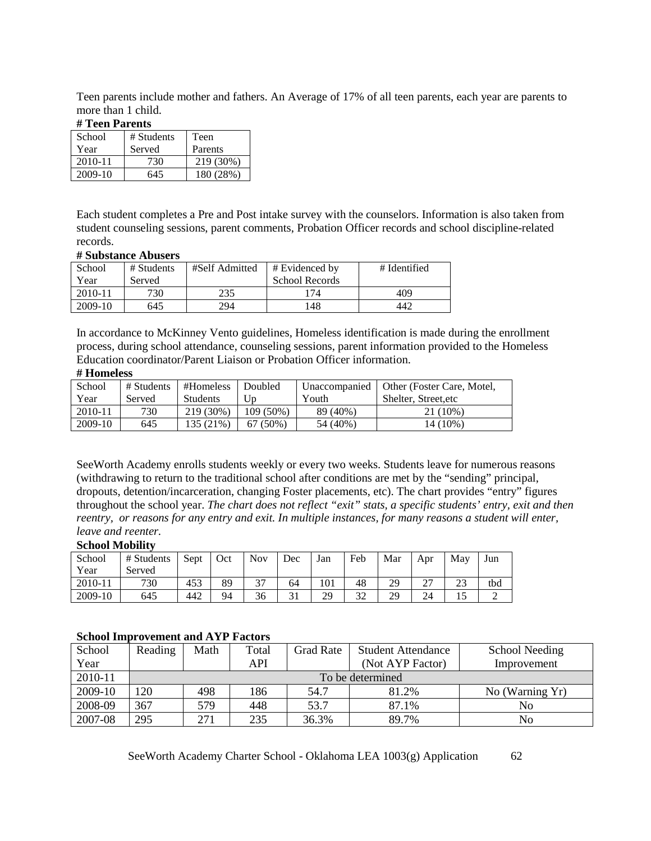Teen parents include mother and fathers. An Average of 17% of all teen parents, each year are parents to more than 1 child.

#### **# Teen Parents**

| School      | # Students | Teen      |
|-------------|------------|-----------|
| Year        | Served     | Parents   |
| $2010 - 11$ | 730        | 219 (30%) |
| 2009-10     | 645        | 180 (28%) |

Each student completes a Pre and Post intake survey with the counselors. Information is also taken from student counseling sessions, parent comments, Probation Officer records and school discipline-related records.

#### **# Substance Abusers**

| School  | # Students | #Self Admitted | $#$ Evidenced by | # Identified |
|---------|------------|----------------|------------------|--------------|
| Year    | Served     |                | School Records   |              |
| 2010-11 | 730        | 235            | 174              | 409          |
| 2009-10 | 645        | 294            | 148              | 442          |

In accordance to McKinney Vento guidelines, Homeless identification is made during the enrollment process, during school attendance, counseling sessions, parent information provided to the Homeless Education coordinator/Parent Liaison or Probation Officer information.

#### **# Homeless**

| School  | # Students | #Homeless       | Doubled    | Unaccompanied | Other (Foster Care, Motel, |
|---------|------------|-----------------|------------|---------------|----------------------------|
| Year    | Served     | <b>Students</b> | Up         | Youth         | Shelter, Street.etc        |
| 2010-11 | 730        | $219(30\%)$     | 109 (50%)  | 89 (40%)      | 21 (10%)                   |
| 2009-10 | 645        | 135 (21%)       | $67(50\%)$ | 54 (40%)      | 14 (10%)                   |

SeeWorth Academy enrolls students weekly or every two weeks. Students leave for numerous reasons (withdrawing to return to the traditional school after conditions are met by the "sending" principal, dropouts, detention/incarceration, changing Foster placements, etc). The chart provides "entry" figures throughout the school year. *The chart does not reflect "exit" stats, a specific students' entry, exit and then reentry, or reasons for any entry and exit. In multiple instances, for many reasons a student will enter, leave and reenter.*

#### **School Mobility**

| School  | # Students | Sept | Oct | Nov.                     | Dec      | Jan | Feb                   | Mar       | Apr           | May       | Jun |
|---------|------------|------|-----|--------------------------|----------|-----|-----------------------|-----------|---------------|-----------|-----|
| Year    | Served     |      |     |                          |          |     |                       |           |               |           |     |
| 2010-11 | 730        | 453  | 89  | $\overline{\phantom{a}}$ | 64       | 101 | 48                    | 20<br>ر ب | $\sim$<br>. ت | າາ<br>ل ک | tbd |
| 2009-10 | 645        | 442  | 94  | 36                       | $\sim$ 1 | 29  | $\mathfrak{D}$<br>ىدر | 20<br>ر ت | 24            | 10        |     |

#### **School Improvement and AYP Factors**

| School<br>Year | Reading | Math             | Total<br>API | Grad Rate | <b>Student Attendance</b><br>(Not AYP Factor) | School Needing<br>Improvement |  |  |  |  |  |  |
|----------------|---------|------------------|--------------|-----------|-----------------------------------------------|-------------------------------|--|--|--|--|--|--|
| 2010-11        |         | To be determined |              |           |                                               |                               |  |  |  |  |  |  |
| 2009-10        | 120     | 498              | 186          | 54.7      | 81.2%                                         | No (Warning Yr)               |  |  |  |  |  |  |
| 2008-09        | 367     | 579.             | 448          | 53.7      | 87.1%                                         | No                            |  |  |  |  |  |  |
| 2007-08        | 295     | 271              | 235          | 36.3%     | 89.7%                                         | No                            |  |  |  |  |  |  |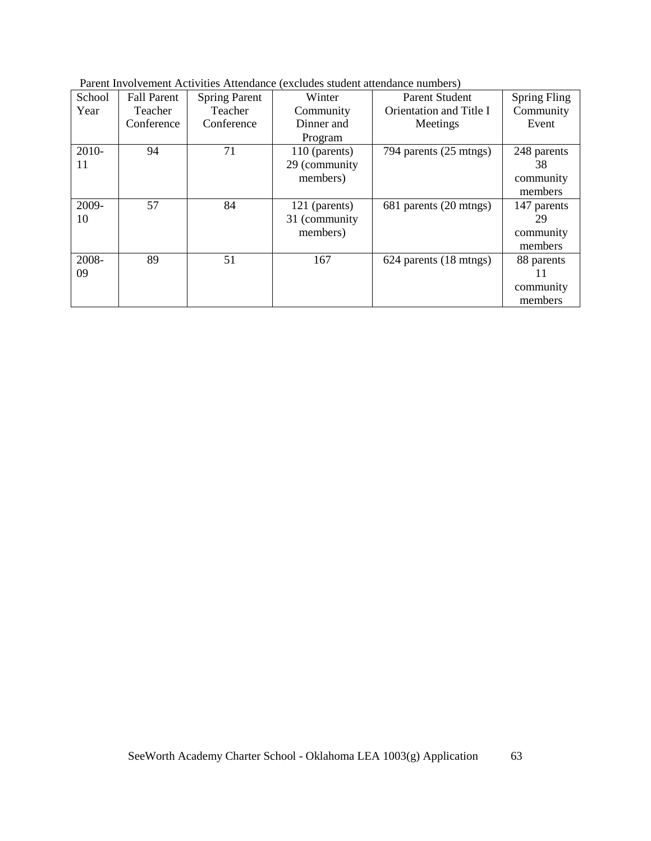| Parent Involvement Activities Attendance (excludes student attendance numbers) |  |  |  |
|--------------------------------------------------------------------------------|--|--|--|
|                                                                                |  |  |  |

| School | <b>Fall Parent</b> | <b>Spring Parent</b> | Winter         | <b>Parent Student</b>   | <b>Spring Fling</b> |
|--------|--------------------|----------------------|----------------|-------------------------|---------------------|
| Year   | Teacher            | Teacher              | Community      | Orientation and Title I | Community           |
|        | Conference         | Conference           | Dinner and     | Meetings                | Event               |
|        |                    |                      | Program        |                         |                     |
| 2010-  | 94                 | 71                   | 110 (parents)  | 794 parents (25 mtngs)  | 248 parents         |
| 11     |                    |                      | 29 (community  |                         | 38                  |
|        |                    |                      | members)       |                         | community           |
|        |                    |                      |                |                         | members             |
| 2009-  | 57                 | 84                   | 121 (parents)  | 681 parents (20 mtngs)  | 147 parents         |
| 10     |                    |                      | 31 (community) |                         | 29                  |
|        |                    |                      | members)       |                         | community           |
|        |                    |                      |                |                         | members             |
| 2008-  | 89                 | 51                   | 167            | 624 parents (18 mtngs)  | 88 parents          |
| 09     |                    |                      |                |                         | 11                  |
|        |                    |                      |                |                         | community           |
|        |                    |                      |                |                         | members             |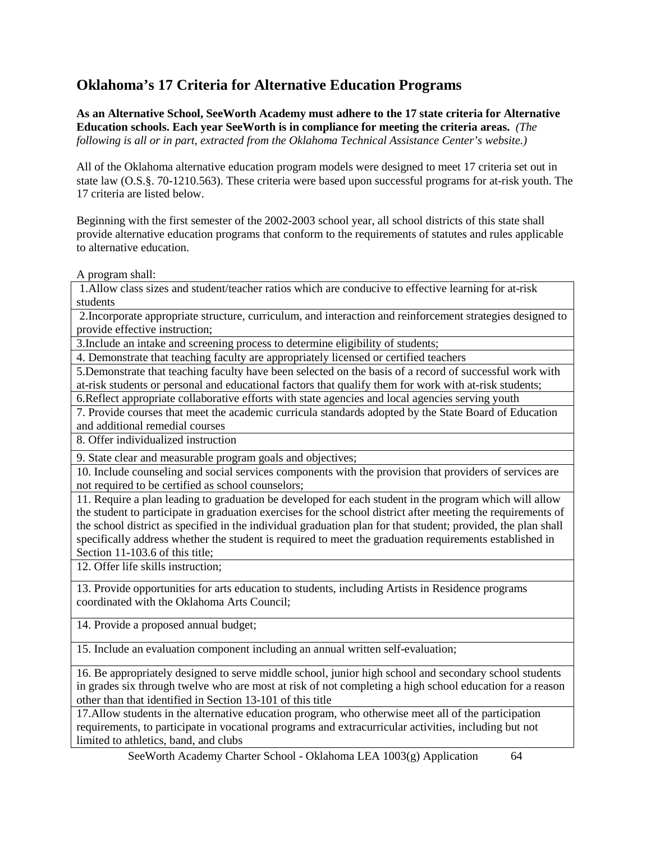# **Oklahoma's 17 Criteria for Alternative Education Programs**

**As an Alternative School, SeeWorth Academy must adhere to the 17 state criteria for Alternative Education schools. Each year SeeWorth is in compliance for meeting the criteria areas.** *(The following is all or in part, extracted from the Oklahoma Technical Assistance Center's website.)*

All of the Oklahoma alternative education program models were designed to meet 17 criteria set out in state law (O.S.§. 70-1210.563). These criteria were based upon successful programs for at-risk youth. The 17 criteria are listed below.

Beginning with the first semester of the 2002-2003 school year, all school districts of this state shall provide alternative education programs that conform to the requirements of statutes and rules applicable to alternative education.

A program shall:

1.Allow class sizes and student/teacher ratios which are conducive to effective learning for at-risk students

2.Incorporate appropriate structure, curriculum, and interaction and reinforcement strategies designed to provide effective instruction;

3.Include an intake and screening process to determine eligibility of students;

4. Demonstrate that teaching faculty are appropriately licensed or certified teachers

5.Demonstrate that teaching faculty have been selected on the basis of a record of successful work with at-risk students or personal and educational factors that qualify them for work with at-risk students;

6.Reflect appropriate collaborative efforts with state agencies and local agencies serving youth

7. Provide courses that meet the academic curricula standards adopted by the State Board of Education and additional remedial courses

8. Offer individualized instruction

9. State clear and measurable program goals and objectives;

10. Include counseling and social services components with the provision that providers of services are not required to be certified as school counselors;

11. Require a plan leading to graduation be developed for each student in the program which will allow the student to participate in graduation exercises for the school district after meeting the requirements of the school district as specified in the individual graduation plan for that student; provided, the plan shall specifically address whether the student is required to meet the graduation requirements established in Section 11-103.6 of this title;

12. Offer life skills instruction;

13. Provide opportunities for arts education to students, including Artists in Residence programs coordinated with the Oklahoma Arts Council;

14. Provide a proposed annual budget;

15. Include an evaluation component including an annual written self-evaluation;

16. Be appropriately designed to serve middle school, junior high school and secondary school students in grades six through twelve who are most at risk of not completing a high school education for a reason other than that identified in Section 13-101 of this title

17.Allow students in the alternative education program, who otherwise meet all of the participation requirements, to participate in vocational programs and extracurricular activities, including but not limited to athletics, band, and clubs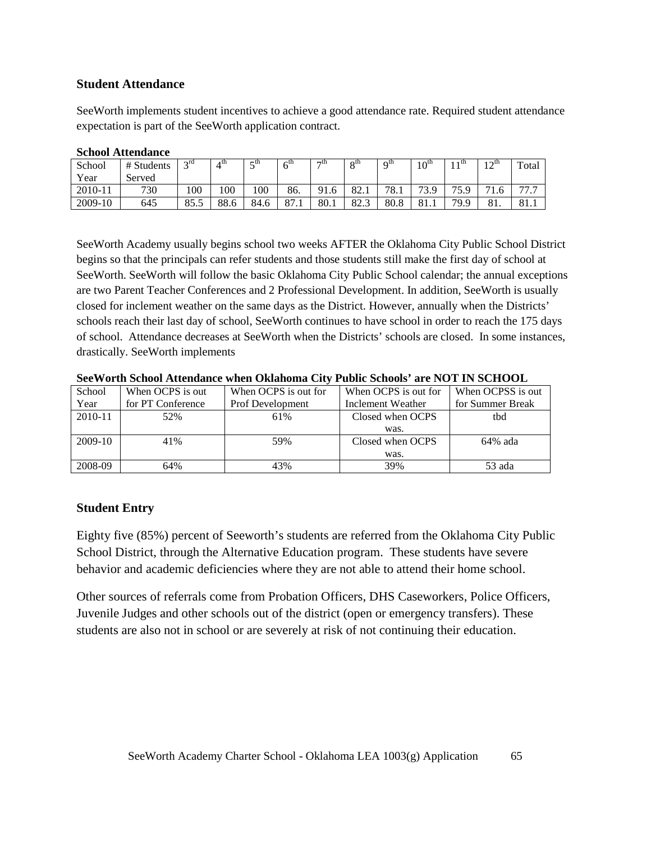## **Student Attendance**

SeeWorth implements student incentives to achieve a good attendance rate. Required student attendance expectation is part of the SeeWorth application contract.

| Denvoi Auchganee |            |                  |      |          |                          |                |                          |                        |            |               |           |                                                 |
|------------------|------------|------------------|------|----------|--------------------------|----------------|--------------------------|------------------------|------------|---------------|-----------|-------------------------------------------------|
| School           | # Students | $\gamma$ rd      | 4 th | cth<br>ັ | $\epsilon^{\text{th}}$   | $\tau$ th      | $\mathbf{o}^{\text{th}}$ | $\alpha$ <sup>th</sup> | ∟∩th<br>ιv | ı tn          | ∟oth<br>∸ | Total                                           |
| Year             | Served     |                  |      |          |                          |                |                          |                        |            |               |           |                                                 |
| 2010-11          | 730        | 100 <sub>1</sub> | 100  | 100      | 86.                      | Q 1<br>' 1 . O | 82.1                     | 78.1                   | 73.9       | 75 C<br>ر و ب |           | $\overline{ }$<br>$\overline{\phantom{a}}$<br>. |
| 2009-10          | 645        | 85.5             | 88.6 | 84.6     | $^{\circ}$<br>$\delta/1$ | 80.1           | $\Omega$<br>ن ـه ن       | 80.8                   | 81.1       | <b>70 Q</b>   | 01.       | 81.1                                            |

#### **School Attendance**

SeeWorth Academy usually begins school two weeks AFTER the Oklahoma City Public School District begins so that the principals can refer students and those students still make the first day of school at SeeWorth. SeeWorth will follow the basic Oklahoma City Public School calendar; the annual exceptions are two Parent Teacher Conferences and 2 Professional Development. In addition, SeeWorth is usually closed for inclement weather on the same days as the District. However, annually when the Districts' schools reach their last day of school, SeeWorth continues to have school in order to reach the 175 days of school. Attendance decreases at SeeWorth when the Districts' schools are closed. In some instances, drastically. SeeWorth implements

| School      | When OCPS is out  | When OCPS is out for    | When OCPS is out for | When OCPSS is out |
|-------------|-------------------|-------------------------|----------------------|-------------------|
| Year        | for PT Conference | <b>Prof Development</b> | Inclement Weather    | for Summer Break  |
| $2010 - 11$ | 52%               | 61%                     | Closed when OCPS     | tbd               |
|             |                   |                         | was.                 |                   |
| 2009-10     | 41%               | 59%                     | Closed when OCPS     | $64\%$ ada        |
|             |                   |                         | was.                 |                   |
| 2008-09     | 64%               | 43%                     | 39%                  | 53 ada            |

**SeeWorth School Attendance when Oklahoma City Public Schools' are NOT IN SCHOOL**

#### **Student Entry**

Eighty five (85%) percent of Seeworth's students are referred from the Oklahoma City Public School District, through the Alternative Education program. These students have severe behavior and academic deficiencies where they are not able to attend their home school.

Other sources of referrals come from Probation Officers, DHS Caseworkers, Police Officers, Juvenile Judges and other schools out of the district (open or emergency transfers). These students are also not in school or are severely at risk of not continuing their education.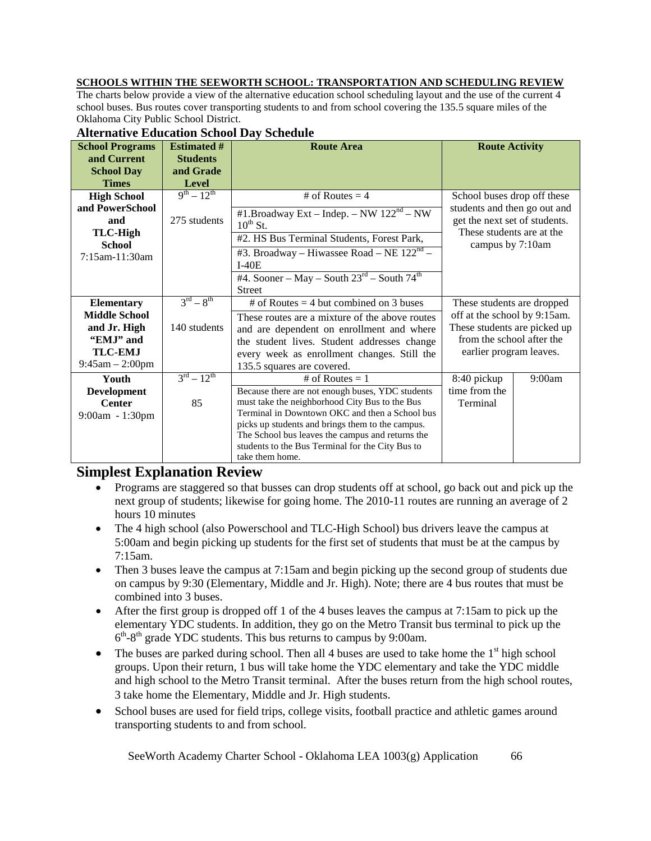## **SCHOOLS WITHIN THE SEEWORTH SCHOOL: TRANSPORTATION AND SCHEDULING REVIEW**

The charts below provide a view of the alternative education school scheduling layout and the use of the current 4 school buses. Bus routes cover transporting students to and from school covering the 135.5 square miles of the Oklahoma City Public School District.

| <b>School Programs</b> | <b>Estimated #</b>               | <b>Route Area</b>                                    | <b>Route Activity</b>         |        |  |
|------------------------|----------------------------------|------------------------------------------------------|-------------------------------|--------|--|
| and Current            | <b>Students</b>                  |                                                      |                               |        |  |
| <b>School Day</b>      | and Grade                        |                                                      |                               |        |  |
| <b>Times</b>           | <b>Level</b>                     |                                                      |                               |        |  |
| <b>High School</b>     | $9^{th} - 12^{th}$               | # of Routes = 4                                      | School buses drop off these   |        |  |
| and PowerSchool        |                                  | #1.Broadway Ext – Indep. – NW $122nd$ – NW           | students and then go out and  |        |  |
| 275 students<br>and    |                                  | $10^{th}$ St.                                        | get the next set of students. |        |  |
| <b>TLC-High</b>        |                                  |                                                      | These students are at the     |        |  |
| <b>School</b>          |                                  | #2. HS Bus Terminal Students, Forest Park,           | campus by 7:10am              |        |  |
| 7:15am-11:30am         |                                  | #3. Broadway – Hiwassee Road – NE $122nd$ –          |                               |        |  |
|                        |                                  | $I-40E$                                              |                               |        |  |
|                        |                                  | #4. Sooner – May – South $23^{rd}$ – South $74^{th}$ |                               |        |  |
|                        |                                  | <b>Street</b>                                        |                               |        |  |
| <b>Elementary</b>      | $3^{\text{rd}} - 8^{\text{th}}$  | # of Routes $=$ 4 but combined on 3 buses            | These students are dropped    |        |  |
| <b>Middle School</b>   |                                  | These routes are a mixture of the above routes       | off at the school by 9:15am.  |        |  |
| and Jr. High           | 140 students                     | and are dependent on enrollment and where            | These students are picked up  |        |  |
| "EMJ" and              |                                  | the student lives. Student addresses change          | from the school after the     |        |  |
| <b>TLC-EMJ</b>         |                                  | every week as enrollment changes. Still the          | earlier program leaves.       |        |  |
| $9:45$ am $-2:00$ pm   |                                  | 135.5 squares are covered.                           |                               |        |  |
| Youth                  | $3^{\text{rd}} - 12^{\text{th}}$ | # of Routes $= 1$                                    | 8:40 pickup                   | 9:00am |  |
| <b>Development</b>     |                                  | Because there are not enough buses, YDC students     | time from the                 |        |  |
| <b>Center</b>          | 85                               | must take the neighborhood City Bus to the Bus       | Terminal                      |        |  |
| 9:00am - 1:30pm        |                                  | Terminal in Downtown OKC and then a School bus       |                               |        |  |
|                        |                                  | picks up students and brings them to the campus.     |                               |        |  |
|                        |                                  | The School bus leaves the campus and returns the     |                               |        |  |
|                        |                                  | students to the Bus Terminal for the City Bus to     |                               |        |  |
|                        |                                  | take them home.                                      |                               |        |  |

#### **Alternative Education School Day Schedule**

## **Simplest Explanation Review**

- Programs are staggered so that busses can drop students off at school, go back out and pick up the next group of students; likewise for going home. The 2010-11 routes are running an average of 2 hours 10 minutes
- The 4 high school (also Powerschool and TLC-High School) bus drivers leave the campus at 5:00am and begin picking up students for the first set of students that must be at the campus by 7:15am.
- Then 3 buses leave the campus at 7:15am and begin picking up the second group of students due on campus by 9:30 (Elementary, Middle and Jr. High). Note; there are 4 bus routes that must be combined into 3 buses.
- After the first group is dropped of f 1 of the 4 buses leaves the campus at 7:15am to pick up the elementary YDC students. In addition, they go on the Metro Transit bus terminal to pick up the  $6<sup>th</sup>-8<sup>th</sup>$  grade YDC students. This bus returns to campus by 9:00am.
- The buses are parked during school. Then all 4 buses are used to take home the  $1<sup>st</sup>$  high school groups. Upon their return, 1 bus will take home the YDC elementary and take the YDC middle and high school to the Metro Transit terminal. After the buses return from the high school routes, 3 take home the Elementary, Middle and Jr. High students.
- School buses are used for field trips, college visits, football practice and athletic games around transporting students to and from school.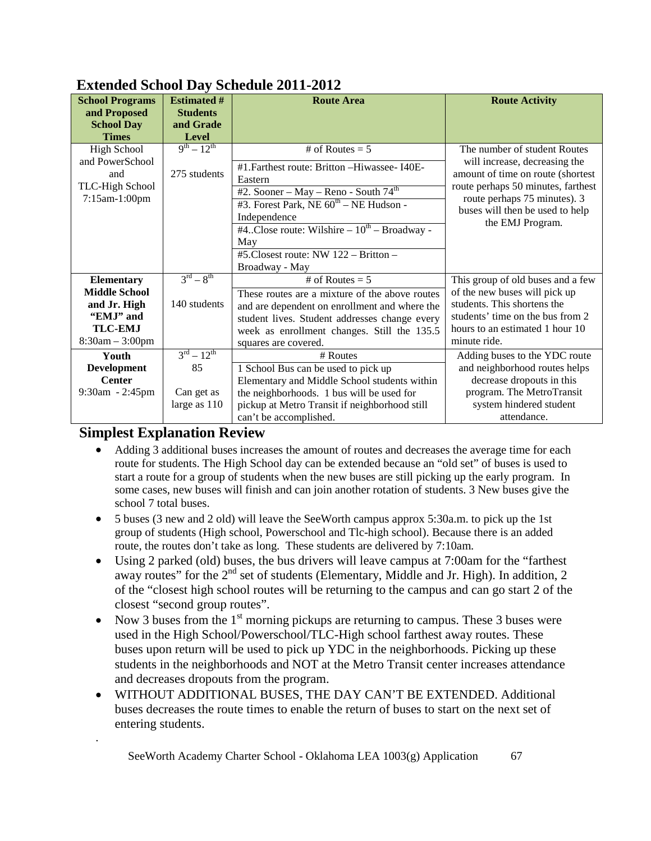| EAtenaca Denool Day Dencault 2011 2012                                                   |                                              |                                                                                                                                                                                                                                                        |                                                                                                                                                                                                                                 |  |  |  |
|------------------------------------------------------------------------------------------|----------------------------------------------|--------------------------------------------------------------------------------------------------------------------------------------------------------------------------------------------------------------------------------------------------------|---------------------------------------------------------------------------------------------------------------------------------------------------------------------------------------------------------------------------------|--|--|--|
| <b>Estimated #</b><br><b>School Programs</b>                                             |                                              | <b>Route Area</b>                                                                                                                                                                                                                                      | <b>Route Activity</b>                                                                                                                                                                                                           |  |  |  |
| and Proposed                                                                             | <b>Students</b>                              |                                                                                                                                                                                                                                                        |                                                                                                                                                                                                                                 |  |  |  |
| <b>School Day</b>                                                                        | and Grade                                    |                                                                                                                                                                                                                                                        |                                                                                                                                                                                                                                 |  |  |  |
| <b>Times</b>                                                                             | <b>Level</b>                                 |                                                                                                                                                                                                                                                        |                                                                                                                                                                                                                                 |  |  |  |
| <b>High School</b><br>and PowerSchool<br>and<br>TLC-High School<br>7:15am-1:00pm         | $9^{th} - 12^{th}$<br>275 students           | # of Routes = $5$<br>#1. Farthest route: Britton -Hiwassee- I40E-<br>Eastern<br>#2. Sooner – May – Reno - South $74th$<br>#3. Forest Park, NE $60^{\text{th}}$ – NE Hudson -<br>Independence<br>#4Close route: Wilshire $-10^{th}$ – Broadway -<br>May | The number of student Routes<br>will increase, decreasing the<br>amount of time on route (shortest<br>route perhaps 50 minutes, farthest<br>route perhaps 75 minutes). 3<br>buses will then be used to help<br>the EMJ Program. |  |  |  |
|                                                                                          |                                              | #5.Closest route: NW 122 - Britton -<br>Broadway - May                                                                                                                                                                                                 |                                                                                                                                                                                                                                 |  |  |  |
| <b>Elementary</b>                                                                        | $3^{\text{rd}} - 8^{\text{th}}$              | # of Routes = $5$                                                                                                                                                                                                                                      | This group of old buses and a few                                                                                                                                                                                               |  |  |  |
| <b>Middle School</b><br>and Jr. High<br>"EMJ" and<br><b>TLC-EMJ</b><br>$8:30am - 3:00pm$ | 140 students                                 | These routes are a mixture of the above routes<br>and are dependent on enrollment and where the<br>student lives. Student addresses change every<br>week as enrollment changes. Still the 135.5<br>squares are covered.                                | of the new buses will pick up<br>students. This shortens the<br>students' time on the bus from 2<br>hours to an estimated 1 hour 10<br>minute ride.                                                                             |  |  |  |
| Youth                                                                                    | $3^{rd} - 12^{th}$                           | # Routes                                                                                                                                                                                                                                               | Adding buses to the YDC route                                                                                                                                                                                                   |  |  |  |
| <b>Development</b>                                                                       | 85                                           | 1 School Bus can be used to pick up                                                                                                                                                                                                                    | and neighborhood routes helps                                                                                                                                                                                                   |  |  |  |
| <b>Center</b>                                                                            | Elementary and Middle School students within |                                                                                                                                                                                                                                                        | decrease dropouts in this                                                                                                                                                                                                       |  |  |  |
| 9:30am - 2:45pm                                                                          | Can get as                                   | the neighborhoods. 1 bus will be used for                                                                                                                                                                                                              | program. The MetroTransit                                                                                                                                                                                                       |  |  |  |
|                                                                                          | large as $110$                               | pickup at Metro Transit if neighborhood still<br>can't be accomplished.                                                                                                                                                                                | system hindered student<br>attendance.                                                                                                                                                                                          |  |  |  |

# **Extended School Day Schedule 2011-2012**

# **Simplest Explanation Review**

.

- Adding 3 additional buses increases the amount of routes and decreases the average time for each route for students. The High School day can be extended because an "old set" of buses is used to start a route for a group of students when the new buses are still picking up the early program. In some cases, new buses will finish and can join another rotation of students. 3 New buses give the school 7 total buses.
- 5 buses (3 new and 2 old) will leave the SeeWorth campus approx 5:30a.m. to pick up the 1st group of students (High school, Powerschool and Tlc-high school). Because there is an added route, the routes don't take as long. These students are delivered by 7:10am.
- Using 2 parked (old) buses, the bus drivers will leave campus at 7:00am for the "farthest away routes" for the  $2<sup>nd</sup>$  set of students (Elementary, Middle and Jr. High). In addition, 2 of the "closest high school routes will be returning to the campus and can go start 2 of the closest "second group routes".
- Now 3 buses from the  $1<sup>st</sup>$  morning pickups are returning to campus. These 3 buses were used in the High School/Powerschool/TLC-High school farthest away routes. These buses upon return will be used to pick up YDC in the neighborhoods. Picking up these students in the neighborhoods and NOT at the Metro Transit center increases attendance and decreases dropouts from the program.
- WITHOUT ADDITIONAL BUSES, THE DAY CAN'T BE EXTENDED. Additional buses decreases the route times to enable the return of buses to start on the next set of entering students.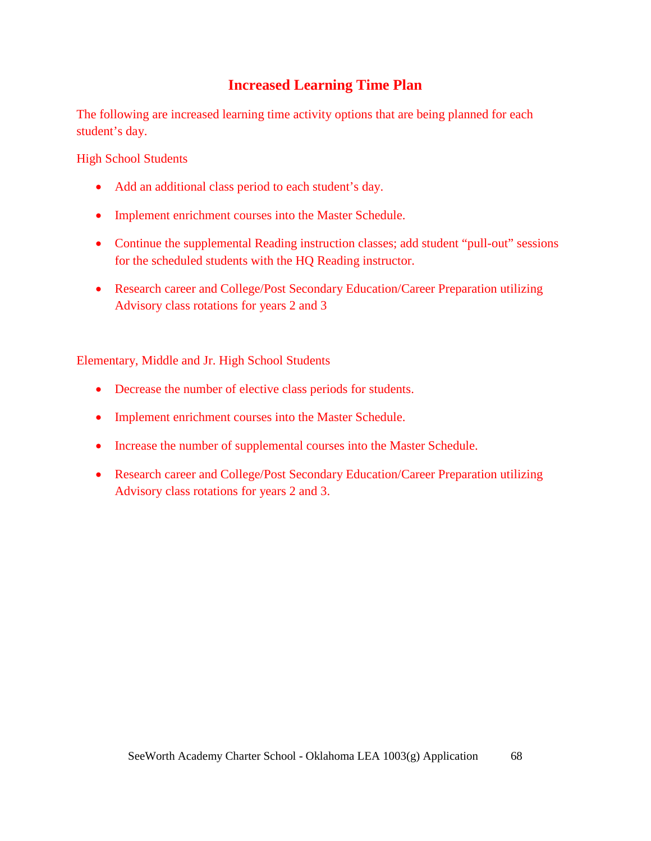# **Increased Learning Time Plan**

The following are increased learning time activity options that are being planned for each student's day.

High School Students

- Add an additional class period to each student's day.
- Implement enrichment courses into the Master Schedule.
- Continue the supplemental Reading instruction classes; add student "pull-out" sessions for the scheduled students with the HQ Reading instructor.
- Research career and College/Post Secondary Education/Career Preparation utilizing Advisory class rotations for years 2 and 3

Elementary, Middle and Jr. High School Students

- Decrease the number of elective class periods for students.
- Implement enrichment courses into the Master Schedule.
- Increase the number of supplemental courses into the Master Schedule.
- Research career and College/Post Secondary Education/Career Preparation utilizing Advisory class rotations for years 2 and 3.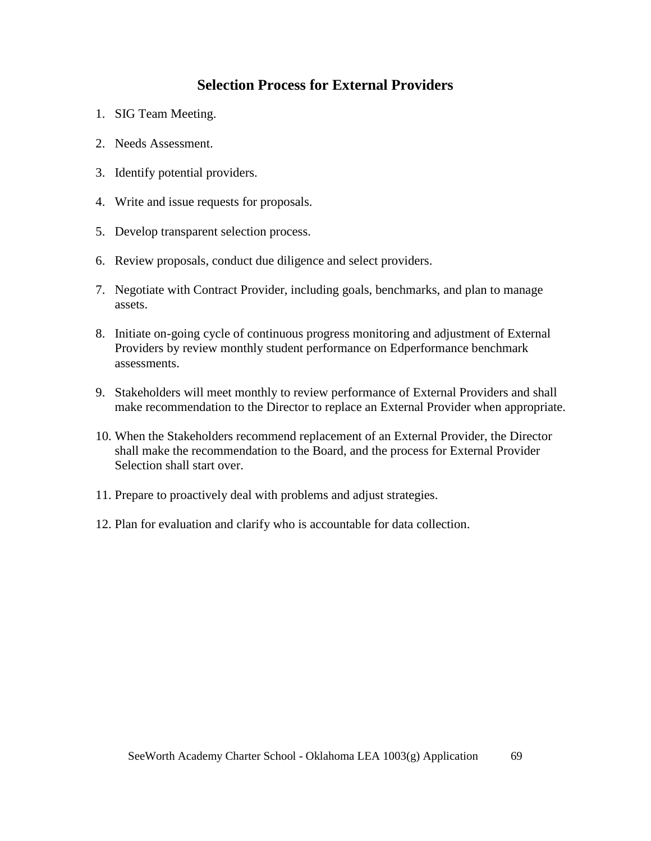# **Selection Process for External Providers**

- 1. SIG Team Meeting.
- 2. Needs Assessment.
- 3. Identify potential providers.
- 4. Write and issue requests for proposals.
- 5. Develop transparent selection process.
- 6. Review proposals, conduct due diligence and select providers.
- 7. Negotiate with Contract Provider, including goals, benchmarks, and plan to manage assets.
- 8. Initiate on-going cycle of continuous progress monitoring and adjustment of External Providers by review monthly student performance on Edperformance benchmark assessments.
- 9. Stakeholders will meet monthly to review performance of External Providers and shall make recommendation to the Director to replace an External Provider when appropriate.
- 10. When the Stakeholders recommend replacement of an External Provider, the Director shall make the recommendation to the Board, and the process for External Provider Selection shall start over.
- 11. Prepare to proactively deal with problems and adjust strategies.
- 12. Plan for evaluation and clarify who is accountable for data collection.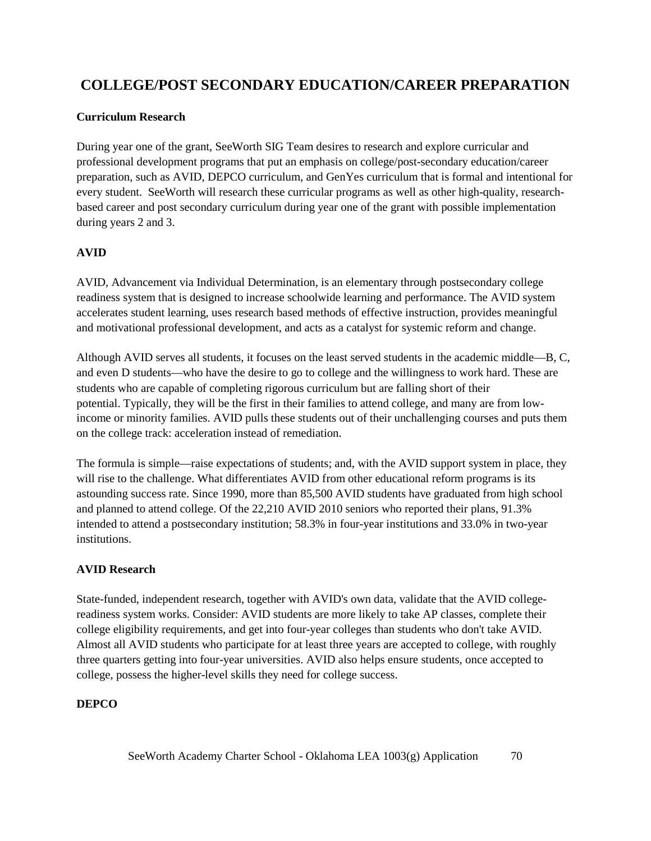# **COLLEGE/POST SECONDARY EDUCATION/CAREER PREPARATION**

## **Curriculum Research**

During year one of the grant, SeeWorth SIG Team desires to research and explore curricular and professional development programs that put an emphasis on college/post-secondary education/career preparation, such as AVID, DEPCO curriculum, and GenYes curriculum that is formal and intentional for every student. SeeWorth will research these curricular programs as well as other high-quality, researchbased career and post secondary curriculum during year one of the grant with possible implementation during years 2 and 3.

## **AVID**

AVID, Advancement via Individual Determination, is an elementary through postsecondary college readiness system that is designed to increase schoolwide learning and performance. The AVID system accelerates student learning, uses research based methods of effective instruction, provides meaningful and motivational professional development, and acts as a catalyst for systemic reform and change.

Although AVID serves all students, it focuses on the least served students in the academic middle—B, C, and even D students—who have the desire to go to college and the willingness to work hard. These are students who are capable of completing rigorous curriculum but are falling short of their potential. Typically, they will be the first in their families to attend college, and many are from lowincome or minority families. AVID pulls these students out of their unchallenging courses and puts them on the college track: acceleration instead of remediation.

The formula is simple—raise expectations of students; and, with the AVID support system in place, they will rise to the challenge. What differentiates AVID from other educational reform programs is its astounding success rate. Since 1990, more than 85,500 AVID students have graduated from high school and planned to attend college. Of the 22,210 AVID 2010 seniors who reported their plans, 91.3% intended to attend a postsecondary institution; 58.3% in four-year institutions and 33.0% in two-year institutions.

#### **AVID Research**

State-funded, independent research, together with AVID's own data, validate that the AVID collegereadiness system works. Consider: AVID students are more likely to take AP classes, complete their college eligibility requirements, and get into four-year colleges than students who don't take AVID. Almost all AVID students who participate for at least three years are accepted to college, with roughly three quarters getting into four-year universities. AVID also helps ensure students, once accepted to college, possess the higher-level skills they need for college success.

#### **DEPCO**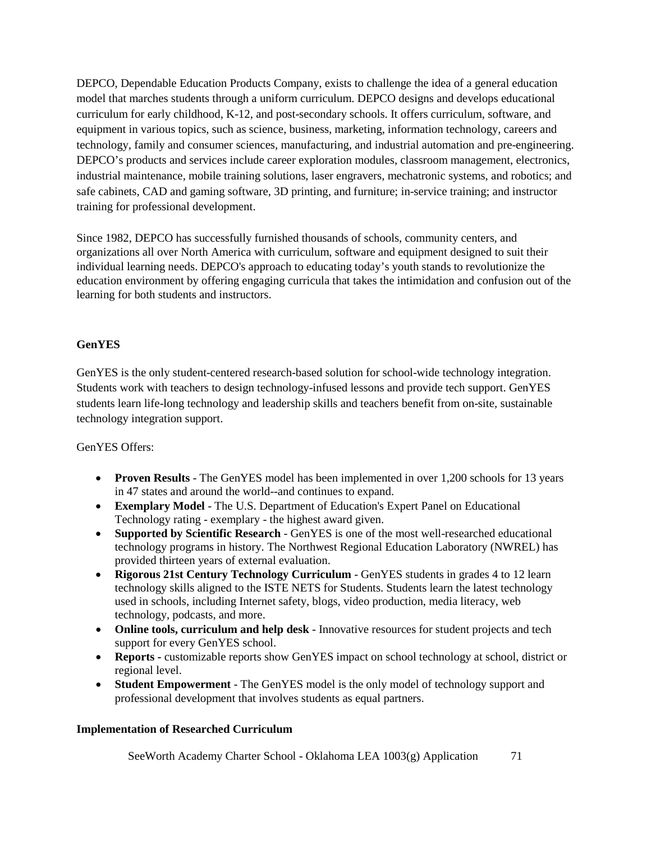DEPCO, Dependable Education Products Company, exists to challenge the idea of a general education model that marches students through a uniform curriculum. DEPCO designs and develops educational curriculum for early childhood, K-12, and post-secondary schools. It offers curriculum, software, and equipment in various topics, such as science, business, marketing, information technology, careers and technology, family and consumer sciences, manufacturing, and industrial automation and pre-engineering. DEPCO's products and services include career exploration modules, classroom management, electronics, industrial maintenance, mobile training solutions, laser engravers, mechatronic systems, and robotics; and safe cabinets, CAD and gaming software, 3D printing, and furniture; in-service training; and instructor training for professional development.

Since 1982, DEPCO has successfully furnished thousands of schools, community centers, and organizations all over North America with curriculum, software and equipment designed to suit their individual learning needs. DEPCO's approach to educating today's youth stands to revolutionize the education environment by offering engaging curricula that takes the intimidation and confusion out of the learning for both students and instructors.

#### **GenYES**

GenYES is the only student-centered research-based solution for school-wide technology integration. Students work with teachers to design technology-infused lessons and provide tech support. GenYES students learn life-long technology and leadership skills and teachers benefit from on-site, sustainable technology integration support.

#### GenYES Offers:

- **Proven Results** The GenYES model has been implemented in over 1,200 schools for 13 years in 47 states and around the world--and continues to expand.
- **Exemplary Model** The U.S. Department of Education's Expert Panel on Educational Technology rating - exemplary - the highest award given.
- **Supported by Scientific Research** GenYES is one of the most well-researched educational technology programs in history. The Northwest Regional Education Laboratory (NWREL) has provided thirteen years of external evaluation.
- **Rigorous 21st Century Technology Curriculum** GenYES students in grades 4 to 12 learn technology skills aligned to the ISTE NETS for Students. Students learn the latest technology used in schools, including Internet safety, blogs, video production, media literacy, web technology, podcasts, and more.
- **Online tools, curriculum and help desk** Innovative resources for student projects and tech support for every GenYES school.
- **Reports -** customizable reports show GenYES impact on school technology at school, district or regional level.
- **Student Empowerment** The GenYES model is the only model of technology support and professional development that involves students as equal partners.

#### **Implementation of Researched Curriculum**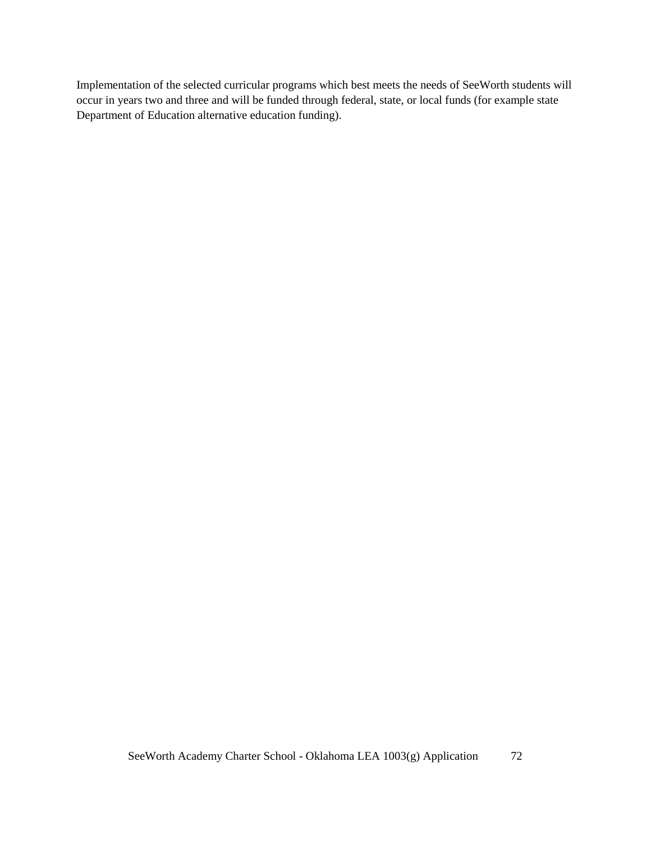Implementation of the selected curricular programs which best meets the needs of SeeWorth students will occur in years two and three and will be funded through federal, state, or local funds (for example state Department of Education alternative education funding).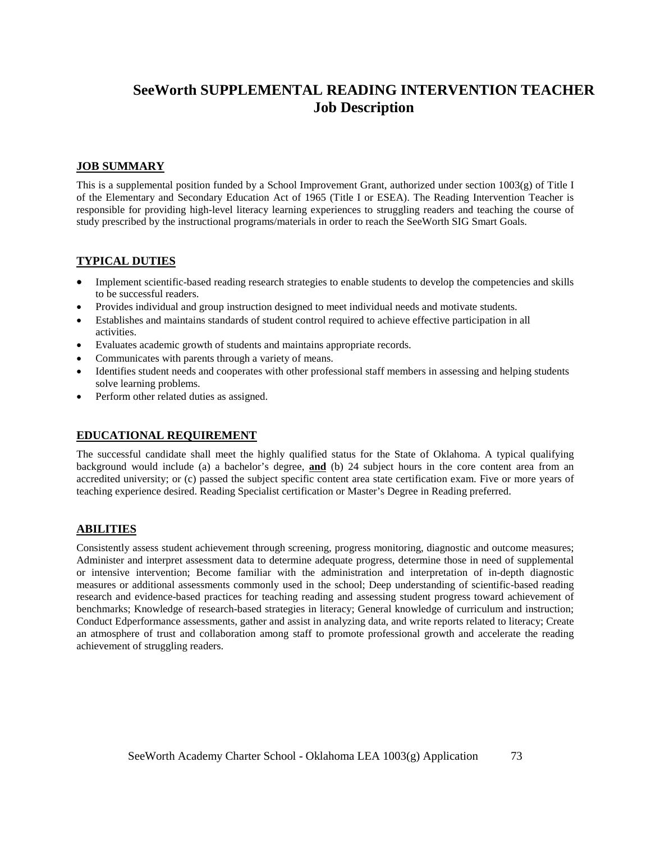# **SeeWorth SUPPLEMENTAL READING INTERVENTION TEACHER Job Description**

#### **JOB SUMMARY**

This is a supplemental position funded by a School Improvement Grant, authorized under section 1003(g) of Title I of the Elementary and Secondary Education Act of 1965 (Title I or ESEA). The Reading Intervention Teacher is responsible for providing high-level literacy learning experiences to struggling readers and teaching the course of study prescribed by the instructional programs/materials in order to reach the SeeWorth SIG Smart Goals.

#### **TYPICAL DUTIES**

- Implement scientific-based reading research strategies to enable students to develop the competencies and skills to be successful readers.
- Provides individual and group instruction designed to meet individual needs and motivate students.
- Establishes and maintains standards of student control required to achieve effective participation in all activities.
- Evaluates academic growth of students and maintains appropriate records.
- Communicates with parents through a variety of means.
- Identifies student needs and cooperates with other professional staff members in assessing and helping students solve learning problems.
- Perform other related duties as assigned.

#### **EDUCATIONAL REQUIREMENT**

The successful candidate shall meet the highly qualified status for the State of Oklahoma. A typical qualifying background would include (a) a bachelor's degree, **and** (b) 24 subject hours in the core content area from an accredited university; or (c) passed the subject specific content area state certification exam. Five or more years of teaching experience desired. Reading Specialist certification or Master's Degree in Reading preferred.

#### **ABILITIES**

Consistently assess student achievement through screening, progress monitoring, diagnostic and outcome measures; Administer and interpret assessment data to determine adequate progress, determine those in need of supplemental or intensive intervention; Become familiar with the administration and interpretation of in-depth diagnostic measures or additional assessments commonly used in the school; Deep understanding of scientific-based reading research and evidence-based practices for teaching reading and assessing student progress toward achievement of benchmarks; Knowledge of research-based strategies in literacy; General knowledge of curriculum and instruction; Conduct Edperformance assessments, gather and assist in analyzing data, and write reports related to literacy; Create an atmosphere of trust and collaboration among staff to promote professional growth and accelerate the reading achievement of struggling readers.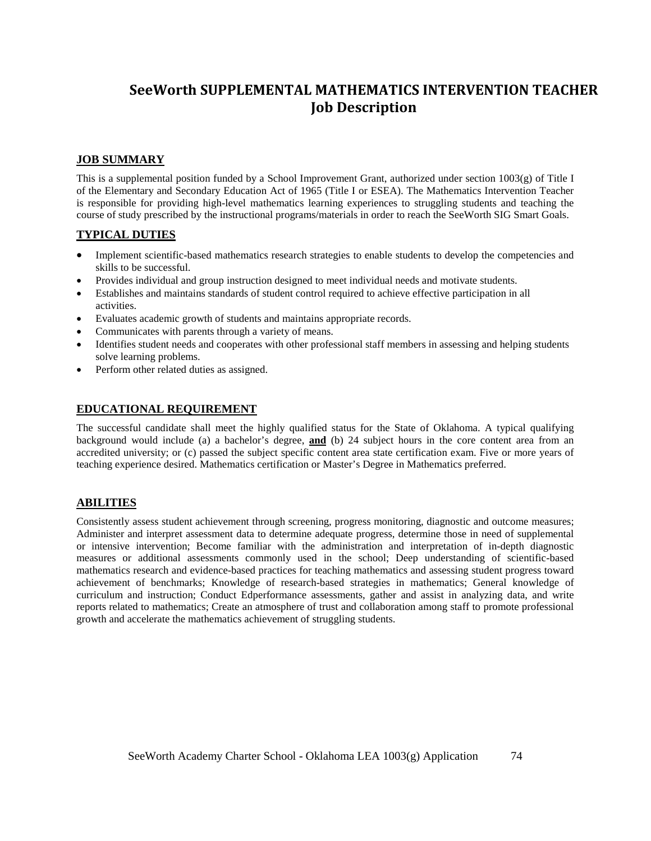## **SeeWorth SUPPLEMENTAL MATHEMATICS INTERVENTION TEACHER Job Description**

#### **JOB SUMMARY**

This is a supplemental position funded by a School Improvement Grant, authorized under section 1003(g) of Title I of the Elementary and Secondary Education Act of 1965 (Title I or ESEA). The Mathematics Intervention Teacher is responsible for providing high-level mathematics learning experiences to struggling students and teaching the course of study prescribed by the instructional programs/materials in order to reach the SeeWorth SIG Smart Goals.

#### **TYPICAL DUTIES**

- Implement scientific-based mathematics research strategies to enable students to develop the competencies and skills to be successful.
- Provides individual and group instruction designed to meet individual needs and motivate students.
- Establishes and maintains standards of student control required to achieve effective participation in all activities.
- Evaluates academic growth of students and maintains appropriate records.
- Communicates with parents through a variety of means.
- Identifies student needs and cooperates with other professional staff members in assessing and helping students solve learning problems.
- Perform other related duties as assigned.

#### **EDUCATIONAL REQUIREMENT**

The successful candidate shall meet the highly qualified status for the State of Oklahoma. A typical qualifying background would include (a) a bachelor's degree, **and** (b) 24 subject hours in the core content area from an accredited university; or (c) passed the subject specific content area state certification exam. Five or more years of teaching experience desired. Mathematics certification or Master's Degree in Mathematics preferred.

#### **ABILITIES**

Consistently assess student achievement through screening, progress monitoring, diagnostic and outcome measures; Administer and interpret assessment data to determine adequate progress, determine those in need of supplemental or intensive intervention; Become familiar with the administration and interpretation of in-depth diagnostic measures or additional assessments commonly used in the school; Deep understanding of scientific-based mathematics research and evidence-based practices for teaching mathematics and assessing student progress toward achievement of benchmarks; Knowledge of research-based strategies in mathematics; General knowledge of curriculum and instruction; Conduct Edperformance assessments, gather and assist in analyzing data, and write reports related to mathematics; Create an atmosphere of trust and collaboration among staff to promote professional growth and accelerate the mathematics achievement of struggling students.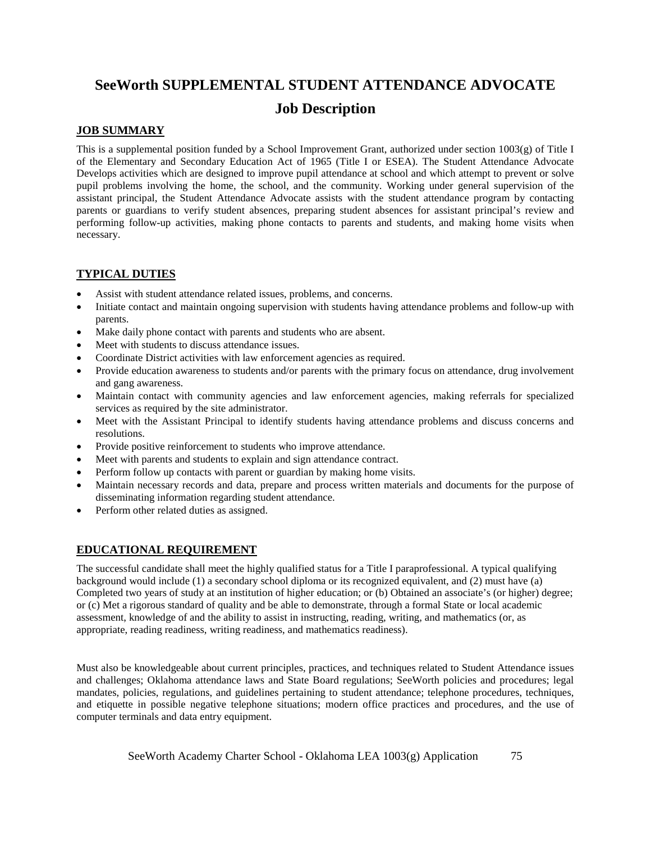# **SeeWorth SUPPLEMENTAL STUDENT ATTENDANCE ADVOCATE**

## **Job Description**

### **JOB SUMMARY**

This is a supplemental position funded by a School Improvement Grant, authorized under section 1003(g) of Title I of the Elementary and Secondary Education Act of 1965 (Title I or ESEA). The Student Attendance Advocate Develops activities which are designed to improve pupil attendance at school and which attempt to prevent or solve pupil problems involving the home, the school, and the community. Working under general supervision of the assistant principal, the Student Attendance Advocate assists with the student attendance program by contacting parents or guardians to verify student absences, preparing student absences for assistant principal's review and performing follow-up activities, making phone contacts to parents and students, and making home visits when necessary.

### **TYPICAL DUTIES**

- Assist with student attendance related issues, problems, and concerns.
- Initiate contact and maintain ongoing supervision with students having attendance problems and follow-up with parents.
- Make daily phone contact with parents and students who are absent.
- Meet with students to discuss attendance issues.
- Coordinate District activities with law enforcement agencies as required.
- Provide education awareness to students and/or parents with the primary focus on attendance, drug involvement and gang awareness.
- Maintain contact with community agencies and law enforcement agencies, making referrals for specialized services as required by the site administrator.
- Meet with the Assistant Principal to identify students having attendance problems and discuss concerns and resolutions.
- Provide positive reinforcement to students who improve attendance.
- Meet with parents and students to explain and sign attendance contract.
- Perform follow up contacts with parent or guardian by making home visits.
- Maintain necessary records and data, prepare and process written materials and documents for the purpose of disseminating information regarding student attendance.
- Perform other related duties as assigned.

### **EDUCATIONAL REQUIREMENT**

The successful candidate shall meet the highly qualified status for a Title I paraprofessional. A typical qualifying background would include (1) a secondary school diploma or its recognized equivalent, and (2) must have (a) Completed two years of study at an institution of higher education; or (b) Obtained an associate's (or higher) degree; or (c) Met a rigorous standard of quality and be able to demonstrate, through a formal State or local academic assessment, knowledge of and the ability to assist in instructing, reading, writing, and mathematics (or, as appropriate, reading readiness, writing readiness, and mathematics readiness).

Must also be knowledgeable about current principles, practices, and techniques related to Student Attendance issues and challenges; Oklahoma attendance laws and State Board regulations; SeeWorth policies and procedures; legal mandates, policies, regulations, and guidelines pertaining to student attendance; telephone procedures, techniques, and etiquette in possible negative telephone situations; modern office practices and procedures, and the use of computer terminals and data entry equipment.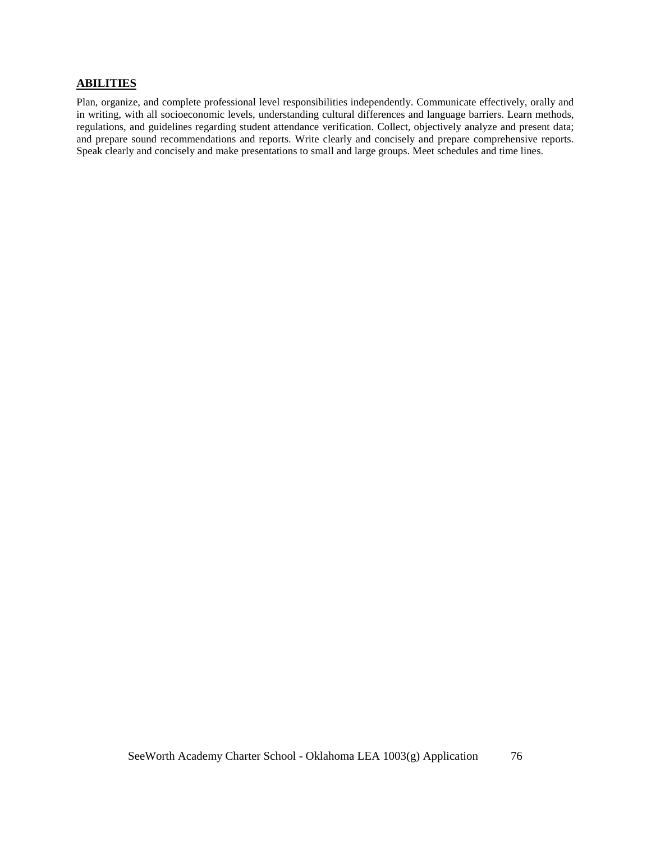#### **ABILITIES**

Plan, organize, and complete professional level responsibilities independently. Communicate effectively, orally and in writing, with all socioeconomic levels, understanding cultural differences and language barriers. Learn methods, regulations, and guidelines regarding student attendance verification. Collect, objectively analyze and present data; and prepare sound recommendations and reports. Write clearly and concisely and prepare comprehensive reports. Speak clearly and concisely and make presentations to small and large groups. Meet schedules and time lines.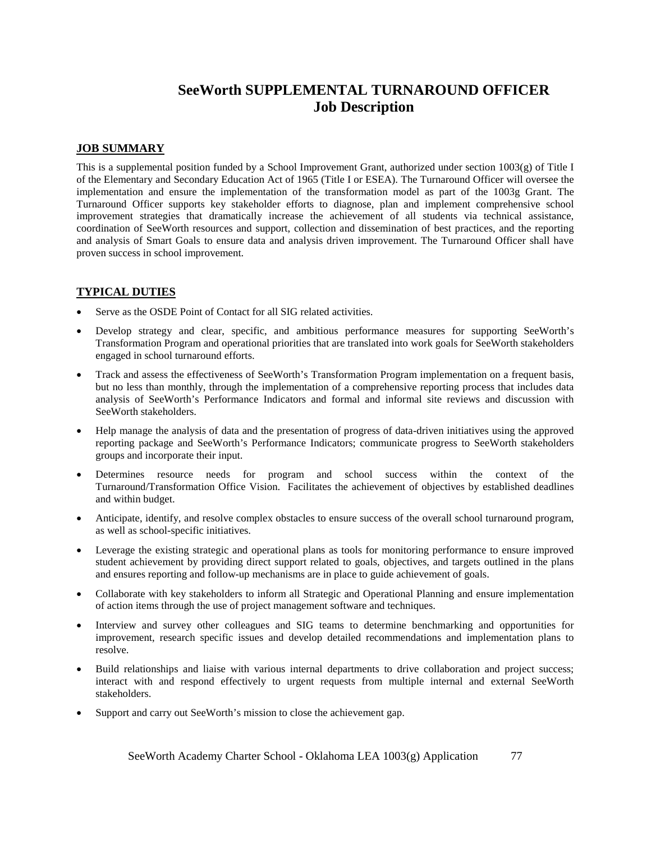## **SeeWorth SUPPLEMENTAL TURNAROUND OFFICER Job Description**

#### **JOB SUMMARY**

This is a supplemental position funded by a School Improvement Grant, authorized under section 1003(g) of Title I of the Elementary and Secondary Education Act of 1965 (Title I or ESEA). The Turnaround Officer will oversee the implementation and ensure the implementation of the transformation model as part of the 1003g Grant. The Turnaround Officer supports key stakeholder efforts to diagnose, plan and implement comprehensive school improvement strategies that dramatically increase the achievement of all students via technical assistance, coordination of SeeWorth resources and support, collection and dissemination of best practices, and the reporting and analysis of Smart Goals to ensure data and analysis driven improvement. The Turnaround Officer shall have proven success in school improvement.

### **TYPICAL DUTIES**

- Serve as the OSDE Point of Contact for all SIG related activities.
- Develop strategy and clear, specific, and ambitious performance measures for supporting SeeWorth's Transformation Program and operational priorities that are translated into work goals for SeeWorth stakeholders engaged in school turnaround efforts.
- Track and assess the effectiveness of SeeWorth's Transformation Program implementation on a frequent basis, but no less than monthly, through the implementation of a comprehensive reporting process that includes data analysis of SeeWorth's Performance Indicators and formal and informal site reviews and discussion with SeeWorth stakeholders.
- Help manage the analysis of data and the presentation of progress of data-driven initiatives using the approved reporting package and SeeWorth's Performance Indicators; communicate progress to SeeWorth stakeholders groups and incorporate their input.
- Determines resource needs for program and school success within the context of the Turnaround/Transformation Office Vision. Facilitates the achievement of objectives by established deadlines and within budget.
- Anticipate, identify, and resolve complex obstacles to ensure success of the overall school turnaround program, as well as school-specific initiatives.
- Leverage the existing strategic and operational plans as tools for monitoring performance to ensure improved student achievement by providing direct support related to goals, objectives, and targets outlined in the plans and ensures reporting and follow-up mechanisms are in place to guide achievement of goals.
- Collaborate with key stakeholders to inform all Strategic and Operational Planning and ensure implementation of action items through the use of project management software and techniques.
- Interview and survey other colleagues and SIG teams to determine benchmarking and opportunities for improvement, research specific issues and develop detailed recommendations and implementation plans to resolve.
- Build relationships and liaise with various internal departments to drive collaboration and project success; interact with and respond effectively to urgent requests from multiple internal and external SeeWorth stakeholders.
- Support and carry out SeeWorth's mission to close the achievement gap.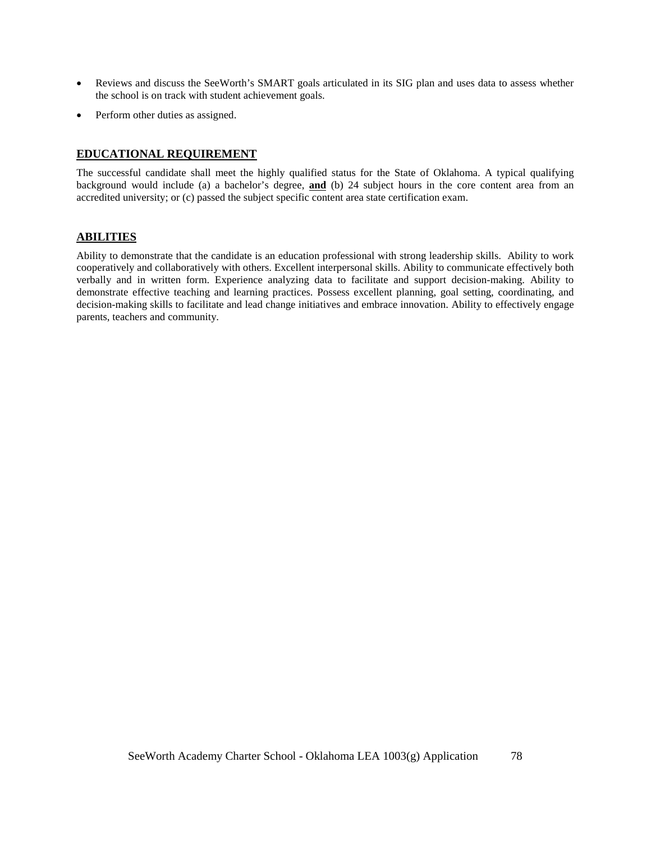- Reviews and discuss the SeeWorth's SMART goals articulated in its SIG plan and uses data to assess whether the school is on track with student achievement goals.
- Perform other duties as assigned.

#### **EDUCATIONAL REQUIREMENT**

The successful candidate shall meet the highly qualified status for the State of Oklahoma. A typical qualifying background would include (a) a bachelor's degree, **and** (b) 24 subject hours in the core content area from an accredited university; or (c) passed the subject specific content area state certification exam.

#### **ABILITIES**

Ability to demonstrate that the candidate is an education professional with strong leadership skills. Ability to work cooperatively and collaboratively with others. Excellent interpersonal skills. Ability to communicate effectively both verbally and in written form. Experience analyzing data to facilitate and support decision-making. Ability to demonstrate effective teaching and learning practices. Possess excellent planning, goal setting, coordinating, and decision-making skills to facilitate and lead change initiatives and embrace innovation. Ability to effectively engage parents, teachers and community.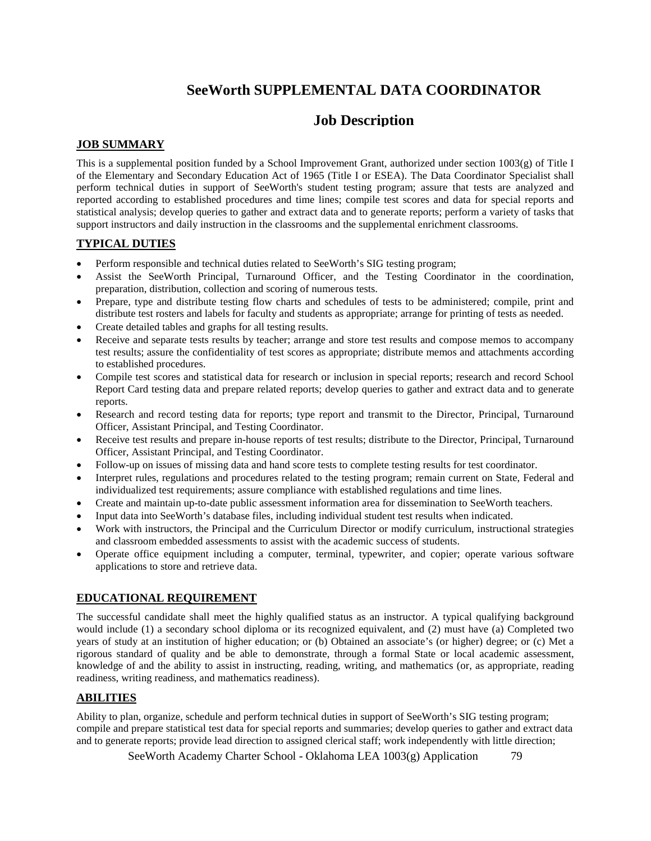# **SeeWorth SUPPLEMENTAL DATA COORDINATOR**

## **Job Description**

### **JOB SUMMARY**

This is a supplemental position funded by a School Improvement Grant, authorized under section  $1003(g)$  of Title I of the Elementary and Secondary Education Act of 1965 (Title I or ESEA). The Data Coordinator Specialist shall perform technical duties in support of SeeWorth's student testing program; assure that tests are analyzed and reported according to established procedures and time lines; compile test scores and data for special reports and statistical analysis; develop queries to gather and extract data and to generate reports; perform a variety of tasks that support instructors and daily instruction in the classrooms and the supplemental enrichment classrooms.

#### **TYPICAL DUTIES**

- Perform responsible and technical duties related to SeeWorth's SIG testing program;
- Assist the SeeWorth Principal, Turnaround Officer, and the Testing Coordinator in the coordination, preparation, distribution, collection and scoring of numerous tests.
- Prepare, type and distribute testing flow charts and schedules of tests to be administered; compile, print and distribute test rosters and labels for faculty and students as appropriate; arrange for printing of tests as needed.
- Create detailed tables and graphs for all testing results.
- Receive and separate tests results by teacher; arrange and store test results and compose memos to accompany test results; assure the confidentiality of test scores as appropriate; distribute memos and attachments according to established procedures.
- Compile test scores and statistical data for research or inclusion in special reports; research and record School Report Card testing data and prepare related reports; develop queries to gather and extract data and to generate reports.
- Research and record testing data for reports; type report and transmit to the Director, Principal, Turnaround Officer, Assistant Principal, and Testing Coordinator.
- Receive test results and prepare in-house reports of test results; distribute to the Director, Principal, Turnaround Officer, Assistant Principal, and Testing Coordinator.
- Follow-up on issues of missing data and hand score tests to complete testing results for test coordinator.
- Interpret rules, regulations and procedures related to the testing program; remain current on State, Federal and individualized test requirements; assure compliance with established regulations and time lines.
- Create and maintain up-to-date public assessment information area for dissemination to SeeWorth teachers.
- Input data into SeeWorth's database files, including individual student test results when indicated.
- Work with instructors, the Principal and the Curriculum Director or modify curriculum, instructional strategies and classroom embedded assessments to assist with the academic success of students.
- Operate office equipment including a computer, terminal, typewriter, and copier; operate various software applications to store and retrieve data.

#### **EDUCATIONAL REQUIREMENT**

The successful candidate shall meet the highly qualified status as an instructor. A typical qualifying background would include (1) a secondary school diploma or its recognized equivalent, and (2) must have (a) Completed two years of study at an institution of higher education; or (b) Obtained an associate's (or higher) degree; or (c) Met a rigorous standard of quality and be able to demonstrate, through a formal State or local academic assessment, knowledge of and the ability to assist in instructing, reading, writing, and mathematics (or, as appropriate, reading readiness, writing readiness, and mathematics readiness).

#### **ABILITIES**

Ability to plan, organize, schedule and perform technical duties in support of SeeWorth's SIG testing program; compile and prepare statistical test data for special reports and summaries; develop queries to gather and extract data and to generate reports; provide lead direction to assigned clerical staff; work independently with little direction;

SeeWorth Academy Charter School - Oklahoma LEA 1003(g) Application 79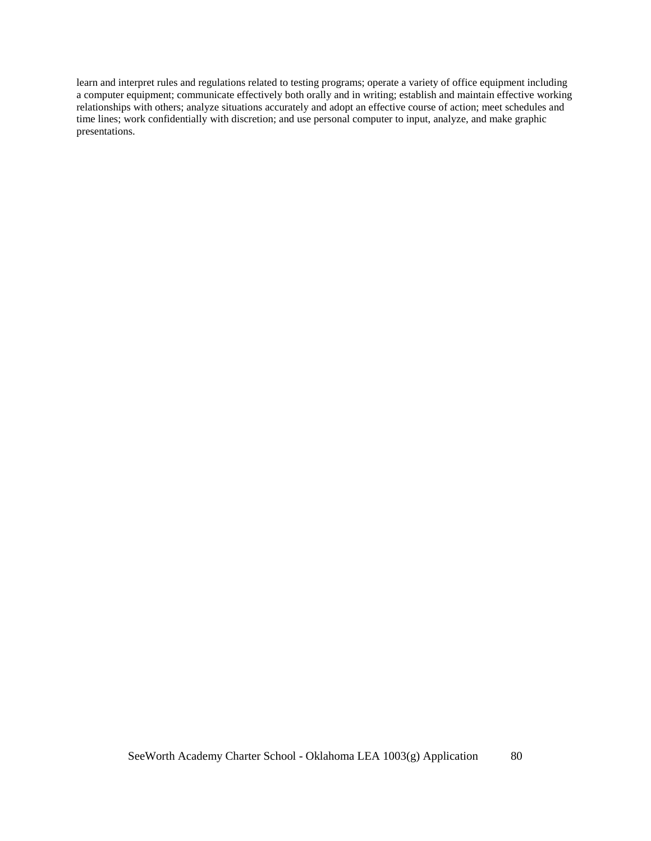learn and interpret rules and regulations related to testing programs; operate a variety of office equipment including a computer equipment; communicate effectively both orally and in writing; establish and maintain effective working relationships with others; analyze situations accurately and adopt an effective course of action; meet schedules and time lines; work confidentially with discretion; and use personal computer to input, analyze, and make graphic presentations.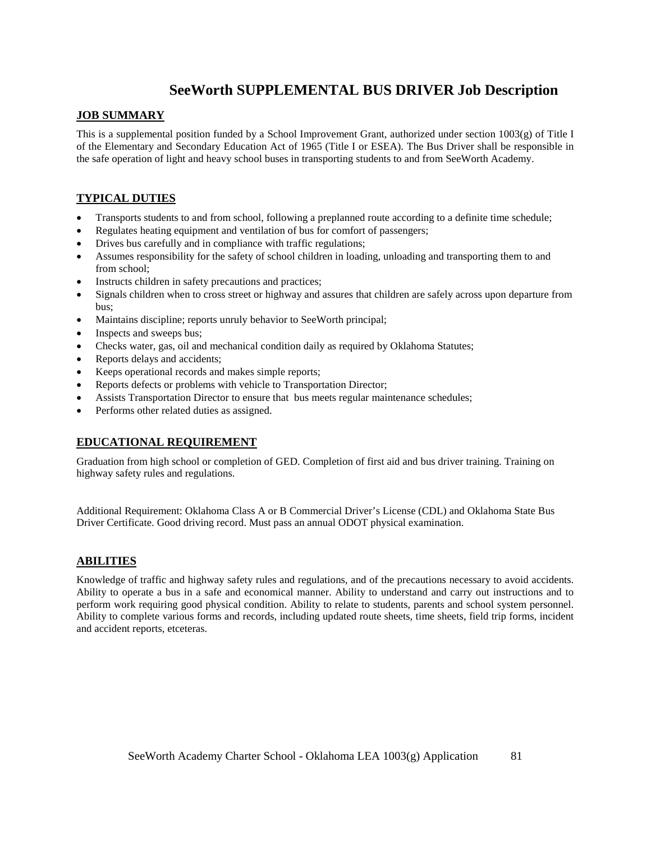# **SeeWorth SUPPLEMENTAL BUS DRIVER Job Description**

#### **JOB SUMMARY**

This is a supplemental position funded by a School Improvement Grant, authorized under section  $1003(g)$  of Title I of the Elementary and Secondary Education Act of 1965 (Title I or ESEA). The Bus Driver shall be responsible in the safe operation of light and heavy school buses in transporting students to and from SeeWorth Academy.

### **TYPICAL DUTIES**

- Transports students to and from school, following a preplanned route according to a definite time schedule;
- Regulates heating equipment and ventilation of bus for comfort of passengers;
- Drives bus carefully and in compliance with traffic regulations;
- Assumes responsibility for the safety of school children in loading, unloading and transporting them to and from school;
- Instructs children in safety precautions and practices;
- Signals children when to cross street or highway and assures that children are safely across upon departure from bus;
- Maintains discipline; reports unruly behavior to SeeWorth principal;
- Inspects and sweeps bus;
- Checks water, gas, oil and mechanical condition daily as required by Oklahoma Statutes;
- Reports delays and accidents;
- Keeps operational records and makes simple reports;
- Reports defects or problems with vehicle to Transportation Director;
- Assists Transportation Director to ensure that bus meets regular maintenance schedules;
- Performs other related duties as assigned.

#### **EDUCATIONAL REQUIREMENT**

Graduation from high school or completion of GED. Completion of first aid and bus driver training. Training on highway safety rules and regulations.

Additional Requirement: Oklahoma Class A or B Commercial Driver's License (CDL) and Oklahoma State Bus Driver Certificate. Good driving record. Must pass an annual ODOT physical examination.

#### **ABILITIES**

Knowledge of traffic and highway safety rules and regulations, and of the precautions necessary to avoid accidents. Ability to operate a bus in a safe and economical manner. Ability to understand and carry out instructions and to perform work requiring good physical condition. Ability to relate to students, parents and school system personnel. Ability to complete various forms and records, including updated route sheets, time sheets, field trip forms, incident and accident reports, etceteras.